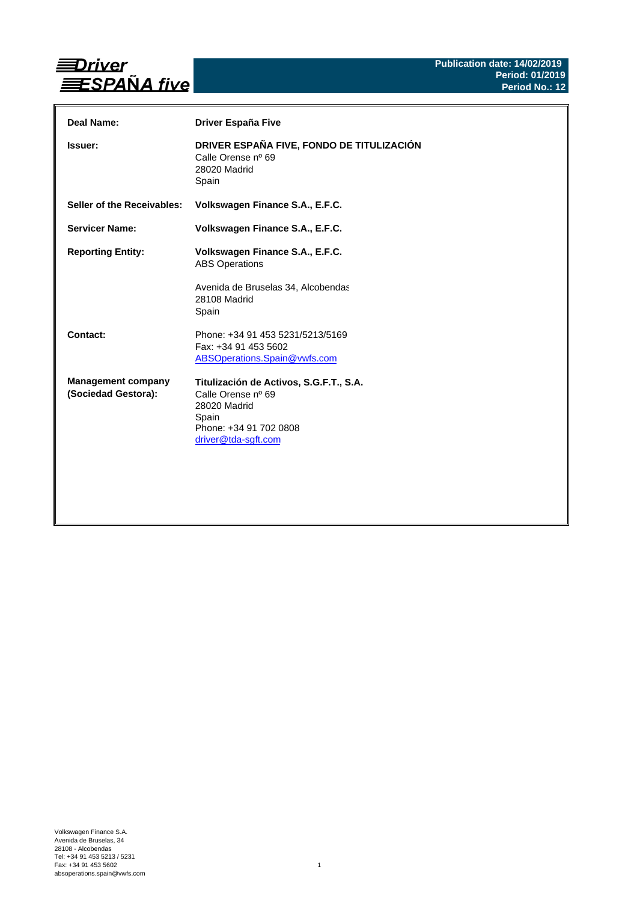

| Deal Name:                                       | <b>Driver España Five</b>                                                                                                               |
|--------------------------------------------------|-----------------------------------------------------------------------------------------------------------------------------------------|
| <b>Issuer:</b>                                   | DRIVER ESPAÑA FIVE, FONDO DE TITULIZACIÓN<br>Calle Orense nº 69<br>28020 Madrid<br>Spain                                                |
| Seller of the Receivables:                       | Volkswagen Finance S.A., E.F.C.                                                                                                         |
| <b>Servicer Name:</b>                            | Volkswagen Finance S.A., E.F.C.                                                                                                         |
| <b>Reporting Entity:</b>                         | Volkswagen Finance S.A., E.F.C.<br><b>ABS Operations</b><br>Avenida de Bruselas 34, Alcobendas                                          |
|                                                  | 28108 Madrid<br>Spain                                                                                                                   |
| Contact:                                         | Phone: +34 91 453 5231/5213/5169<br>Fax: +34 91 453 5602<br>ABSOperations.Spain@vwfs.com                                                |
| <b>Management company</b><br>(Sociedad Gestora): | Titulización de Activos, S.G.F.T., S.A.<br>Calle Orense nº 69<br>28020 Madrid<br>Spain<br>Phone: +34 91 702 0808<br>driver@tda-sgft.com |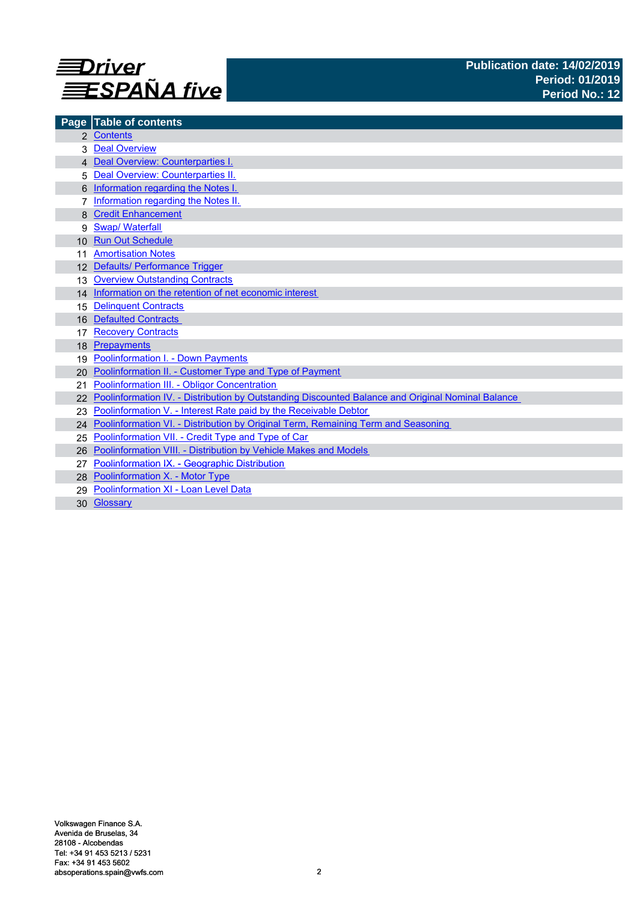

|                 | Page Table of contents                                                                            |
|-----------------|---------------------------------------------------------------------------------------------------|
|                 | 2 Contents                                                                                        |
|                 | <b>Deal Overview</b>                                                                              |
|                 | 4 Deal Overview: Counterparties I.                                                                |
| 5               | Deal Overview: Counterparties II.                                                                 |
|                 | Information regarding the Notes I.                                                                |
|                 | Information regarding the Notes II.                                                               |
|                 | <b>Credit Enhancement</b>                                                                         |
| 9               | <b>Swap/ Waterfall</b>                                                                            |
| 10 <sup>1</sup> | <b>Run Out Schedule</b>                                                                           |
|                 | <b>Amortisation Notes</b>                                                                         |
|                 | 12 Defaults/ Performance Trigger                                                                  |
| 13              | <b>Overview Outstanding Contracts</b>                                                             |
|                 | 14 Information on the retention of net economic interest                                          |
| 15              | <b>Delinquent Contracts</b>                                                                       |
| 16              | <b>Defaulted Contracts</b>                                                                        |
|                 | <b>Recovery Contracts</b>                                                                         |
| 18              | Prepayments                                                                                       |
| 19              | <b>Poolinformation I. - Down Payments</b>                                                         |
| 20              | Poolinformation II. - Customer Type and Type of Payment                                           |
| 21              | Poolinformation III. - Obligor Concentration                                                      |
|                 | Poolinformation IV. - Distribution by Outstanding Discounted Balance and Original Nominal Balance |
| 23              | Poolinformation V. - Interest Rate paid by the Receivable Debtor                                  |
| 24              | Poolinformation VI. - Distribution by Original Term, Remaining Term and Seasoning                 |
| 25              | Poolinformation VII. - Credit Type and Type of Car                                                |
| 26              | Poolinformation VIII. - Distribution by Vehicle Makes and Models                                  |
| 27              | Poolinformation IX. - Geographic Distribution                                                     |
|                 | 28 Poolinformation X. - Motor Type                                                                |
| 29              | Poolinformation XI - Loan Level Data                                                              |
|                 | 30 Glossary                                                                                       |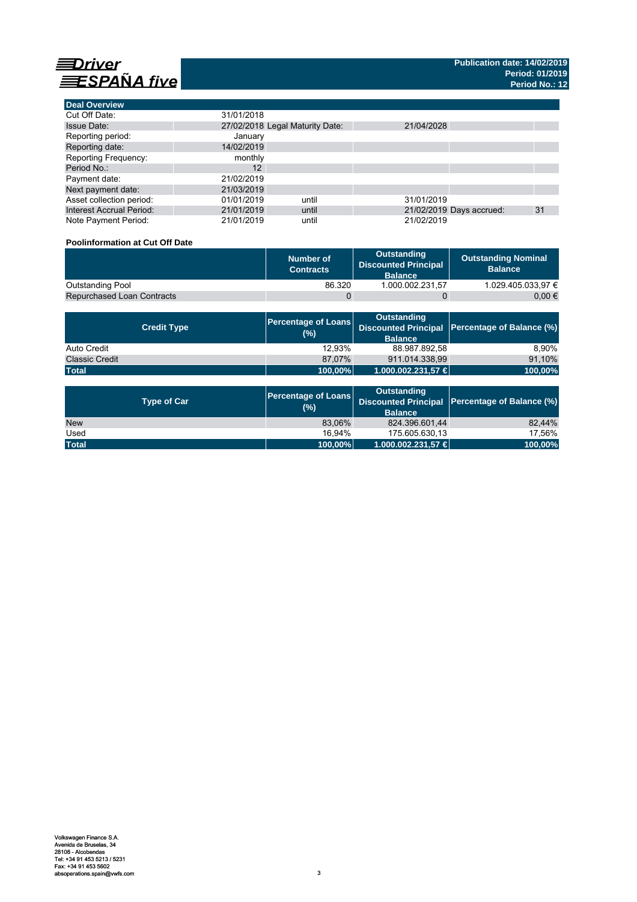

**Deal Overview**

| <b>Deal Overview</b>            |                                 |       |            |                          |    |
|---------------------------------|---------------------------------|-------|------------|--------------------------|----|
| Cut Off Date:                   | 31/01/2018                      |       |            |                          |    |
| <b>Issue Date:</b>              | 27/02/2018 Legal Maturity Date: |       | 21/04/2028 |                          |    |
| Reporting period:               | January                         |       |            |                          |    |
| Reporting date:                 | 14/02/2019                      |       |            |                          |    |
| <b>Reporting Frequency:</b>     | monthly                         |       |            |                          |    |
| Period No.:                     | $12 \overline{ }$               |       |            |                          |    |
| Payment date:                   | 21/02/2019                      |       |            |                          |    |
| Next payment date:              | 21/03/2019                      |       |            |                          |    |
| Asset collection period:        | 01/01/2019                      | until | 31/01/2019 |                          |    |
| <b>Interest Accrual Period:</b> | 21/01/2019                      | until |            | 21/02/2019 Days accrued: | 31 |
| Note Payment Period:            | 21/01/2019                      | until | 21/02/2019 |                          |    |

## **Poolinformation at Cut Off Date**

|                                   | Number of<br><b>Contracts</b> | Outstanding<br><b>Discounted Principal</b><br><b>Balance</b> | <b>Outstanding Nominal</b><br><b>Balance</b> |
|-----------------------------------|-------------------------------|--------------------------------------------------------------|----------------------------------------------|
| <b>Outstanding Pool</b>           | 86.320                        | 1.000.002.231.57                                             | 1.029.405.033.97 €                           |
| <b>Repurchased Loan Contracts</b> |                               |                                                              | 0.00 €                                       |

| <b>Credit Type</b>    | (%)     | <b>Outstanding</b><br><b>Balance</b> | Percentage of Loans Discounted Principal Percentage of Balance (%) |
|-----------------------|---------|--------------------------------------|--------------------------------------------------------------------|
| Auto Credit           | 12.93%  | 88.987.892,58                        | 8.90%                                                              |
| <b>Classic Credit</b> | 87.07%  | 911.014.338.99                       | 91,10%                                                             |
| <b>Total</b>          | 100,00% | 1.000.002.231,57 €                   | 100,00%                                                            |

| <b>Type of Car</b> | <b>Percentage of Loans</b><br>(%) | <b>Outstanding</b><br><b>Balance</b> | Discounted Principal Percentage of Balance (%) |
|--------------------|-----------------------------------|--------------------------------------|------------------------------------------------|
| <b>New</b>         | 83.06%                            | 824.396.601.44                       | 82.44%                                         |
| Used               | 16.94%                            | 175.605.630.13                       | 17.56%                                         |
| <b>Total</b>       | 100,00%                           | $1.000.002.231.57 \in$               | 100,00%                                        |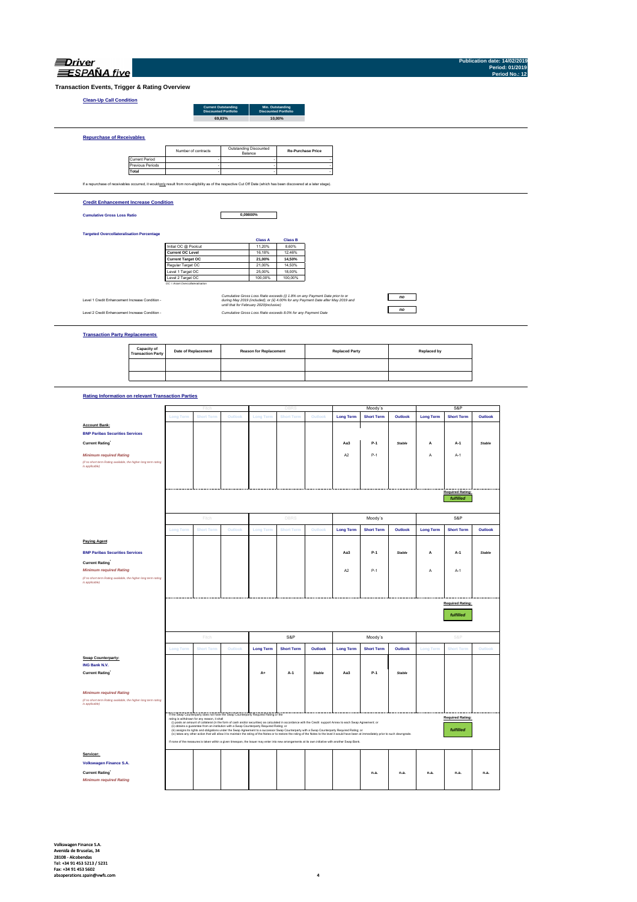| <i><b>Jrive</b></i> |
|---------------------|
| <b>SPANA</b> five   |

**Publication date: 14/02/2019 Period: 01/2019 Period No.: 12**

**Transaction Events, Trigger & Rating Overview**

### **Clean-Up Call Condition**

| <b>Current Outstanding</b><br><b>Discounted Portfolio</b> | Min. Outstanding<br><b>Discounted Portfolio</b> |
|-----------------------------------------------------------|-------------------------------------------------|
| 69.83%                                                    | 10.00%                                          |
|                                                           |                                                 |

|                       | Number of contracts | Outstanding Discounted<br>Balance | <b>Re-Purchase Price</b> |
|-----------------------|---------------------|-----------------------------------|--------------------------|
| <b>Current Period</b> |                     |                                   |                          |
| Previous Periods      |                     |                                   |                          |
| Total                 |                     |                                   |                          |

### **Credit Enhancement Increase Condition**

**Cumulative Gross Loss Ratio**

**0,09800%**

### **Targeted Overcollateralisation Percentage**

|                                  | <b>Class A</b> | <b>Class B</b> |  |
|----------------------------------|----------------|----------------|--|
| Initial OC @ Poolcut             | 11.20%         | 8.60%          |  |
| <b>Current OC Level</b>          | 16.18%         | 12.46%         |  |
| <b>Current Target OC</b>         | 21.00%         | 14.50%         |  |
| Regular Target OC                | 21.00%         | 14.50%         |  |
| Level 1 Target OC                | 25.00%         | 18.00%         |  |
| Level 2 Target OC                | 100.00%        | 100.00%        |  |
| OC = Asset Overcollateralisation |                |                |  |

Level 1 Credit Enhancement Increase Condition -

Level 2 Credit Enhancement Increase Condition - *Cumulative Gross Loss Ratio exceeds 8.0% for any Payment Date Cumulative Gross Loss Ratio exceeds (i) 1.8% on any Payment Date prior to or during May 2019 (included); or (ii) 4.00% for any Payment Date after May 2019 and until that for February 2020(inclusive)*

### *no no*

**Transaction Party Replacements**

| <b>Capacity of<br/>Transaction Party</b> | <b>Date of Replacement</b> | <b>Reason for Replacement</b> | <b>Replaced Party</b> | Replaced by |
|------------------------------------------|----------------------------|-------------------------------|-----------------------|-------------|
|                                          |                            |                               |                       |             |
|                                          |                            |                               |                       |             |

## **Rating Information on relevant Transaction Parties**

|                                                                                   |                  | Fitch                                        | DBRS                                                                                      |                  | Moody's                                                                                                                                                                                                                                                                                                                                                |               | S&P              |                   |         |                  |                         |               |
|-----------------------------------------------------------------------------------|------------------|----------------------------------------------|-------------------------------------------------------------------------------------------|------------------|--------------------------------------------------------------------------------------------------------------------------------------------------------------------------------------------------------------------------------------------------------------------------------------------------------------------------------------------------------|---------------|------------------|-------------------|---------|------------------|-------------------------|---------------|
|                                                                                   | <b>Long Term</b> | <b>Short Term</b>                            | Outlook                                                                                   | <b>Long Term</b> | <b>Short Term</b>                                                                                                                                                                                                                                                                                                                                      | Outlook       | <b>Long Term</b> | <b>Short Term</b> | Outlook | <b>Long Term</b> | <b>Short Term</b>       | Outlook       |
| <b>Account Bank:</b>                                                              |                  |                                              |                                                                                           |                  |                                                                                                                                                                                                                                                                                                                                                        |               |                  |                   |         |                  |                         |               |
| <b>BNP Paribas Securities Services</b>                                            |                  |                                              |                                                                                           |                  |                                                                                                                                                                                                                                                                                                                                                        |               |                  |                   |         |                  |                         |               |
| <b>Current Rating</b>                                                             |                  |                                              |                                                                                           |                  |                                                                                                                                                                                                                                                                                                                                                        |               | Aa3              | P-1               | Stable  | А                | A-1                     | <b>Stable</b> |
| <b>Minimum required Rating</b>                                                    |                  |                                              |                                                                                           |                  |                                                                                                                                                                                                                                                                                                                                                        |               | A <sub>2</sub>   | $P-1$             |         | A                | $A-1$                   |               |
| (if no short term Rating available, the higher long term rating<br>is applicable) |                  |                                              |                                                                                           |                  |                                                                                                                                                                                                                                                                                                                                                        |               |                  |                   |         |                  |                         |               |
|                                                                                   |                  |                                              |                                                                                           |                  |                                                                                                                                                                                                                                                                                                                                                        |               |                  |                   |         |                  |                         |               |
|                                                                                   |                  |                                              |                                                                                           |                  |                                                                                                                                                                                                                                                                                                                                                        |               |                  |                   |         |                  |                         |               |
|                                                                                   |                  |                                              |                                                                                           |                  |                                                                                                                                                                                                                                                                                                                                                        |               |                  |                   |         |                  | <b>Required Rating:</b> |               |
|                                                                                   |                  |                                              |                                                                                           |                  |                                                                                                                                                                                                                                                                                                                                                        |               |                  |                   |         |                  | fulfilled               |               |
|                                                                                   |                  | Fitch                                        |                                                                                           |                  | <b>DBRS</b>                                                                                                                                                                                                                                                                                                                                            |               |                  | Moody's           |         |                  | S&P                     |               |
|                                                                                   | <b>Long Term</b> | <b>Short Term</b>                            | Outlook                                                                                   | <b>Long Term</b> | <b>Short Term</b>                                                                                                                                                                                                                                                                                                                                      | Outlook       | <b>Long Term</b> | <b>Short Term</b> | Outlook | <b>Long Term</b> | <b>Short Term</b>       | Outlook       |
| <b>Paying Agent</b>                                                               |                  |                                              |                                                                                           |                  |                                                                                                                                                                                                                                                                                                                                                        |               |                  |                   |         |                  |                         |               |
| <b>BNP Paribas Securities Services</b>                                            |                  |                                              |                                                                                           |                  |                                                                                                                                                                                                                                                                                                                                                        |               | Aa3              | $P-1$             | Stable  | А                | A-1                     | <b>Stable</b> |
| <b>Current Rating</b>                                                             |                  |                                              |                                                                                           |                  |                                                                                                                                                                                                                                                                                                                                                        |               |                  |                   |         |                  |                         |               |
| <b>Minimum required Rating</b>                                                    |                  |                                              |                                                                                           |                  |                                                                                                                                                                                                                                                                                                                                                        |               | A <sub>2</sub>   | $P-1$             |         | A                | A-1                     |               |
| (if no short term Rating available, the higher long term rating<br>is applicable) |                  |                                              |                                                                                           |                  |                                                                                                                                                                                                                                                                                                                                                        |               |                  |                   |         |                  |                         |               |
|                                                                                   |                  |                                              |                                                                                           |                  |                                                                                                                                                                                                                                                                                                                                                        |               |                  |                   |         |                  |                         |               |
|                                                                                   |                  |                                              |                                                                                           |                  |                                                                                                                                                                                                                                                                                                                                                        |               |                  |                   |         |                  |                         |               |
|                                                                                   |                  |                                              | <b>Required Rating:</b>                                                                   |                  |                                                                                                                                                                                                                                                                                                                                                        |               |                  |                   |         |                  |                         |               |
|                                                                                   |                  |                                              |                                                                                           |                  |                                                                                                                                                                                                                                                                                                                                                        |               |                  |                   |         |                  |                         |               |
|                                                                                   |                  |                                              |                                                                                           |                  |                                                                                                                                                                                                                                                                                                                                                        |               |                  |                   |         |                  | <b>fulfilled</b>        |               |
|                                                                                   |                  |                                              |                                                                                           |                  |                                                                                                                                                                                                                                                                                                                                                        |               |                  |                   |         |                  |                         |               |
|                                                                                   |                  | Fitch                                        |                                                                                           |                  | S&P                                                                                                                                                                                                                                                                                                                                                    |               |                  | Moody's           |         |                  | S&P                     |               |
|                                                                                   | <b>Long Term</b> | <b>Short Term</b>                            | Outlook                                                                                   | <b>Long Term</b> | <b>Short Term</b>                                                                                                                                                                                                                                                                                                                                      | Outlook       | <b>Long Term</b> | <b>Short Term</b> | Outlook | <b>Long Term</b> | <b>Short Term</b>       | Outlook       |
| Swap Counterparty:                                                                |                  |                                              |                                                                                           |                  |                                                                                                                                                                                                                                                                                                                                                        |               |                  |                   |         |                  |                         |               |
| ING Bank N.V.                                                                     |                  |                                              |                                                                                           |                  |                                                                                                                                                                                                                                                                                                                                                        |               |                  |                   |         |                  |                         |               |
| <b>Current Rating</b>                                                             |                  |                                              |                                                                                           | A+               | $A-1$                                                                                                                                                                                                                                                                                                                                                  | <b>Stable</b> | Aa3              | $P-1$             | Stable  |                  |                         |               |
|                                                                                   |                  |                                              |                                                                                           |                  |                                                                                                                                                                                                                                                                                                                                                        |               |                  |                   |         |                  |                         |               |
| <b>Minimum required Rating</b>                                                    |                  |                                              |                                                                                           |                  |                                                                                                                                                                                                                                                                                                                                                        |               |                  |                   |         |                  |                         |               |
| (if no short term Rating available, the higher long term rating<br>is applicable) |                  |                                              |                                                                                           |                  |                                                                                                                                                                                                                                                                                                                                                        |               |                  |                   |         |                  |                         |               |
|                                                                                   |                  |                                              | If the Swap Counterparty does not have the Swap Counterparty Required Rating or the       |                  |                                                                                                                                                                                                                                                                                                                                                        |               |                  |                   |         |                  |                         |               |
|                                                                                   |                  | rating is withdrawn for any reason, it shall |                                                                                           |                  | (i) posts an amount of collateral (in the form of cash and/or securities) as calculated in accordance with the Credit support Annex to each Swap Agreement; or                                                                                                                                                                                         |               |                  |                   |         |                  | <b>Required Rating:</b> |               |
|                                                                                   |                  |                                              | (ii) obtains a guarantee from an institution with a Swap Counterparty Required Rating; or |                  | (ii) assigns its rights and obligations under the Swap Agreement to a successor Swap Counterparty with a Swap Counterparty Required Rating; or                                                                                                                                                                                                         |               |                  |                   |         |                  | fulfilled               |               |
|                                                                                   |                  |                                              |                                                                                           |                  | (iv) takes any other action that will allow it to maintain the rating of the Notes or to restore the rating of the Notes to the level it would have been at immediately prior to such downgrade.<br>If none of the measures is taken within a given timespan, the Issuer may enter into new arrangements at its own initiative with another Swap Bank. |               |                  |                   |         |                  |                         |               |
| Servicer:                                                                         |                  |                                              |                                                                                           |                  |                                                                                                                                                                                                                                                                                                                                                        |               |                  |                   |         |                  |                         |               |
| Volkswagen Finance S.A.                                                           |                  |                                              |                                                                                           |                  |                                                                                                                                                                                                                                                                                                                                                        |               |                  |                   |         |                  |                         |               |
|                                                                                   |                  |                                              |                                                                                           |                  |                                                                                                                                                                                                                                                                                                                                                        |               |                  | n.a.              | n.a.    | n.a.             | n.a.                    | n.a.          |
| <b>Current Rating</b><br><b>Minimum required Rating</b>                           |                  |                                              |                                                                                           |                  |                                                                                                                                                                                                                                                                                                                                                        |               |                  |                   |         |                  |                         |               |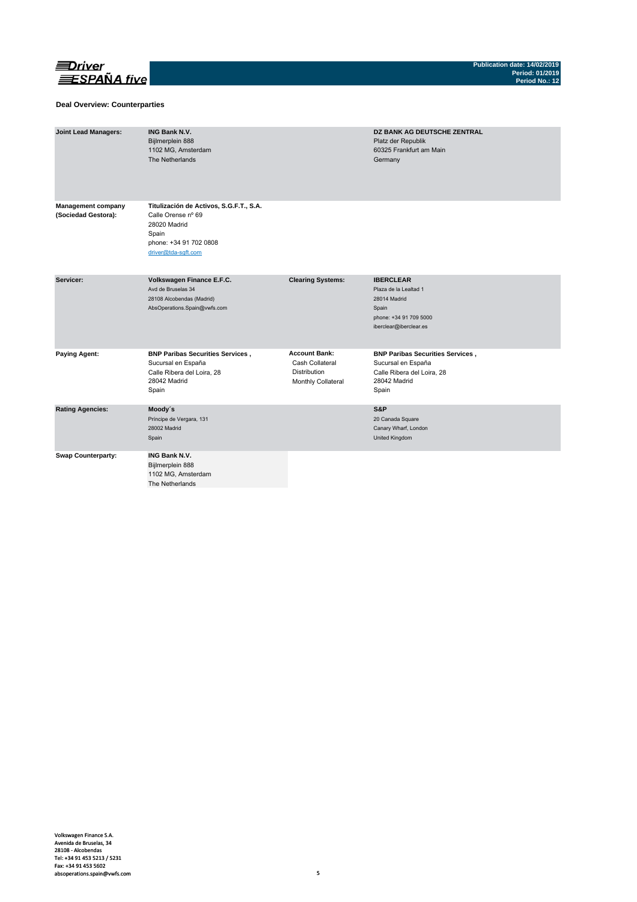

### **Deal Overview: Counterparties**

| <b>Joint Lead Managers:</b>                      | <b>ING Bank N.V.</b><br>Bijlmerplein 888<br>1102 MG, Amsterdam<br>The Netherlands                                                       |                                                                               | <b>DZ BANK AG DEUTSCHE ZENTRAL</b><br>Platz der Republik<br>60325 Frankfurt am Main<br>Germany                         |
|--------------------------------------------------|-----------------------------------------------------------------------------------------------------------------------------------------|-------------------------------------------------------------------------------|------------------------------------------------------------------------------------------------------------------------|
| <b>Management company</b><br>(Sociedad Gestora): | Titulización de Activos, S.G.F.T., S.A.<br>Calle Orense nº 69<br>28020 Madrid<br>Spain<br>phone: +34 91 702 0808<br>driver@tda-sqft.com |                                                                               |                                                                                                                        |
| Servicer:                                        | Volkswagen Finance E.F.C.<br>Avd de Bruselas 34<br>28108 Alcobendas (Madrid)<br>AbsOperations.Spain@vwfs.com                            | <b>Clearing Systems:</b>                                                      | <b>IBERCLEAR</b><br>Plaza de la Lealtad 1<br>28014 Madrid<br>Spain<br>phone: +34 91 709 5000<br>iberclear@iberclear.es |
| <b>Paying Agent:</b>                             | <b>BNP Paribas Securities Services,</b><br>Sucursal en España<br>Calle Ribera del Loira, 28<br>28042 Madrid<br>Spain                    | <b>Account Bank:</b><br>Cash Collateral<br>Distribution<br>Monthly Collateral | <b>BNP Paribas Securities Services,</b><br>Sucursal en España<br>Calle Ribera del Loira, 28<br>28042 Madrid<br>Spain   |
| <b>Rating Agencies:</b>                          | Moody's<br>Príncipe de Vergara, 131<br>28002 Madrid<br>Spain                                                                            |                                                                               | S&P<br>20 Canada Square<br>Canary Wharf, London<br>United Kingdom                                                      |
| <b>Swap Counterparty:</b>                        | <b>ING Bank N.V.</b><br>Bijlmerplein 888<br>1102 MG, Amsterdam<br>The Netherlands                                                       |                                                                               |                                                                                                                        |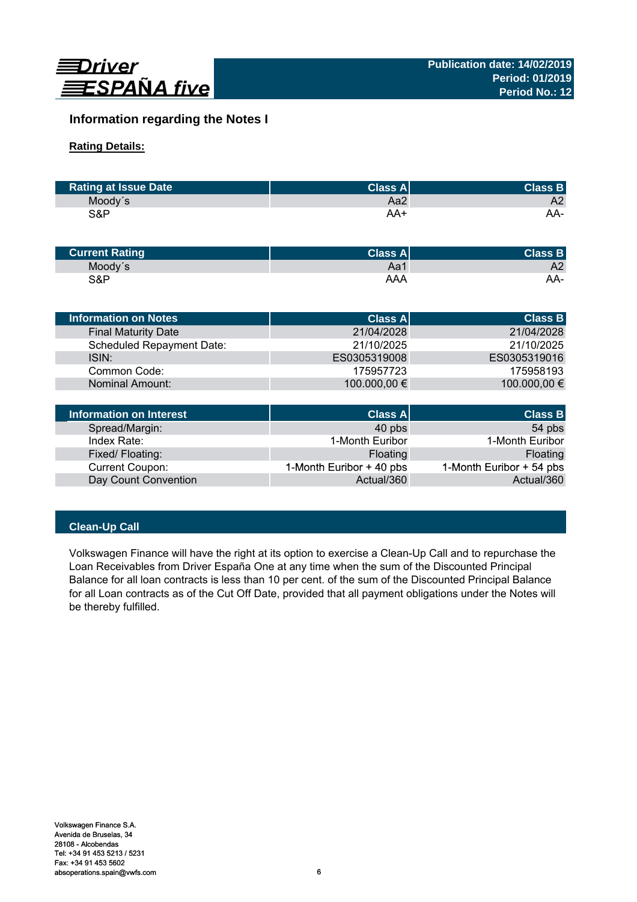

# **Information regarding the Notes I**

# **Rating Details:**

| <b>Rating at Issue Date</b> | ∣Class Al' | <b>Class B</b> |
|-----------------------------|------------|----------------|
| Moody's                     | Aa2        | A2             |
| S&P                         | AA+        | AA-            |

| <b>Current Rating</b> | Class $A^{\parallel}$ | <b>Class B</b> |
|-----------------------|-----------------------|----------------|
| Moody's               | Aa1                   | A2             |
| S&P                   | AAA                   | AA-            |

| <b>Information on Notes</b>      | <b>Class A</b> | <b>Class B</b> |
|----------------------------------|----------------|----------------|
| <b>Final Maturity Date</b>       | 21/04/2028     | 21/04/2028     |
| <b>Scheduled Repayment Date:</b> | 21/10/2025     | 21/10/2025     |
| ISIN:                            | ES0305319008   | ES0305319016   |
| Common Code:                     | 175957723      | 175958193      |
| Nominal Amount:                  | 100.000,00 €   | 100.000,00 €   |
|                                  |                |                |
| Information on Interest          | Class Al       | <b>Class B</b> |

| Information on Interest | <b>Class A</b>           | <b>Class B</b>           |
|-------------------------|--------------------------|--------------------------|
| Spread/Margin:          | 40 pbs                   | 54 pbs                   |
| Index Rate:             | 1-Month Euribor          | 1-Month Euribor          |
| Fixed/Floating:         | Floating                 | Floating                 |
| Current Coupon:         | 1-Month Euribor + 40 pbs | 1-Month Euribor + 54 pbs |
| Day Count Convention    | Actual/360               | Actual/360               |

# **Clean-Up Call**

Volkswagen Finance will have the right at its option to exercise a Clean-Up Call and to repurchase the Loan Receivables from Driver España One at any time when the sum of the Discounted Principal Balance for all loan contracts is less than 10 per cent. of the sum of the Discounted Principal Balance for all Loan contracts as of the Cut Off Date, provided that all payment obligations under the Notes will be thereby fulfilled.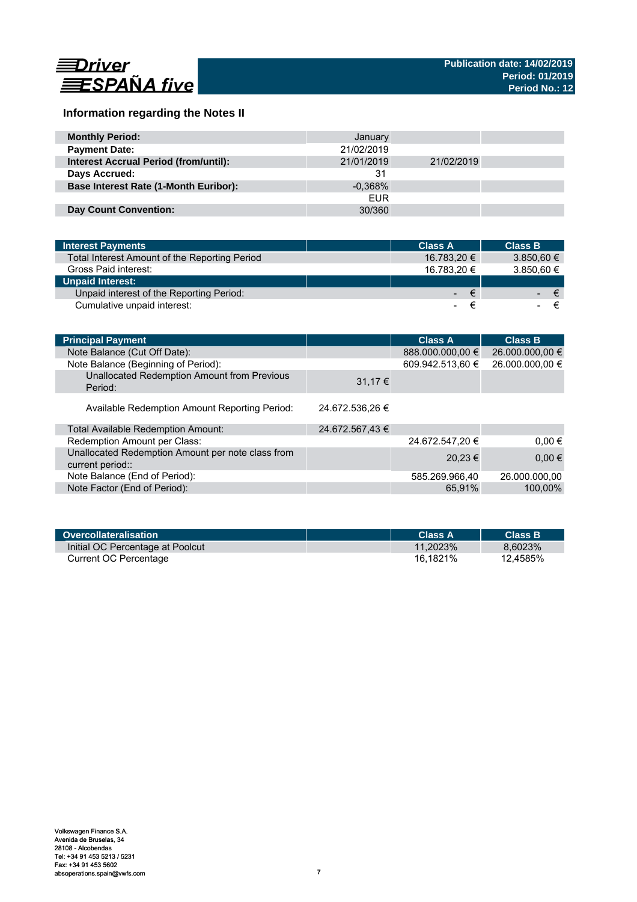

# **Information regarding the Notes II**

| <b>Monthly Period:</b>                       | January    |            |  |
|----------------------------------------------|------------|------------|--|
| <b>Payment Date:</b>                         | 21/02/2019 |            |  |
| <b>Interest Accrual Period (from/until):</b> | 21/01/2019 | 21/02/2019 |  |
| Days Accrued:                                | 31         |            |  |
| <b>Base Interest Rate (1-Month Euribor):</b> | $-0.368\%$ |            |  |
|                                              | <b>EUR</b> |            |  |
| <b>Day Count Convention:</b>                 | 30/360     |            |  |

| <b>Interest Payments</b>                      | <b>Class A</b> | <b>Class B</b>     |
|-----------------------------------------------|----------------|--------------------|
| Total Interest Amount of the Reporting Period | 16.783,20 €    | $3.850,60 \in$     |
| Gross Paid interest:                          | 16.783.20 €    | 3.850,60 €         |
| <b>Unpaid Interest:</b>                       |                |                    |
| Unpaid interest of the Reporting Period:      |                | ∕€7<br>$ \epsilon$ |
| Cumulative unpaid interest:                   |                |                    |

| <b>Principal Payment</b>                                              |                 | <b>Class A</b>   | <b>Class B</b>  |
|-----------------------------------------------------------------------|-----------------|------------------|-----------------|
| Note Balance (Cut Off Date):                                          |                 | 888.000.000,00 € | 26.000.000,00 € |
| Note Balance (Beginning of Period):                                   |                 | 609.942.513,60 € | 26.000.000,00 € |
| Unallocated Redemption Amount from Previous<br>Period:                | $31,17 \in$     |                  |                 |
| Available Redemption Amount Reporting Period:                         | 24.672.536.26 € |                  |                 |
| Total Available Redemption Amount:                                    | 24.672.567,43 € |                  |                 |
| Redemption Amount per Class:                                          |                 | 24.672.547,20 €  | $0.00 \in$      |
| Unallocated Redemption Amount per note class from<br>current period:: |                 | 20,23 €          | $0,00 \in$      |
| Note Balance (End of Period):                                         |                 | 585.269.966,40   | 26.000.000.00   |
| Note Factor (End of Period):                                          |                 | 65.91%           | 100,00%         |

| <b>Overcollateralisation</b>     | Class A     | <b>Class B</b> |
|----------------------------------|-------------|----------------|
| Initial OC Percentage at Poolcut | $11.2023\%$ | 8.6023%        |
| Current OC Percentage            | 16.1821%    | 12.4585%       |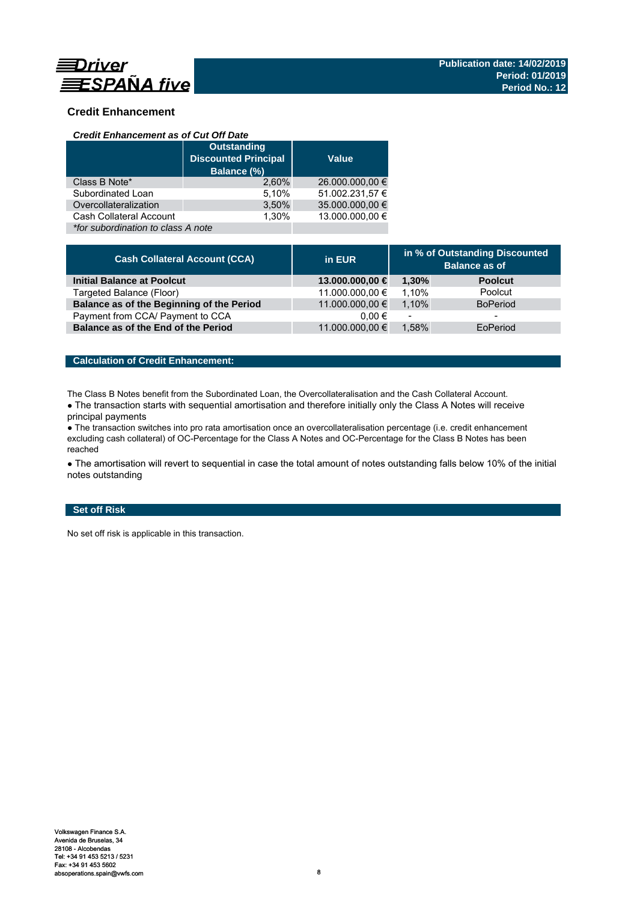

# **Credit Enhancement**

### *Credit Enhancement as of Cut Off Date*

|                                    | <b>Outstanding</b><br><b>Discounted Principal</b><br>Balance (%) | <b>Value</b>    |
|------------------------------------|------------------------------------------------------------------|-----------------|
| Class B Note*                      | 2.60%                                                            | 26.000.000,00 € |
| Subordinated Loan                  | 5,10%                                                            | 51.002.231,57 € |
| Overcollateralization              | 3,50%                                                            | 35.000.000,00 € |
| Cash Collateral Account            | 1.30%                                                            | 13.000.000.00 € |
| *for subordination to class A note |                                                                  |                 |

| <b>Cash Collateral Account (CCA)</b>      | in EUR          | in % of Outstanding Discounted<br><b>Balance as of</b> |                 |
|-------------------------------------------|-----------------|--------------------------------------------------------|-----------------|
| <b>Initial Balance at Poolcut</b>         | 13.000.000,00 € | 1.30%                                                  | <b>Poolcut</b>  |
| Targeted Balance (Floor)                  | 11.000.000,00 € | 1.10%                                                  | Poolcut         |
| Balance as of the Beginning of the Period | 11.000.000,00 € | 1.10%                                                  | <b>BoPeriod</b> |
| Payment from CCA/ Payment to CCA          | $0.00 \in$      | $\overline{\phantom{a}}$                               | -               |
| Balance as of the End of the Period       | 11.000.000,00 € | 1.58%                                                  | EoPeriod        |

## **Calculation of Credit Enhancement:**

The Class B Notes benefit from the Subordinated Loan, the Overcollateralisation and the Cash Collateral Account.

• The transaction starts with sequential amortisation and therefore initially only the Class A Notes will receive principal payments

● The transaction switches into pro rata amortisation once an overcollateralisation percentage (i.e. credit enhancement excluding cash collateral) of OC-Percentage for the Class A Notes and OC-Percentage for the Class B Notes has been reached

• The amortisation will revert to sequential in case the total amount of notes outstanding falls below 10% of the initial notes outstanding

# **Set off Risk**

No set off risk is applicable in this transaction.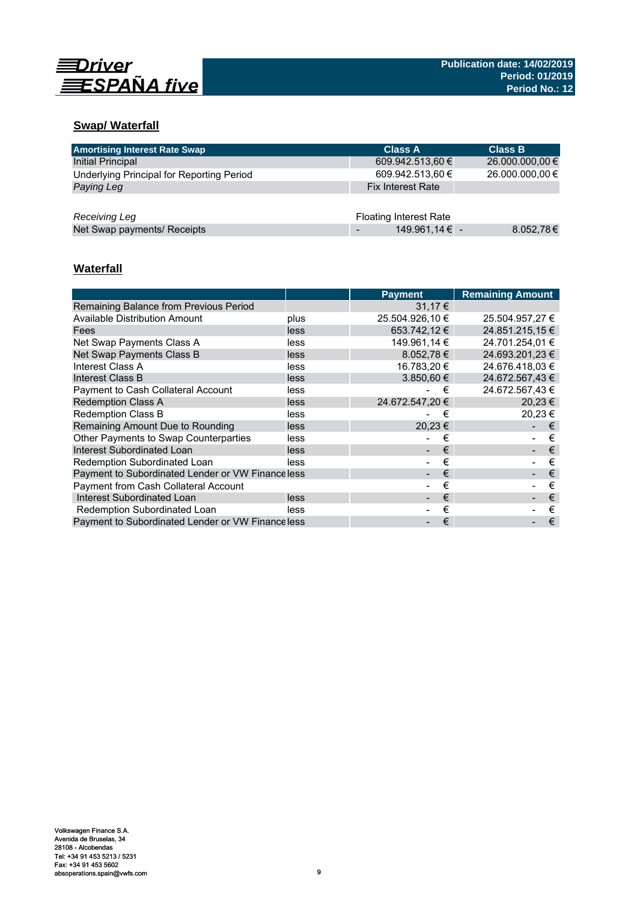

# **Swap/ Waterfall**

| <b>Amortising Interest Rate Swap</b>      | <b>Class A</b>                | <b>Class B</b>  |
|-------------------------------------------|-------------------------------|-----------------|
| Initial Principal                         | 609.942.513,60 €              | 26.000.000,00 € |
| Underlying Principal for Reporting Period | 609.942.513,60 €              | 26.000.000,00 € |
| Paying Leg                                | <b>Fix Interest Rate</b>      |                 |
|                                           |                               |                 |
| Receiving Leg                             | <b>Floating Interest Rate</b> |                 |
| Net Swap payments/ Receipts               | 149.961,14 € -                | 8.052,78€       |

# **Waterfall**

|                                                  |      | <b>Payment</b>  | <b>Remaining Amount</b> |
|--------------------------------------------------|------|-----------------|-------------------------|
| Remaining Balance from Previous Period           |      | 31.17€          |                         |
| Available Distribution Amount                    | plus | 25.504.926,10 € | 25.504.957,27 €         |
| Fees                                             | less | 653.742,12€     | 24.851.215.15 €         |
| Net Swap Payments Class A                        | less | 149.961,14 €    | 24.701.254,01 €         |
| Net Swap Payments Class B                        | less | $8.052,78 \in$  | 24.693.201,23 €         |
| Interest Class A                                 | less | 16.783,20 €     | 24.676.418.03 €         |
| Interest Class B                                 | less | $3.850,60 \in$  | 24.672.567,43€          |
| Payment to Cash Collateral Account               | less | €               | 24.672.567.43 €         |
| <b>Redemption Class A</b>                        | less | 24.672.547.20 € | 20.23€                  |
| <b>Redemption Class B</b>                        | less | €               | 20.23 €                 |
| Remaining Amount Due to Rounding                 | less | 20,23€          | €                       |
| Other Payments to Swap Counterparties            | less | €               | €                       |
| Interest Subordinated Loan                       | less | €               | €                       |
| Redemption Subordinated Loan                     | less | €               | €                       |
| Payment to Subordinated Lender or VW Financeless |      | €               | €                       |
| Payment from Cash Collateral Account             |      | €               | €                       |
| Interest Subordinated Loan                       | less | €               | €                       |
| Redemption Subordinated Loan                     | less | €               | €                       |
| Payment to Subordinated Lender or VW Financeless |      | €               | €                       |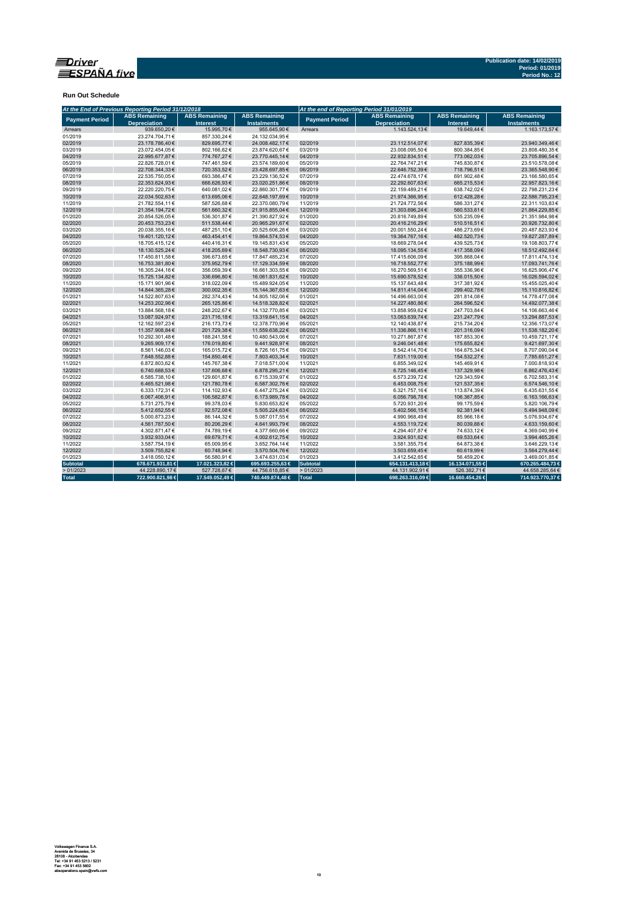

**Run Out Schedule**

| At the End of Previous Reporting Period 31/12/2018<br>At the end of Reporting Period 31/01/2019 |                                             |                                         |                                            |                       |                                             |                                         |                                            |
|-------------------------------------------------------------------------------------------------|---------------------------------------------|-----------------------------------------|--------------------------------------------|-----------------------|---------------------------------------------|-----------------------------------------|--------------------------------------------|
| <b>Payment Period</b>                                                                           | <b>ABS Remaining</b><br><b>Depreciation</b> | <b>ABS Remaining</b><br><b>Interest</b> | <b>ABS Remaining</b><br><b>Instalments</b> | <b>Payment Period</b> | <b>ABS Remaining</b><br><b>Depreciation</b> | <b>ABS Remaining</b><br><b>Interest</b> | <b>ABS Remaining</b><br><b>Instalments</b> |
| Arrears                                                                                         | 939.650.20€                                 | 15,995.70€                              | 955.645.90€                                | Arrears               | 1.143.524.13€                               | 19.649.44 €                             | 1.163.173.57 €                             |
| 01/2019                                                                                         | 23.274.704.71€                              | 857.330.24€                             | 24.132.034.95€                             |                       |                                             |                                         |                                            |
| 02/2019                                                                                         | 23.178.786,40€                              | 829.695,77€                             | 24.008.482,17€                             | 02/2019               | 23.112.514,07€                              | 827.835,39€                             | 23.940.349,46€                             |
| 03/2019                                                                                         | 23.072.454,05€                              | 802.166,62€                             | 23.874.620,67€                             | 03/2019               | 23.008.095,50€                              | 800.384,85€                             | 23.808.480,35€                             |
| 04/2019                                                                                         | 22.995.677,87€                              | 774.767,27€                             | 23.770.445,14€                             | 04/2019               | 22.932.834,51€                              | 773.062,03€                             | 23.705.896,54€                             |
| 05/2019                                                                                         | 22.826.728,01€                              | 747.461,59€                             | 23.574.189,60€                             | 05/2019               | 22.764.747,21€                              | 745.830,87€                             | 23.510.578,08€                             |
| 06/2019                                                                                         | 22.708.344.33€                              | 720.353,52€                             | 23.428.697,85€                             | 06/2019               | 22.646.752,39€                              | 718.796,51€                             | 23.365.548,90€                             |
| 07/2019                                                                                         | 22.535.750,05€                              | 693.386,47€                             | 23.229.136,52€                             | 07/2019               | 22.474.678,17€                              | 691.902,48€                             | 23.166.580,65€                             |
| 08/2019                                                                                         | 22.353.624,93€                              | 666.626,93€                             | 23.020.251,86€                             | 08/2019               | 22.292.607,63€                              | 665.215,53€                             | 22.957.823,16€                             |
| 09/2019                                                                                         | 22.220.220,75€                              | 640.081,02€                             | 22.860.301,77€                             | 09/2019               | 22.159.489,21€                              | 638.742,02€                             | 22.798.231,23€                             |
| 10/2019                                                                                         | 22.034.502,63€                              | 613.695,06€                             | 22.648.197,69€                             | 10/2019               | 21.974.366,95€                              | 612.428,28€                             | 22.586.795,23€                             |
| 11/2019                                                                                         | 21.782.554.11€                              | 587.526.68€                             | 22.370.080,79€                             | 11/2019               | 21.724.772.56€                              | 586.331.27€                             | 22.311.103.83€                             |
| 12/2019                                                                                         | 21.354.194,72€                              | 561.660,32€                             | 21.915.855,04€                             | 12/2019               | 21.303.696,24€                              | 560.533,61€                             | 21.864.229,85€                             |
| 01/2020                                                                                         | 20.854.526,05€                              | 536.301,87€                             | 21.390.827,92€                             | 01/2020               | 20.816.749,89€                              | 535.235,09€                             | 21.351.984,98€                             |
| 02/2020                                                                                         | 20.453.753.23€                              | 511.538.44 €                            | 20.965.291,67€                             | 02/2020               | 20.416.216.29€                              | 510.516,51€                             | 20.926.732,80€                             |
| 03/2020                                                                                         | 20.038.355,16€                              | 487.251,10€                             | 20.525.606,26€                             | 03/2020               | 20.001.550.24€                              | 486.273,69€                             | 20.487.823,93€                             |
| 04/2020                                                                                         | 19.401.120,12€                              | 463.454,41€                             | 19.864.574,53€                             | 04/2020               | 19.364.767,16€                              | 462.520,73€                             | 19.827.287,89€                             |
| 05/2020                                                                                         | 18.705.415.12€                              | 440.416,31€                             | 19.145.831,43€                             | 05/2020               | 18.669.278,04€                              | 439.525,73€                             | 19.108.803,77€                             |
| 06/2020                                                                                         | 18.130.525,24€                              | 418.205,69€                             | 18.548.730,93€                             | 06/2020               | 18.095.134,55€                              | 417.358,09€                             | 18.512.492,64€                             |
| 07/2020                                                                                         | 17.450.811,58€                              | 396.673,65€                             | 17.847.485,23€                             | 07/2020               | 17.415.606,09€                              | 395.868,04 €                            | 17.811.474,13€                             |
| 08/2020                                                                                         | 16.753.381.80€                              | 375.952,79€                             | 17.129.334,59€                             | 08/2020               | 16.718.552.77€                              | 375.188.99€                             | 17.093.741,76€                             |
| 09/2020                                                                                         | 16.305.244,16€                              | 356.059,39€                             | 16.661.303,55€                             | 09/2020               | 16.270.569,51€                              | 355.336,96€                             | 16.625.906,47€                             |
| 10/2020                                                                                         | 15.725.134,82€                              | 336.696,80€                             | 16.061.831,62€                             | 10/2020               | 15.690.578,52€                              | 336.015,50€                             | 16.026.594,02€                             |
| 11/2020                                                                                         | 15.171.901.96€                              | 318.022,09€                             | 15.489.924,05€                             | 11/2020               | 15.137.643.48€                              | 317.381,92€                             | 15.455.025,40€                             |
| 12/2020                                                                                         | 14.844.365,28€                              | 300.002,35€                             | 15.144.367,63€                             | 12/2020               | 14.811.414,04€                              | 299.402,78€                             | 15.110.816,82€                             |
| 01/2021                                                                                         | 14.522.807.63€                              | 282.374.43€                             | 14.805.182.06€                             | 01/2021               | 14.496.663.00€                              | 281.814,08€                             | 14.778.477,08€                             |
| 02/2021                                                                                         | 14.253.202,96€                              | 265.125,86€                             | 14.518.328,82€                             | 02/2021               | 14.227.480,86€                              | 264.596,52€                             | 14.492.077,38€                             |
| 03/2021                                                                                         | 13.884.568,18€                              | 248.202,67€                             | 14.132.770,85€                             | 03/2021               | 13.858.959,62€                              | 247.703,84 €                            | 14.106.663,46€                             |
| 04/2021                                                                                         | 13.087.924.97€                              | 231.716,18€                             | 13.319.641,15€                             | 04/2021               | 13.063.639,74€                              | 231.247,79€                             | 13.294.887,53€                             |
| 05/2021                                                                                         | 12.162.597.23€                              | 216.173,73€                             | 12.378.770,96€                             | 05/2021               | 12.140.438.87€                              | 215.734,20€                             | 12.356.173.07€                             |
| 06/2021                                                                                         | 11.357.908,84€                              | 201.729,38€                             | 11.559.638,22€                             | 06/2021               | 11.336.866,11€                              | 201.316,09€                             | 11.538.182,20€                             |
| 07/2021                                                                                         | 10.292.301,48€                              | 188.241,58€                             | 10.480.543,06€                             | 07/2021               | 10.271.867,87€                              | 187.853,30 €                            | 10.459.721,17€                             |
| 08/2021                                                                                         | 9.265.909,17€                               | 176.019,80€                             | 9.441.928,97€                              | 08/2021               | 9.246.041,48€                               | 175.655,82€                             | 9.421.697,30€                              |
| 09/2021                                                                                         | 8.561.146,03€                               | 165.015,72€                             | 8.726.161,75€                              | 09/2021               | 8.542.414,70€                               | 164.675,34 €                            | 8.707.090,04€                              |
| 10/2021                                                                                         | 7.648.552.88€                               | 154.850.46€                             | 7.803.403,34 €                             | 10/2021               | 7.631.119,00€                               | 154.532.27 €                            | 7.785.651,27€                              |
| 11/2021                                                                                         | 6.872.803,62€                               | 145.767,38€                             | 7.018.571,00 €                             | 11/2021               | 6.855.349,02€                               | 145.469,91€                             | 7.000.818,93€                              |
| 12/2021                                                                                         | 6.740.688,53€                               | 137.606,68€                             | 6.878.295,21€                              | 12/2021               | 6.725.146,45€                               | 137.329,98€                             | 6.862.476,43€                              |
| 01/2022                                                                                         | 6.585.738,10€                               | 129.601,87€                             | 6.715.339,97€                              | 01/2022               | 6.573.239,72€                               | 129.343,59€                             | 6.702.583,31€                              |
| 02/2022                                                                                         | 6.465.521,98€                               | 121.780,78€                             | 6.587.302,76€                              | 02/2022               | 6.453.008,75€                               | 121.537,35€                             | 6.574.546,10€                              |
| 03/2022                                                                                         | 6.333.172.31€                               | 114.102,93€                             | 6.447.275,24€                              | 03/2022               | 6.321.757.16€                               | 113.874.39€                             | 6.435.631.55€                              |
| 04/2022                                                                                         | 6.067.406,91€                               | 106.582,87€                             | 6.173.989,78€                              | 04/2022               | 6.056.798,78€                               | 106.367,85€                             | 6.163.166,63€                              |
| 05/2022                                                                                         | 5.731.275,79€                               | 99.378,03€                              | 5.830.653,82€                              | 05/2022               | 5.720.931,20€                               | 99.175,59€                              | 5.820.106,79€                              |
| 06/2022                                                                                         | 5.412.652,55€                               | 92.572,08€                              | 5.505.224,63€                              | 06/2022               | 5.402.566,15€                               | 92.381,94€                              | 5.494.948,09€                              |
| 07/2022                                                                                         | 5.000.873,23€                               | 86.144,32€                              | 5.087.017,55€                              | 07/2022               | 4.990.968,49€                               | 85.966,18€                              | 5.076.934,67€                              |
| 08/2022                                                                                         | 4.561.787,50€                               | 80.206,29€                              | 4.641.993,79€                              | 08/2022               | 4.553.119,72€                               | 80.039,88€                              | 4.633.159,60 €                             |
| 09/2022                                                                                         | 4.302.871.47€                               | 74.789,19€                              | 4.377.660,66€                              | 09/2022               | 4.294.407,87€                               | 74.633,12€                              | 4.369.040,99€                              |
| 10/2022                                                                                         | 3.932.933,04€                               | 69.679,71€                              | 4.002.612,75€                              | 10/2022               | 3.924.931,62€                               | 69.533,64€                              | 3.994.465,26€                              |
| 11/2022                                                                                         | 3.587.754,19€                               | 65.009,95€                              | 3.652.764,14€                              | 11/2022               | 3.581.355,75€                               | 64.873,38€                              | 3.646.229,13€                              |
| 12/2022                                                                                         | 3.509.755.82€                               | 60.748.94€                              | 3.570.504.76€                              | 12/2022               | 3.503.659.45€                               | 60.619.99€                              | 3.564.279.44 €                             |
| 01/2023                                                                                         | 3.418.050,12€                               | 56.580,91€                              | 3.474.631,03€                              | 01/2023               | 3.412.542,65€                               | 56.459,20€                              | 3.469.001,85€                              |
| <b>Subtotal</b>                                                                                 | 678.671.931,81 €                            | 17.021.323,82 €                         | 695.693.255,63 €                           | Subtotal              | 654.131.413,18€                             | 16.134.071,55 €                         | 670.265.484,73€                            |
| >01/2023                                                                                        | 44.228.890,17€                              | 527.728,67€                             | 44.756.618,85€                             | >01/2023              | 44.131.902,91€                              | 526.382,71€                             | 44.658.285,64€                             |
| <b>Total</b>                                                                                    | 722.900.821,98€                             | 17.549.052,49 €                         | 740.449.874,48 €                           | Total                 | 698.263.316,09 €                            | 16.660.454,26€                          | 714.923.770,37 €                           |
|                                                                                                 |                                             |                                         |                                            |                       |                                             |                                         |                                            |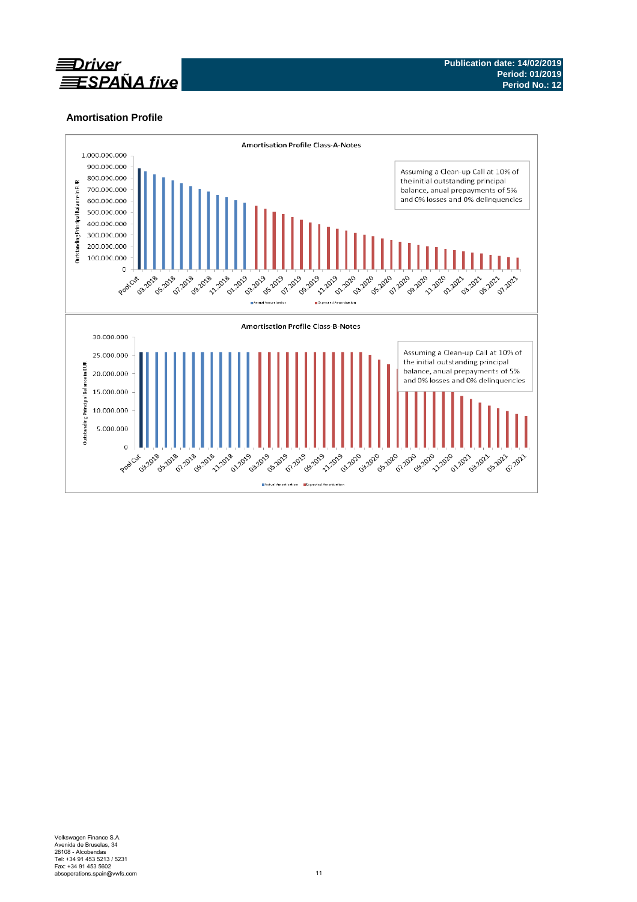

# **Amortisation Profile**

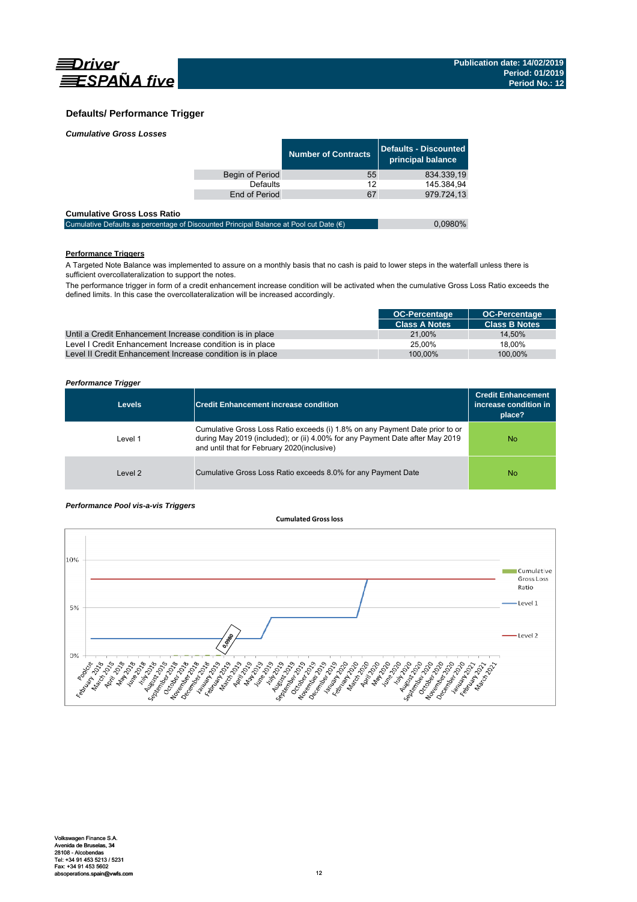

### **Defaults/ Performance Trigger**

|  | <b>Cumulative Gross Losses</b> |
|--|--------------------------------|
|  |                                |

|                 | Number of Contracts | Defaults - Discounted<br>principal balance |
|-----------------|---------------------|--------------------------------------------|
| Begin of Period | 55                  | 834.339.19                                 |
| <b>Defaults</b> | 12                  | 145.384.94                                 |
| End of Period   | 67                  | 979.724.13                                 |
|                 |                     |                                            |

### **Cumulative Gross Loss Ratio**

| Cumulative Defaults as percentage of Discounted Principal Balance at Pool cut Date $(\epsilon)$ | 0,0980% |
|-------------------------------------------------------------------------------------------------|---------|
|                                                                                                 |         |

## **Performance Triggers**

A Targeted Note Balance was implemented to assure on a monthly basis that no cash is paid to lower steps in the waterfall unless there is sufficient overcollateralization to support the notes.

The performance trigger in form of a credit enhancement increase condition will be activated when the cumulative Gross Loss Ratio exceeds the defined limits. In this case the overcollateralization will be increased accordingly.

|                                                            | <b>OC-Percentage</b> | <b>OC-Percentage</b> |
|------------------------------------------------------------|----------------------|----------------------|
|                                                            | <b>Class A Notes</b> | <b>Class B Notes</b> |
| Until a Credit Enhancement Increase condition is in place  | 21.00%               | 14.50%               |
| Level I Credit Enhancement Increase condition is in place  | 25.00%               | 18.00%               |
| Level II Credit Enhancement Increase condition is in place | 100.00%              | 100.00%              |

### *Performance Trigger*

| <b>Levels</b> | <b>Credit Enhancement increase condition</b>                                                                                                                                                                 | <b>Credit Enhancement</b><br>increase condition in<br>place? |
|---------------|--------------------------------------------------------------------------------------------------------------------------------------------------------------------------------------------------------------|--------------------------------------------------------------|
| Level 1       | Cumulative Gross Loss Ratio exceeds (i) 1.8% on any Payment Date prior to or<br>during May 2019 (included); or (ii) 4.00% for any Payment Date after May 2019<br>and until that for February 2020(inclusive) | No.                                                          |
| Level 2       | Cumulative Gross Loss Ratio exceeds 8.0% for any Payment Date                                                                                                                                                | No                                                           |

### *Performance Pool vis-a-vis Triggers*

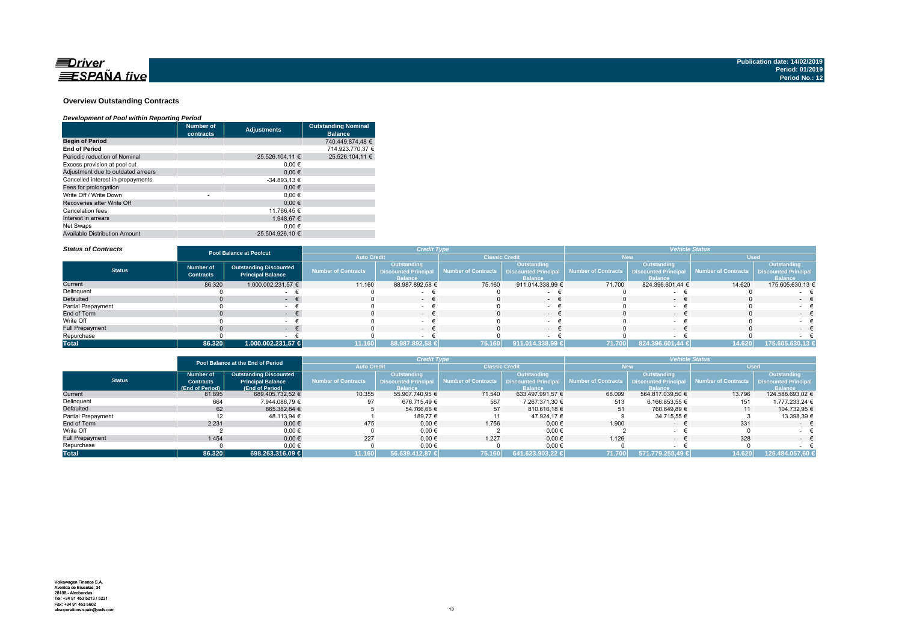

### **Overview Outstanding Contracts**

### *Development of Pool within Reporting Period*

|                                      | <b>Number of</b><br>contracts | <b>Adjustments</b> | <b>Outstanding Nominal</b><br><b>Balance</b> |
|--------------------------------------|-------------------------------|--------------------|----------------------------------------------|
| <b>Begin of Period</b>               |                               |                    | 740.449.874,48 €                             |
| <b>End of Period</b>                 |                               |                    | 714.923.770.37 €                             |
| Periodic reduction of Nominal        |                               | 25.526.104.11 €    | 25.526.104.11 €                              |
| Excess provision at pool cut         |                               | $0.00 \in$         |                                              |
| Adjustment due to outdated arrears   |                               | 0.00€              |                                              |
| Cancelled interest in prepayments    |                               | $-34.893,13€$      |                                              |
| Fees for prolongation                |                               | 0.00€              |                                              |
| Write Off / Write Down               | ۰                             | 0.00€              |                                              |
| Recoveries after Write Off           |                               | 0.00€              |                                              |
| Cancelation fees                     |                               | 11.766.45 €        |                                              |
| Interest in arrears                  |                               | 1.948.67 €         |                                              |
| Net Swaps                            |                               | 0.00€              |                                              |
| <b>Available Distribution Amount</b> |                               | 25.504.926.10 €    |                                              |

#### *Status of Contracts*

| <b>Status of Contracts</b> | <b>Pool Balance at Poolcut</b>       |                                                           | <b>Credit Type</b>         |                                                                     |                       |                                                                    | <b>Vehicle Status</b>                      |                               |                                          |                               |
|----------------------------|--------------------------------------|-----------------------------------------------------------|----------------------------|---------------------------------------------------------------------|-----------------------|--------------------------------------------------------------------|--------------------------------------------|-------------------------------|------------------------------------------|-------------------------------|
|                            |                                      |                                                           | <b>Auto Credit</b>         |                                                                     | <b>Classic Credit</b> |                                                                    | lew                                        |                               | <b>Used</b>                              |                               |
| <b>Status</b>              | <b>Number of</b><br><b>Contracts</b> | <b>Outstanding Discounted</b><br><b>Principal Balance</b> | <b>Number of Contracts</b> | <b>Outstanding</b><br><b>Discounted Principal</b><br><b>Balance</b> | Number of Contracts   | <b>Outstanding</b><br><b>Discounted Principa</b><br><b>Balance</b> | Number of Contracts   Discounted Principal | Outstanding<br><b>Ralance</b> | Number of Contracts Discounted Principal | Outstanding<br><b>Balance</b> |
| Current                    | 86.320                               | 1.000.002.231,57 €                                        | 11.160                     | 88.987.892,58 €                                                     | 75.160                | 911.014.338,99 €                                                   | 71.700                                     | 824.396.601,44 €              | 14.620                                   | 175.605.630,13 €              |
| Delinquent                 |                                      |                                                           |                            |                                                                     |                       |                                                                    |                                            |                               |                                          |                               |
| Defaulted                  |                                      | . .                                                       |                            | $\sim$                                                              |                       | $\sim$                                                             |                                            |                               |                                          | $-$                           |
| <b>Partial Prepayment</b>  |                                      |                                                           |                            |                                                                     |                       |                                                                    |                                            |                               |                                          |                               |
| End of Term                |                                      |                                                           |                            | $-$                                                                 |                       | $\sim$                                                             |                                            | $\sim$                        |                                          | $\sim$ $\sim$                 |
| Write Off                  |                                      |                                                           |                            | $\sim$                                                              |                       |                                                                    |                                            |                               |                                          | $ -$                          |
| <b>Full Prepayment</b>     |                                      | . .                                                       |                            | $ \pm$                                                              |                       | $\sim$                                                             |                                            | . .                           |                                          | $\sim$                        |
| Repurchase                 |                                      |                                                           |                            |                                                                     |                       |                                                                    |                                            |                               |                                          |                               |
| <b>Total</b>               | 86.320                               | 1.000.002.231,57 €                                        | 11.160                     | 88.987.892,58 €                                                     | 75.160                | 911.014.338,99 €                                                   | 71.700                                     | 824.396.601,44 €              | 14.620                                   | 175.605.630,13 €              |

|                        |                  | Pool Balance at the End of Period |                            | <b>Credit Type</b>          |                                            |                  | <b>Vehicle Status</b> |                             |                     |                             |
|------------------------|------------------|-----------------------------------|----------------------------|-----------------------------|--------------------------------------------|------------------|-----------------------|-----------------------------|---------------------|-----------------------------|
|                        |                  |                                   | <b>Auto Credit</b>         |                             | <b>Classic Credit</b>                      |                  | <b>New</b>            |                             | <b>Used</b>         |                             |
|                        | Number of        | <b>Outstanding Discounted</b>     |                            | <b>Outstanding</b>          |                                            | Outstanding      |                       | Outstanding                 |                     | <b>Outstanding</b>          |
| <b>Status</b>          | <b>Contracts</b> | <b>Principal Balance</b>          | <b>Number of Contracts</b> | <b>Discounted Principal</b> | Number of Contracts   Discounted Principal |                  | Number of Contracts   | <b>Discounted Principal</b> | Number of Contracts | <b>Discounted Principal</b> |
|                        | (End of Period)  | (End of Period)                   |                            | <b>Balance</b>              |                                            | <b>Balance</b>   |                       | <b>Balance</b>              |                     | <b>Balance</b>              |
| Current                | 81.895           | 689.405.732.52 €                  | 10.355                     | 55.907.740.95 €             | 71.540                                     | 633.497.991.57 € | 68.099                | 564.817.039.50 €            | 13.796              | 124.588.693.02 €            |
| Delinquent             | 664              | 7.944.086.79 €                    | 97                         | 676.715.49 €                | 567                                        | 7.267.371.30 €   | 513                   | 6.166.853.55 €              | 151                 | 1.777.233.24 €              |
| Defaulted              | 62               | 865.382.84 €                      |                            | 54.766.66 €                 | 57                                         | 810.616.18 €     | 51                    | 760.649.89 €                | 11                  | 104.732.95 €                |
| Partial Prepayment     |                  | 48.113,94 €                       |                            | 189.77 €                    |                                            | 47.924,17 €      |                       | 34.715,55 €                 |                     | 13.398,39 €                 |
| End of Term            | 2.231            | $0.00 \in$                        | 475                        | $0.00 \in$                  | 1.756                                      | $0.00 \in$       | 1.900                 | $\sim$                      | 331                 | $ \epsilon$                 |
| Write Off              |                  | 0.00€                             |                            | 0,00€                       |                                            | $0,00$ €         |                       | $\sim$                      |                     |                             |
| <b>Full Prepayment</b> | 1.454            | $0.00 \in$                        | 227                        | $0.00 \in$                  | 1.227                                      | $0.00 \in$       | 1.126                 | $\sim$                      | 328                 | $ \epsilon$                 |
| Repurchase             |                  | 0,00€                             |                            | 0,00€                       |                                            | $0,00$ €         |                       |                             |                     |                             |
| <b>Total</b>           | 86.320           | 698.263.316.09 €                  | 11.160                     | 56.639.412.87 €             | 75.160                                     | 641.623.903.22 € | 71.700                | 571.779.258.49 €            | 14.620              | 126.484.057.60 €            |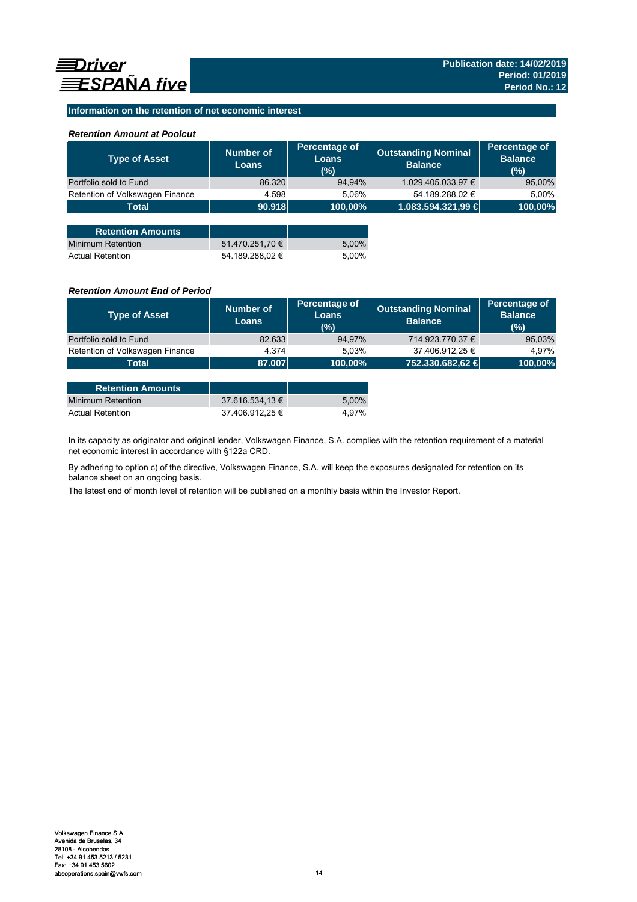### **Information on the retention of net economic interest**

### *Retention Amount at Poolcut*

| <b>Type of Asset</b>            | Number of<br><b>Loans</b> | Percentage of<br>Loans<br>(%) | <b>Outstanding Nominal</b><br><b>Balance</b> | Percentage of<br><b>Balance</b><br>(%) |
|---------------------------------|---------------------------|-------------------------------|----------------------------------------------|----------------------------------------|
| Portfolio sold to Fund          | 86.320                    | 94,94%                        | 1.029.405.033,97 €                           | 95,00%                                 |
| Retention of Volkswagen Finance | 4.598                     | 5,06%                         | 54.189.288,02 €                              | 5,00%                                  |
| <b>Total</b>                    | 90.918                    | 100,00%                       | 1.083.594.321,99 €                           | 100,00%                                |
|                                 |                           |                               |                                              |                                        |
| <b>Retention Amounts</b>        |                           |                               |                                              |                                        |
| Minimum Retention               | 51.470.251,70 €           | 5,00%                         |                                              |                                        |
| <b>Actual Retention</b>         | 54.189.288.02 €           | 5.00%                         |                                              |                                        |

### *Retention Amount End of Period*

| <b>Type of Asset</b>            | Number of<br><b>Loans</b> | Percentage of<br>Loans<br>(%) | <b>Outstanding Nominal</b><br><b>Balance</b> | Percentage of<br><b>Balance</b><br>(%) |
|---------------------------------|---------------------------|-------------------------------|----------------------------------------------|----------------------------------------|
| Portfolio sold to Fund          | 82.633                    | 94,97%                        | 714.923.770,37 €                             | 95,03%                                 |
| Retention of Volkswagen Finance | 4.374                     | 5.03%                         | 37.406.912,25 €                              | 4.97%                                  |
| Total                           | 87.007                    | $ 100,00\% $                  | 752.330.682,62 €                             | 100,00%                                |

| <b>Retention Amounts</b> |                 |       |
|--------------------------|-----------------|-------|
| Minimum Retention        | 37.616.534.13 € | 5.00% |
| <b>Actual Retention</b>  | 37.406.912.25 € | 4.97% |

In its capacity as originator and original lender, Volkswagen Finance, S.A. complies with the retention requirement of a material net economic interest in accordance with §122a CRD.

By adhering to option c) of the directive, Volkswagen Finance, S.A. will keep the exposures designated for retention on its balance sheet on an ongoing basis.

The latest end of month level of retention will be published on a monthly basis within the Investor Report.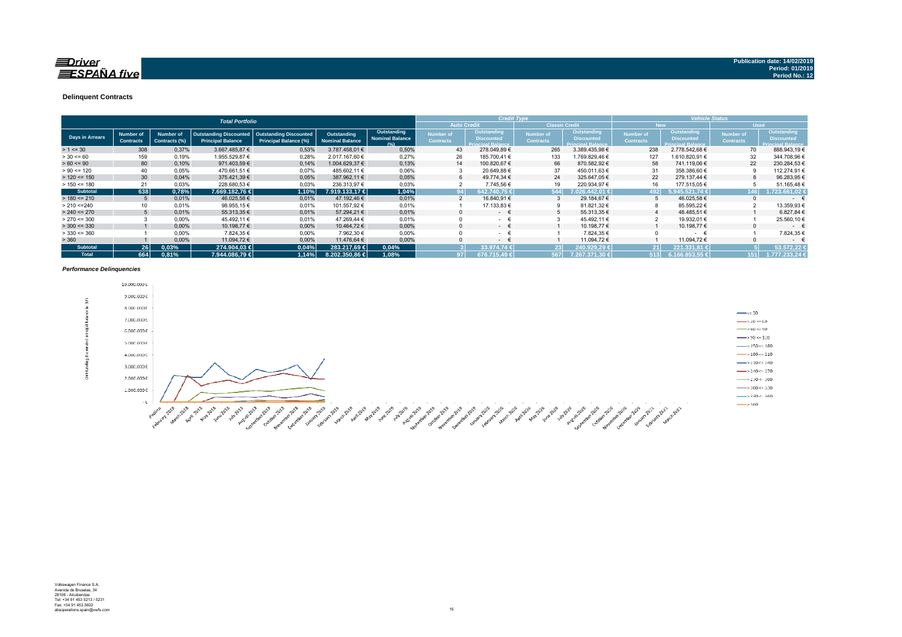### $\equiv$ Driver **ESPAÑA** five

#### **Delinquent Contracts**

|                 |                               |                            | <b>Total Portfolio</b>                                    |                                                               |                                       |                                               | <b>Credit Type</b>            |                                                                     |                                      | <b>Vehicle Status</b>                                               |                               |                                                              |                                      |                                                                     |
|-----------------|-------------------------------|----------------------------|-----------------------------------------------------------|---------------------------------------------------------------|---------------------------------------|-----------------------------------------------|-------------------------------|---------------------------------------------------------------------|--------------------------------------|---------------------------------------------------------------------|-------------------------------|--------------------------------------------------------------|--------------------------------------|---------------------------------------------------------------------|
|                 |                               |                            |                                                           |                                                               |                                       |                                               |                               | <b>Auto Credit</b>                                                  | <b>Classic Credit</b>                |                                                                     | <b>New</b>                    |                                                              | <b>Used</b>                          |                                                                     |
| Days in Arrears | Number of<br><b>Contracts</b> | Number of<br>Contracts (%) | <b>Outstanding Discounted</b><br><b>Principal Balance</b> | <b>Outstanding Discounted</b><br><b>Principal Balance (%)</b> | Outstanding<br><b>Nominal Balance</b> | Outstanding<br><b>Nominal Balance</b><br>19/1 | Number of<br><b>Contracts</b> | <b>Outstanding</b><br><b>Discounted</b><br><b>Princinal Ralance</b> | <b>Number of</b><br><b>Contracts</b> | <b>Outstanding</b><br><b>Discounted</b><br><b>Princinal Ralance</b> | Number of<br><b>Contracts</b> | Outstanding<br><b>Discounted</b><br><b>Princinal Ralance</b> | <b>Number of</b><br><b>Contracts</b> | <b>Outstanding</b><br><b>Discounted</b><br><b>Princinal Ralance</b> |
| $> 1 \le 30$    | 308                           | 0.37%                      | 3.667.485.87 €                                            | 0,53%                                                         | 3.787.458.01 €                        | 0,50%                                         | 43                            | 278.049,89€                                                         | 265                                  | 3.389.435,98 €                                                      | 238                           | 2.778.542.68 €                                               | 70                                   | 888.943,19 €                                                        |
| $> 30 \le 60$   | 159                           | 0,19%                      | 1.955.529,87 €                                            | 0,28%                                                         | 2.017.167.60 €                        | 0,27%                                         | 26                            | 185.700,41 €                                                        | 133                                  | 1.769.829,46 €                                                      | 127                           | 1.610.820,91 €                                               | 32                                   | 344.708,96 €                                                        |
| $> 60 \le 90$   | 80                            | 0,10%                      | 971.403,59 €                                              | 0.14%                                                         | 1.004.629.37 €                        | 0,13%                                         | 14                            | 100.820.67 €                                                        | 66                                   | 870.582.92 €                                                        | 58                            | 741.119.06 €                                                 | 22                                   | 230.284.53 €                                                        |
| $> 90 \le 120$  | 40                            | 0.05%                      | 470.661,51 €                                              | 0.07%                                                         | 485,602.11 €                          | 0,06%                                         |                               | 20.649,88 €                                                         |                                      | 450.011.63 €                                                        | 31                            | 358.386,60 €                                                 |                                      | 112.274.91 €                                                        |
| $> 120 \le 150$ | 30                            | 0.04%                      | 375.421,39 €                                              | 0.05%                                                         | 387,962.11 €                          | 0,05%                                         | 6                             | 49.774.34 €                                                         | 24                                   | 325.647.05 €                                                        | 22                            | 279.137.44 €                                                 |                                      | 96.283,95 €                                                         |
| $> 150 \le 180$ | 21                            | 0.03%                      | 228.680,53 €                                              | 0,03%                                                         | 236.313,97 €                          | 0,03%                                         |                               | 7.745,56 €                                                          | 19                                   | 220.934.97 €                                                        | 16                            | 177.515,05 €                                                 |                                      | 51.165.48 €                                                         |
| <b>Subtotal</b> | 638                           | 0,78%                      | 7.669.182.76 €                                            | 1,10%                                                         | 7.919.133.17 €                        | 1,04%                                         | 94                            | 642.740.75 €                                                        | 544                                  | $7.026.442.01 \in$                                                  | 192                           | 5.945.521.74 €                                               | 146                                  | 1.723.661.02 €                                                      |
| $> 180 \le 210$ |                               | 0,01%                      | 46.025,58 €                                               | 0,01%                                                         | 47.192.46 €                           | 0.01%                                         |                               | 16.840,91 €                                                         |                                      | 29.184.67 €                                                         |                               | 46.025,58 €                                                  |                                      | $ \epsilon$                                                         |
| > 210 < 240     |                               | 0.01%                      | 98.955,15 €                                               | 0.01%                                                         | 101.557.92 €                          | 0.01%                                         |                               | 17.133,83 €                                                         |                                      | 81.821,32 €                                                         |                               | 85.595,22 €                                                  |                                      | 13.359,93 €                                                         |
| $> 240 \le 270$ |                               | 0,01%                      | 55.313,35 €                                               | 0,01%                                                         | 57.294.21 €                           | 0,01%                                         | $\Omega$                      | $\sim$ 100 $\mu$                                                    |                                      | 55.313,35 €                                                         |                               | 48.485,51 €                                                  |                                      | 6.827,84 €                                                          |
| $> 270 \le 300$ |                               | 0,00%                      | 45.492,11 €                                               | 0.01%                                                         | 47.269.44 €                           | 0,01%                                         |                               | $\sim$                                                              |                                      | 45.492.11 €                                                         |                               | 19.932,01 €                                                  |                                      | 25.560,10 €                                                         |
| $>$ 300 <= 330  |                               | 0,00%                      | 10.198,77 €                                               | 0,00%                                                         | 10.464.72 €                           | 0.00%                                         | $\Omega$                      | $ \epsilon$                                                         |                                      | 10.198.77 €                                                         |                               | 10.198,77 €                                                  |                                      | $\sim$                                                              |
| $> 330 \le 360$ |                               | 0,00%                      | 7.824,35 €                                                | $0,00\%$                                                      | 7.962,30 €                            | 0,00%                                         |                               | $\sim$                                                              |                                      | 7.824,35 €                                                          |                               | $\sim$                                                       |                                      | 7.824,35 €                                                          |
| > 360           |                               | 0,00%                      | 11.094,72 €                                               | 0,00%                                                         | 11.476,64 €                           | 0,00%                                         |                               | $\sim$                                                              |                                      | 11.094.72 €                                                         |                               | 11.094,72 €                                                  |                                      | $ \epsilon$                                                         |
| <b>Subtotal</b> | 26 <sup>1</sup>               | 0.03%                      | 274.904.03 €                                              | 0,04%                                                         | 283.217.69 €                          | 0.04%                                         |                               | 33.974.74 €                                                         | 231                                  | 240.929.29€                                                         |                               | 221.331.81 €                                                 |                                      | 53.572.22                                                           |
| <b>Total</b>    | 664                           | 0,81%                      | 7.944.086.79 €                                            | 1.14%                                                         | 8.202.350.86 €                        | 1.08%                                         | 97 <sup>1</sup>               | 676.715.49 €                                                        | 567                                  | 7.267.371.30 €                                                      | 513                           | 6.166.853.55 €                                               | 151                                  | 1.777.233.24 €                                                      |

#### *Performance Delinquencies*

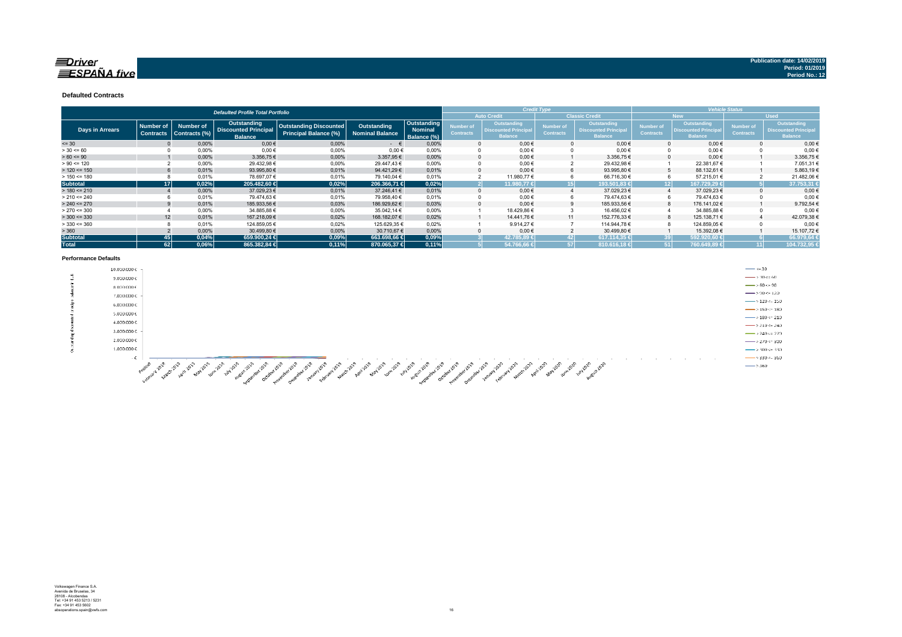### $\equiv$ Driver  $ESPA\tilde{N}A$  five

#### **Defaulted Contracts**

|                 |                                      |                                   | <b>Defaulted Profile Total Portfolio</b>                     |                                                               |                                |                                              | <b>Credit Type</b>            |                                                              |                               |                                                              | <b>Vehicle Status</b>         |                                                                    |                               |                                                                    |  |
|-----------------|--------------------------------------|-----------------------------------|--------------------------------------------------------------|---------------------------------------------------------------|--------------------------------|----------------------------------------------|-------------------------------|--------------------------------------------------------------|-------------------------------|--------------------------------------------------------------|-------------------------------|--------------------------------------------------------------------|-------------------------------|--------------------------------------------------------------------|--|
|                 |                                      |                                   |                                                              |                                                               |                                |                                              |                               | <b>Auto Credit</b>                                           |                               | <b>Classic Credit</b>                                        |                               | <b>New</b>                                                         | <b>Used</b>                   |                                                                    |  |
| Days in Arrears | <b>Number of</b><br><b>Contracts</b> | <b>Number of</b><br>Contracts (%) | Outstanding<br><b>Discounted Principal</b><br><b>Balance</b> | <b>Outstanding Discounted</b><br><b>Principal Balance (%)</b> | Outstanding<br>Nominal Balance | Outstanding<br><b>Nominal</b><br>Balance (%) | Number of<br><b>Contracts</b> | Outstanding<br><b>Discounted Principal</b><br><b>Balance</b> | Number of<br><b>Contracts</b> | Outstanding<br><b>Discounted Principal</b><br><b>Balance</b> | Number of<br><b>Contracts</b> | <b>Outstanding</b><br><b>Discounted Principa</b><br><b>Balance</b> | Number of<br><b>Contracts</b> | <b>Outstanding</b><br><b>Discounted Principa</b><br><b>Balance</b> |  |
| $= 30$          |                                      | 0,00%                             | $0,00 \in$                                                   | 0,00%                                                         | $ \epsilon$                    | 0,00%                                        |                               | $0,00 \in$                                                   |                               | $0.00 \in$                                                   |                               | $0,00 \in$                                                         |                               | 0,00€                                                              |  |
| $> 30 \le 60$   |                                      | 0,00%                             | $0,00$ €                                                     | 0,00%                                                         | $0,00 \in$                     | 0.00%                                        |                               | $0,00 \in$                                                   |                               | $0,00 \in$                                                   |                               | $0.00 \in$                                                         |                               | 0,00€                                                              |  |
| $> 60 \le 90$   |                                      | 0,00%                             | 3.356,75 €                                                   | 0,00%                                                         | 3.357,95 €                     | 0,00%                                        |                               | $0,00 \in$                                                   |                               | 3.356,75 €                                                   |                               | $0,00 \in$                                                         |                               | 3.356,75€                                                          |  |
| $> 90 \le 120$  |                                      | 0,00%                             | 29.432,98 €                                                  | 0,00%                                                         | 29.447.43 €                    | 0.00%                                        |                               | $0,00 \in$                                                   |                               | 29.432,98€                                                   |                               | 22.381,67 €                                                        |                               | 7.051,31 €                                                         |  |
| $> 120 \le 150$ |                                      | 0.01%                             | 93.995,80 €                                                  | 0.01%                                                         | 94.421.29 €                    | 0.01%                                        |                               | $0.00 \in$                                                   |                               | 93.995,80 €                                                  |                               | 88.132.61 €                                                        |                               | 5.863,19€                                                          |  |
| $> 150 \le 180$ |                                      | 0.01%                             | 78.697.07 €                                                  | 0.01%                                                         | 79.140.04 €                    | 0.01%                                        |                               | 11.980,77 €                                                  |                               | 66.716,30 €                                                  |                               | 57.215,01 €                                                        |                               | 21.482,06€                                                         |  |
| <b>Subtotal</b> | 171                                  | 0,02%                             | 205.482,60 €                                                 | 0,02%                                                         | 206.366.71 €                   | 0,02%                                        |                               | 11.980,77 €                                                  |                               | 193.501.83 €                                                 |                               | 167.729.29 €<br>12 I                                               |                               | 37.753,31                                                          |  |
| $> 180 \le 210$ |                                      | 0,00%                             | 37.029,23 €                                                  | 0,01%                                                         | 37.246.41 €                    | 0.01%                                        |                               | $0,00 \in$                                                   |                               | 37.029,23 €                                                  |                               | 37.029,23 €                                                        |                               | $0,00 \in$                                                         |  |
| $> 210 \le 240$ |                                      | 0,01%                             | 79.474,63 €                                                  | 0,01%                                                         | 79.958,40 €                    | 0,01%                                        |                               | 0,00€                                                        |                               | 79.474,63€                                                   |                               | 79.474,63 €                                                        |                               | $0,00$ €                                                           |  |
| $> 240 \le 270$ |                                      | 0.01%                             | 185.933,56 €                                                 | 0,03%                                                         | 186.929,62 €                   | 0.03%                                        |                               | $0,00 \in$                                                   |                               | 185.933,56 €                                                 |                               | 176.141.02 €                                                       |                               | 9.792,54 €                                                         |  |
| $> 270 \le 300$ |                                      | 0.00%                             | 34.885,88 €                                                  | $0.00\%$                                                      | 35.042.14 €                    | 0.00%                                        |                               | 18.429,86 €                                                  |                               | 16.456,02€                                                   |                               | 34.885,88 €                                                        |                               | 0,00€                                                              |  |
| $>$ 300 <= 330  | 12                                   | 0.01%                             | 167.218,09€                                                  | 0,02%                                                         | 168.182,07 €                   | 0.02%                                        |                               | 14.441.76 €                                                  | 11                            | 152.776,33 €                                                 |                               | 125.138,71 €                                                       |                               | 42.079,38 €                                                        |  |
| $>$ 330 <= 360  |                                      | 0.01%                             | 124.859,05 €                                                 | 0.02%                                                         | 125.629.35 €                   | 0.02%                                        |                               | 9.914.27€                                                    |                               | 114.944.78 €                                                 |                               | 124.859.05 €                                                       |                               | 0.00€                                                              |  |
| > 360           |                                      | 0,00%                             | 30.499,80 €                                                  | 0,00%                                                         | 30.710,67€                     | 0,00%                                        |                               | $0.00 \in$                                                   |                               | 30.499,80 €                                                  |                               | 15.392,08 €                                                        |                               | 15.107,72€                                                         |  |
| <b>Subtotal</b> | 45                                   | 0,04%                             | 659.900.24 €                                                 | 0,09%                                                         | 663.698.66 €                   | 0,09%                                        |                               | 42.785.89 €                                                  | 421                           | 617.114.35 €                                                 |                               | 592.920.60 €                                                       |                               | 66.979,64                                                          |  |
| <b>Total</b>    | 62                                   | 0,06%                             | 865.382,84 €                                                 | 0,11%                                                         | 870.065,37 €                   | 0.11%                                        |                               | 54.766,66 €                                                  |                               | 810.616,18 €                                                 |                               | 760.649,89 €                                                       |                               | 104.732,95                                                         |  |

#### **Performance Defaults**

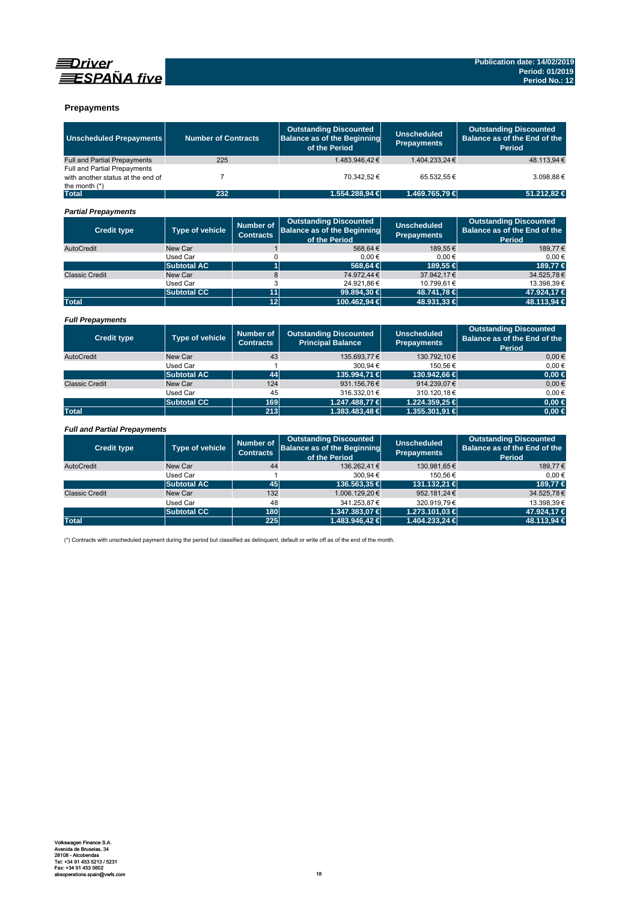



### **Prepayments**

| <b>Unscheduled Prepayments</b>                       | <b>Number of Contracts</b> |                                      | <b>Outstanding Discounted</b><br><b>Balance as of the Beginning</b><br>of the Period | <b>Unscheduled</b><br><b>Prepayments</b> | <b>Outstanding Discounted</b><br>Balance as of the End of the<br><b>Period</b> |
|------------------------------------------------------|----------------------------|--------------------------------------|--------------------------------------------------------------------------------------|------------------------------------------|--------------------------------------------------------------------------------|
| Full and Partial Prepayments                         | 225                        |                                      | 1.483.946.42€                                                                        | 1.404.233.24 €                           | 48.113.94 €                                                                    |
| Full and Partial Prepayments                         |                            |                                      |                                                                                      |                                          |                                                                                |
| with another status at the end of<br>the month $(*)$ | $\overline{7}$             |                                      | 70.342,52€                                                                           | 65.532,55€                               | 3.098,88€                                                                      |
| <b>Total</b>                                         | 232                        |                                      | 1.554.288.94 €                                                                       | 1.469.765,79 €                           | 51.212,82 €                                                                    |
| <b>Partial Prepayments</b>                           |                            |                                      |                                                                                      |                                          |                                                                                |
| <b>Credit type</b>                                   | <b>Type of vehicle</b>     | <b>Number of</b><br><b>Contracts</b> | <b>Outstanding Discounted</b><br><b>Balance as of the Beginning</b><br>of the Period | <b>Unscheduled</b><br><b>Prepayments</b> | <b>Outstanding Discounted</b><br>Balance as of the End of the<br><b>Period</b> |
| AutoCredit                                           | New Car                    | $\mathbf{1}$                         | 568.64€                                                                              | 189.55€                                  | 189.77€                                                                        |
|                                                      | Used Car                   | 0                                    | $0.00 \in$                                                                           | 0.00€                                    | 0.00€                                                                          |
|                                                      | <b>Subtotal AC</b>         | $\overline{1}$                       | 568,64 €                                                                             | 189.55 €                                 | 189.77 €                                                                       |
| <b>Classic Credit</b>                                | New Car                    | 8                                    | 74.972.44 €                                                                          | 37.942.17€                               | 34.525,78€                                                                     |
|                                                      | Used Car                   | 3                                    | 24.921,86€                                                                           | 10.799,61€                               | 13.398,39€                                                                     |
|                                                      | <b>Subtotal CC</b>         | 11                                   | 99.894,30 €                                                                          | 48.741,78 €                              | 47.924,17 €                                                                    |
| <b>Total</b>                                         |                            | 12                                   | 100.462,94 €                                                                         | 48.931,33 €                              | 48.113,94 €                                                                    |
| <b>Full Prepayments</b>                              |                            |                                      |                                                                                      |                                          |                                                                                |
| <b>Credit type</b>                                   | <b>Type of vehicle</b>     | <b>Number of</b><br><b>Contracts</b> | <b>Outstanding Discounted</b><br><b>Principal Balance</b>                            | <b>Unscheduled</b><br><b>Prepayments</b> | <b>Outstanding Discounted</b><br>Balance as of the End of the<br><b>Period</b> |
| AutoCredit                                           | New Car                    | 43                                   | 135.693.77 €                                                                         | 130.792,10€                              | $0.00 \in$                                                                     |
|                                                      | <b>Used Car</b>            | 1                                    | 300,94€                                                                              | 150,56€                                  | $0,00 \in$                                                                     |
|                                                      | <b>Subtotal AC</b>         | 44                                   | 135,994.71 €                                                                         | 130.942.66 €                             | $0.00 \in$                                                                     |
| <b>Classic Credit</b>                                | New Car                    | 124                                  | 931.156,76€                                                                          | 914.239.07€                              | $0.00 \in$                                                                     |
|                                                      | <b>Used Car</b>            | 45                                   | 316.332,01€                                                                          | 310.120,18€                              | $0,00 \in$                                                                     |
|                                                      | <b>Subtotal CC</b>         | 169                                  | 1.247.488,77 €                                                                       | 1.224.359.25 €                           | $0.00 \in$                                                                     |
| <b>Total</b>                                         |                            | 213                                  | 1.383.483,48 €                                                                       | 1.355.301,91 €                           | $0,00 \in$                                                                     |
| <b>Full and Partial Prepayments</b>                  |                            |                                      |                                                                                      |                                          |                                                                                |
| <b>Credit type</b>                                   | Type of vehicle            | <b>Number of</b><br><b>Contracts</b> | <b>Outstanding Discounted</b><br><b>Balance as of the Beginning</b><br>of the Period | <b>Unscheduled</b><br><b>Prepayments</b> | <b>Outstanding Discounted</b><br>Balance as of the End of the<br><b>Period</b> |
| AutoCredit                                           | New Car                    | 44                                   | 136.262.41€                                                                          | 130.981.65€                              | 189.77€                                                                        |

|                       |                    |     | <b>UILIEI GIUU</b> |                    | i Gilou     |
|-----------------------|--------------------|-----|--------------------|--------------------|-------------|
| AutoCredit            | New Car            | 44  | 136.262,41€        | 130.981,65€        | 189,77€     |
|                       | Used Car           |     | 300.94€            | 150.56€            | $0.00 \in$  |
|                       | <b>Subtotal AC</b> | 45  | 136,563,35 €       | 131.132.21 €       | 189.77 €    |
| <b>Classic Credit</b> | New Car            | 132 | 1.006.129,20€      | 952.181,24€        | 34.525,78€  |
|                       | Used Car           | 48  | 341.253.87 €       | 320.919.79€        | 13.398.39€  |
|                       | Subtotal CC        | 180 | 1.347.383.07 €     | 1.273.101.03 €     | 47.924.17 € |
| <b>Total</b>          |                    | 225 | $1.483.946.42 \in$ | $1.404.233.24 \in$ | 48.113.94 € |

(\*) Contracts with unscheduled payment during the period but classified as delinquent, default or write off as of the end of the month.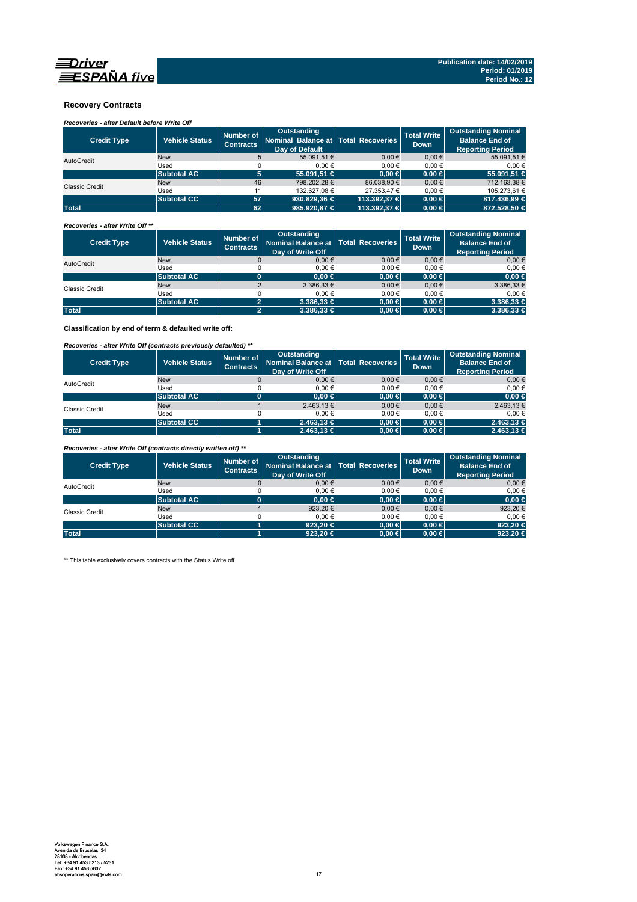

### **Recovery Contracts**

*Recoveries - after Default before Write Off* 

| <b>Credit Type</b>    | <b>Vehicle Status</b> | Number of<br><b>Contracts</b> | Outstanding<br>Nominal Balance at   Total Recoveries<br>Day of Default |              | <b>Total Write</b><br><b>Down</b> | <b>Outstanding Nominal</b><br><b>Balance End of</b><br><b>Reporting Period</b> |
|-----------------------|-----------------------|-------------------------------|------------------------------------------------------------------------|--------------|-----------------------------------|--------------------------------------------------------------------------------|
| AutoCredit            | <b>New</b>            | 5                             | 55.091.51 €                                                            | $0.00 \in$   | $0.00 \in$                        | 55.091,51 €                                                                    |
|                       | Used                  |                               | 0.00€                                                                  | 0.00€        | 0.00€                             | 0.00€                                                                          |
|                       | <b>Subtotal AC</b>    | 5                             | 55.091.51 €                                                            | $0.00 \in$   | $0.00 \in$                        | 55.091.51 €                                                                    |
| <b>Classic Credit</b> | <b>New</b>            | 46                            | 798.202.28 €                                                           | 86.038.90 €  | $0.00 \in$                        | 712.163.38 €                                                                   |
|                       | Used                  |                               | 132.627.08 €                                                           | 27.353.47 €  | $0.00 \in$                        | 105.273.61 €                                                                   |
|                       | <b>Subtotal CC</b>    | 57                            | 930.829.36                                                             | 113,392,37 € | $0.00 \in$                        | 817.436.99 €                                                                   |
| <b>Total</b>          |                       | 62                            | 985,920,87 €                                                           | 113.392,37 € | $0.00 \in$                        | 872.528.50 €                                                                   |

*Recoveries - after Write Off \*\**

| <b>Credit Type</b> | <b>Vehicle Status</b> | Number of<br><b>Contracts</b> | <b>Outstanding</b><br>Nominal Balance at   Total Recoveries<br>Day of Write Off |            | <b>Total Write</b><br><b>Down</b> | <b>Outstanding Nominal</b><br><b>Balance End of</b><br><b>Reporting Period</b> |
|--------------------|-----------------------|-------------------------------|---------------------------------------------------------------------------------|------------|-----------------------------------|--------------------------------------------------------------------------------|
| AutoCredit         | <b>New</b>            |                               | $0,00 \in$                                                                      | 0.00€      | 0.00€                             | $0,00 \in$                                                                     |
|                    | Used                  |                               | 0.00€                                                                           | 0.00€      | 0.00€                             | $0.00 \in$                                                                     |
|                    | <b>Subtotal AC</b>    |                               | $0.00 \in$                                                                      | $0,00 \in$ | $0.00 \in$                        | $0,00 \in$                                                                     |
| Classic Credit     | <b>New</b>            |                               | $3.386,33 \in$                                                                  | $0.00 \in$ | $0,00 \in$                        | 3.386,33 €                                                                     |
|                    | Used                  |                               | 0.00€                                                                           | 0.00€      | 0.00€                             | $0.00 \in$                                                                     |
|                    | <b>Subtotal AC</b>    | $\mathbf{2}$                  | $3.386.33 \in$                                                                  | $0,00 \in$ | $0.00 \in$                        | $3.386,33 \in$                                                                 |
| <b>Total</b>       |                       | 2ľ                            | $3.386.33 \in$                                                                  | $0,00 \in$ | $0.00 \in$                        | $3.386.33 \in$                                                                 |

**Classification by end of term & defaulted write off:**

*Recoveries - after Write Off (contracts previously defaulted) \*\**

| <b>Credit Type</b> | <b>Vehicle Status</b> | Number of<br><b>Contracts</b> | Outstanding<br>Nominal Balance at   Total Recoveries<br>Day of Write Off |            | <b>Total Write</b><br>Down. | <b>Outstanding Nominal</b><br><b>Balance End of</b><br><b>Reporting Period</b> |
|--------------------|-----------------------|-------------------------------|--------------------------------------------------------------------------|------------|-----------------------------|--------------------------------------------------------------------------------|
| AutoCredit         | <b>New</b>            |                               | 0.00€                                                                    | 0.00€      | $0,00 \in$                  | $0,00 \in$                                                                     |
|                    | Used                  |                               | 0.00€                                                                    | $0.00 \in$ | 0.00€                       | $0.00 \in$                                                                     |
|                    | <b>Subtotal AC</b>    |                               | $0.00 \in$                                                               | $0,00 \in$ | $0.00 \in$                  | $0,00 \in$                                                                     |
| Classic Credit     | <b>New</b>            |                               | 2.463,13€                                                                | 0.00€      | $0.00 \in$                  | 2.463,13 €                                                                     |
|                    | Used                  |                               | 0.00€                                                                    | $0.00 \in$ | 0.00€                       | $0.00 \in$                                                                     |
|                    | <b>Subtotal CC</b>    |                               | $2.463.13 \in$                                                           | $0.00 \in$ | $0.00 \in$                  | $2.463,13 \in$                                                                 |
| <b>Total</b>       |                       |                               | $2.463,13 \in$                                                           | $0,00 \in$ | $0.00 \in$                  | $2.463,13 \in$                                                                 |

*Recoveries - after Write Off (contracts directly written off) \*\**

| <b>Credit Type</b> | <b>Vehicle Status</b> | Number of<br><b>Contracts</b> | Outstanding<br>Nominal Balance at   Total Recoveries<br>Day of Write Off |            | <b>Total Write</b><br><b>Down</b> | <b>Outstanding Nominal</b><br><b>Balance End of</b><br><b>Reporting Period</b> |
|--------------------|-----------------------|-------------------------------|--------------------------------------------------------------------------|------------|-----------------------------------|--------------------------------------------------------------------------------|
| AutoCredit         | <b>New</b>            |                               | 0.00€                                                                    | $0.00 \in$ | 0.00€                             | $0,00 \in$                                                                     |
|                    | Used                  |                               | 0.00€                                                                    | 0.00€      | 0.00€                             | $0.00 \in$                                                                     |
|                    | <b>Subtotal AC</b>    | 01                            | $0.00 \in$                                                               | $0,00 \in$ | $0.00 \in$                        | $0,00 \in$                                                                     |
| Classic Credit     | <b>New</b>            |                               | 923,20€                                                                  | $0.00 \in$ | 0.00€                             | 923,20€                                                                        |
|                    | Used                  |                               | 0.00€                                                                    | 0.00€      | 0.00€                             | $0.00 \in$                                                                     |
|                    | <b>Subtotal CC</b>    |                               | 923.20 $\in$                                                             | $0.00 \in$ | $0.00 \in$                        | 923,20 €                                                                       |
| <b>Total</b>       |                       |                               | 923.20 $\in$                                                             | $0,00 \in$ | $0.00 \in$                        | 923,20 €                                                                       |

\*\* This table exclusively covers contracts with the Status Write off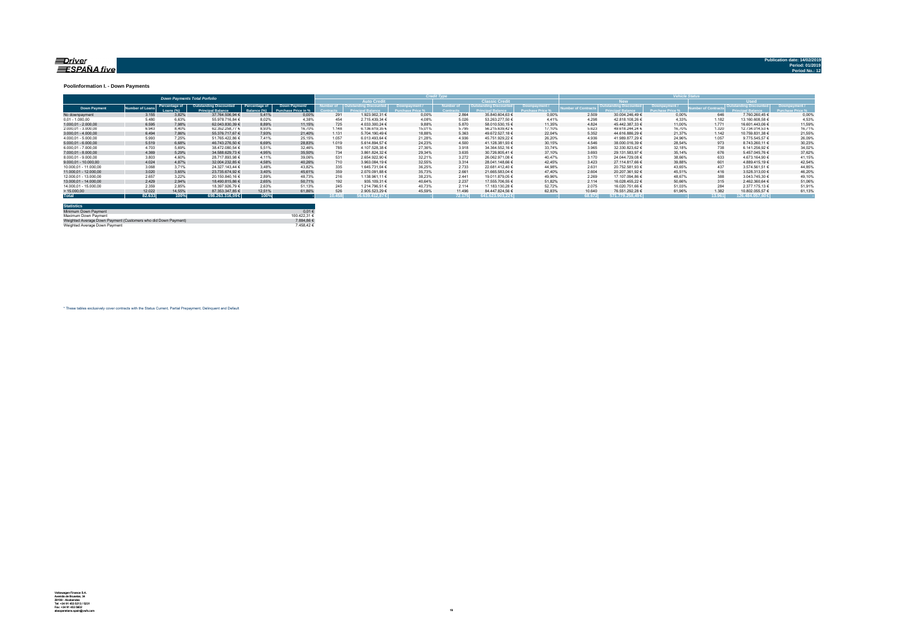#### <u>=Driver</u> ESPAÑA five

**Publication date: 14/02/20** 

#### **Poolinformation I. - Down Payments**

|                       | <b>Down Payments Total Porfolio</b> |                            |                                                           |                               |                                      |       |                                   |        |                  |                        |        | ______          |                        |        |        |                  |        |
|-----------------------|-------------------------------------|----------------------------|-----------------------------------------------------------|-------------------------------|--------------------------------------|-------|-----------------------------------|--------|------------------|------------------------|--------|-----------------|------------------------|--------|--------|------------------|--------|
|                       |                                     |                            |                                                           |                               |                                      |       | <b>Auto Credit</b>                |        |                  | <b>Classic Credita</b> |        |                 | <b>RW</b>              |        |        | <b>Head</b>      |        |
| <b>Down Payment</b>   | umber of Loan                       | Percentage of<br>Loang (%) | <b>Outstanding Discounted</b><br><b>Princinal Balance</b> | Percentage of<br>lalance (%). | Down Payment/<br>Purchase Price in % |       | umber of   Outstanding Discounted |        | <b>Jumber</b> of | Outstanding Discounted |        | mber of Contrac | Outstanding Discounted |        |        |                  |        |
| No downpayment        | 3.155                               | 3.82%                      | 37.764.506.94 €                                           | 5.41%                         | 0.00%                                | 291   | 1.923.902.31 €                    | 0.00%  | 2.864            | 35.840.604.63 €        | 0.00%  | 2.509           | 30.004.246.49 €        | 0.00%  | 646    | 7.760.260.45 €   | 0.00%  |
| $0.01 - 1.000.00$     | 5.480                               | 6.63%                      | 55.978.716.84 €                                           | 8.02%                         | 4.38%                                | 454   | 2.715.439,34 €                    | 4.08%  | 5.026            | 53.263.277.50 €        | 4 4 1% | 4.298           | 42.818.108.26 €        | 4.33%  | 1.182  | 13.160.608.58 €  | 4,53%  |
| $1.000.01 - 2.000.00$ | 6.595                               | 7.98%                      | 62.043.830.39 €                                           | 8.89%                         | 11.15%                               | 725   | 4.033.300.24 €                    | 9.88%  | 5.870            | 58.010.530.15 €        | 11.35% | 4.824           | 45.442.387.33 €        | 11.00% | 1.771  | 16.601.443.06 €  | 11.59% |
| 2.000.01 - 3.000.00   | 6.943                               | 8.40%                      | 62.352.258.77 €                                           | 8.93%                         | 16.70%                               | 1.148 | 6.136.619.35 €                    | 15.01% | 5.795            | 56.215.639.42 €        | 17.10% | 5.623           | 49.618.244.24 €        | 16.70% | 1.320  | 12.734.014.53 €  | 16.71% |
| $3.000.01 - 4.000.00$ | 6.494                               | 7.86%                      | 55.376.717.67 €                                           | 7.93%                         | 21,40%                               | 1.131 | 5.704.190.49 €                    | 18.88% | 5.363            | 49.672.527.18 €        | 22.04% | 5.352           | 44.616.886.29 €        | 21.37% | 1.142  | 10.759.831.38 €  | 21.55% |
| 4.000.01 - 5.000.00   | 5.993                               | 7.25%                      | 51.765.422.86 6                                           | 7.41%                         | 25.15%                               | 1.057 | 6.013.493.64 €                    | 21.28% | 4.936            | 45.751.929.22 €        | 26.20% | 4.936           | 41.989.877.29 €        | 24.96% | 1.057  | 9.775.545.57 €   | 26,09% |
| $5.000.01 - 6.000.00$ | 5.519                               | 6.68%                      | 46.743.276.50 €                                           | 6.69%                         | 28.83%                               | 1.019 | 5.614.894.57 €                    | 24.23% | 4.500            | 41.128.381.93 €        | 30.15% | 4.546           | 38.000.016.39 €        | 28.54% | 973    | 8.743.260.11 €   | 30,23% |
| 6.000.01 - 7.000.00   | 4.703                               | 5.69%                      | 38.472.080.54 €                                           | 5.51%                         | 32.46%                               | 785   | 4.107.528.38 €                    | 27.36% | 3.918            | 34.364.552.16 €        | 33.74% | 3.965           | 32.330.823.62 €        | 32.18% | 738    | 6.141.256.92 €   | 34,02% |
| 7.000.01 - 8.000.00   | 4.369                               | 5.29%                      | 34.588.629.73 €                                           | 4.95%                         | 35.50%                               | 734   | 3.861.824.32 €                    | 29.34% | 3.635            | 30.726.805.41 €        | 37.10% | 3.693           | 29.131.583.97 €        | 35.14% | 676    | 5.457.045.76 €   | 37,62% |
| 8.000.01 - 9.000.00   | 3.803                               | 4.60%                      | 28.717.893.98 €                                           | 4.11%                         | 39.06%                               | 531   | 2.654.922.90 €                    | 32.21% | 3.272            | 26.062.971.08 €        | 40.47% | 3.170           | 24.044.729.08 €        | 38.66% | 633    | 4.673.164.90 €   | 41.15% |
| 9.000.01 - 10.000.00  | 4.024                               | 4.87%                      | 32.004.232.85 €                                           | 4.58%                         | 40.26%                               | 710   | 3.963.084.19 €                    | 32.55% | 3.314            | 28.041.148.66 €        | 42.45% | 3.423           | 27.114.817.66 €        | 39.88% |        | 4.889.415.19 €   | 42.54% |
| 10.000.01 - 11.000.00 | 3.068                               | 3.71%                      | 24.327.143.44 €                                           | 3.48%                         | 43.82%                               | 335   | 1.645.731.04 €                    | 36.25% | 2.733            | 22.681.412.40 €        | 44.98% | 2.631           | 20.752.581.93 €        | 43.65% | 437    | 3.574.561.51 €   | 44.85% |
| 11.000.01 - 12.000.00 | 3.020                               | 3.65%                      | 23.735.674.92 €                                           | 3.40%                         | 45.61%                               | 359   | 2.070.091.88 €                    | 35.73% | 2.661            | 21.665.583.04 €        | 47.40% | 2.604           | 20.207.361.92 €        | 45.51% | 416    | 3.528.313.00 €   | 46.20% |
| 12.000.01 - 13.000.00 | 2.657                               | 3.22%                      | 20.150.840.16 €                                           | 2.89%                         | 48.73%                               | 216   | 1.138.961,11 €                    | 38.23% | 2.441            | 19.011.879.05 €        | 49.96% | 2.269           | 17.107.094.86 €        | 48.67% | 388    | 3.043.745.30 €   | 49.10% |
| 13.000.01 - 14.000.00 | 2.429                               | 2.94%                      | 18,490,815,86 €                                           | 2.65%                         | 50.71%                               | 192   | 935,109,31 €                      | 40.64% | 2.237            | 17.555.706.55 €        | 51.82% | 2.114           | 16.028.455.22 €        | 50.66% | 315    | 2.462.360.64 €   | 51,06% |
| 14.000.01 - 15.000.00 | 2.359                               | 2.85%                      | 18,397,926.79 €                                           | 2.63%                         | 51.13%                               | 245   | 1.214.796.51 €                    | 40.73% | 2.114            | 17.183.130.28 €        | 52.72% | 2.075           | 16.020.751.66 €        | 51.03% | 284    | 2.377.175.13 €   | 51.91% |
| >15.000,00            | 12.022                              | 14.55%                     | 87.353.347.85 €                                           | 12.51%                        | 61.86%                               | 52(   | 2.905.523.29 €                    | 45.59% | 11,496           | 84.447.824.56 €        | 62.83% | 10.640          | 76.551.292.28 €        | 61.96% | 1.382  | 10.802.055.57 €  | 61.13% |
| <b>Total</b>          | 82.633                              | 100%                       | 698.263.316.09 €                                          | 100%                          |                                      | 0.458 | 56.639.412.87€                    |        | 72.175           | 641.623.903.22 €       |        | 68.672          | 571.779.258.49 €       |        | 13,961 | 126,484,057,60 € |        |

| <b>Statistics</b>                                              |              |
|----------------------------------------------------------------|--------------|
| Minimum Down Payment                                           | 0.01€        |
| Maximum Down Payment                                           | 100 422 31 6 |
| Weighted Average Down Payment (Customers who did Down Payment) | 7.884.86 €   |
| Weighted Average Down Payment                                  | 7.458.42 €   |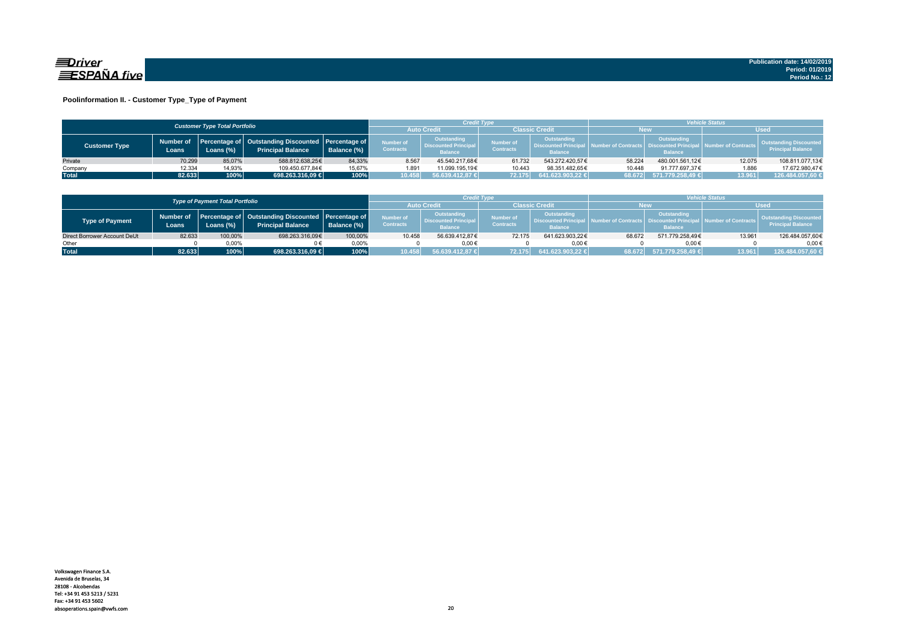

### **Poolinformation II. - Customer Type\_Type of Payment**

|                      |                    | <b>Customer Type Total Portfolio</b> |                                                                                    |                                              |                                     | Credit Type                                                  |                               |                                                                    | <b>Vehicle Status</b>     |                                                                          |                                                                                      |                  |  |
|----------------------|--------------------|--------------------------------------|------------------------------------------------------------------------------------|----------------------------------------------|-------------------------------------|--------------------------------------------------------------|-------------------------------|--------------------------------------------------------------------|---------------------------|--------------------------------------------------------------------------|--------------------------------------------------------------------------------------|------------------|--|
|                      |                    |                                      |                                                                                    |                                              | Classic Credit<br><b>Auto Credi</b> |                                                              |                               |                                                                    | <b>New</b><br><b>Used</b> |                                                                          |                                                                                      |                  |  |
| <b>Customer Type</b> | Number of<br>Loans | Loans (%)                            | Percentage of   Outstanding Discounted   Percentage of<br><b>Principal Balance</b> | Number of<br><b>Contracts</b><br>Balance (%) |                                     | Outstanding<br><b>Discounted Principal</b><br><b>Balance</b> | Number of<br><b>Contracts</b> | <b>Outstanding</b><br><b>Discounted Principa</b><br><b>Balance</b> |                           | Outstanding<br>umber of Contracts丨 Discounted Principa<br><b>Balance</b> | <b>Outstanding Discounted</b><br>all Number of Contracts<br><b>Principal Balance</b> |                  |  |
| Private              | 70.299             | 85.07%                               | 588.812.638.25€                                                                    | 84.33%                                       | 8.567                               | 45.540.217,68€                                               | 61.732                        | 543.272.420.57€                                                    | 58.224                    | 480.001.561.12€                                                          | 12.075                                                                               | 108.811.077,13€  |  |
| Company              | 12.334             | 14,93%                               | 109.450.677.84€                                                                    | 15,67%                                       | 1.891                               | 11.099.195.19€                                               | 10.443                        | 98.351.482.65€                                                     | 10.448                    | 91.777.697.37€                                                           | 1.886                                                                                | 17.672.980.47€   |  |
| <b>Total</b>         | 82.633             | 100%                                 | 698.263.316,09 €                                                                   | 100%                                         | 0.458                               | 56.639.412.87                                                | 72.175                        | $641.623.903,22 \in$                                               | 68.672                    | 571.779.258,49 €                                                         | 13.961                                                                               | 126.484.057,60 € |  |

|                                        |        |              |                                                                                          |             |                                      | Credit Type                                                  |                               |                                                                    | <b>/ehicle Status</b> |                                                         |                     |                                                           |
|----------------------------------------|--------|--------------|------------------------------------------------------------------------------------------|-------------|--------------------------------------|--------------------------------------------------------------|-------------------------------|--------------------------------------------------------------------|-----------------------|---------------------------------------------------------|---------------------|-----------------------------------------------------------|
| <b>Type of Payment Total Portfolio</b> |        |              |                                                                                          |             | <b>Auto Credi</b>                    |                                                              | <b>Classic Credit</b>         |                                                                    | <b>New</b>            |                                                         | Wsed                |                                                           |
| Type of Payment                        | Loans  | Loans $(\%)$ | Number of Percentage of Outstanding Discounted Percentage of<br><b>Principal Balance</b> | Balance (%) | <b>Number of</b><br><b>Contracts</b> | Outstanding<br><b>Discounted Principal</b><br><b>Balance</b> | Number of<br><b>Contracts</b> | <b>Outstanding</b><br><b>Discounted Principa</b><br><b>Balance</b> |                       | Outstanding<br><b>Discounted Prin</b><br><b>Balance</b> | lumber of Contracts | <b>Outstanding Discounted</b><br><b>Principal Balance</b> |
| Direct Borrower Account DeUt           | 82.633 | 100,00%      | 698.263.316,09€                                                                          | 100.00%     | 10.458                               | 56.639.412.87€                                               | 72.175                        | 641.623.903.22€                                                    | 68.672                | 571.779.258.49€                                         | 13.961              | 126.484.057,60€                                           |
| Other                                  |        | 0.00%        |                                                                                          | 0.00%       |                                      | $0.00 \in$                                                   |                               | 0.00€                                                              |                       | $0.00 \in$                                              |                     | $0.00 \in$                                                |
| <b>Total</b>                           | 82.633 | 100%         | 698.263.316.09 €                                                                         | 100%        | 10.458                               | 56.639.412.87 €                                              | 72.175                        | $641.623.903.22 \div$                                              | 68.672                | 571.779.258.49 €                                        | 13.961              | 126.484.057.60 €                                          |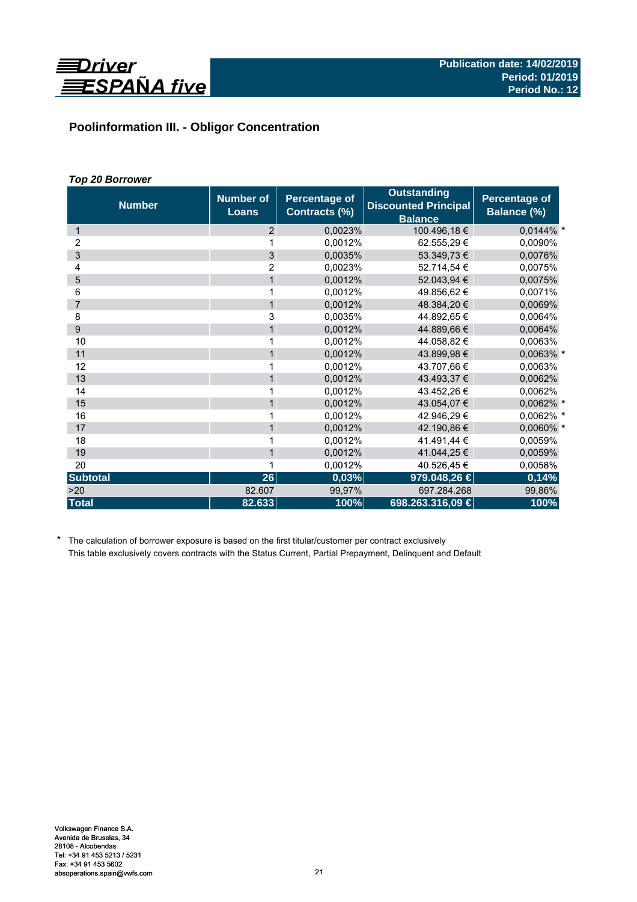

# **Poolinformation III. - Obligor Concentration**

# *Top 20 Borrower*

| <b>Number</b>   | <b>Number of</b><br><b>Loans</b> | Percentage of<br>Contracts (%) | <b>Outstanding</b><br><b>Discounted Principal</b><br><b>Balance</b> | Percentage of<br>Balance (%) |
|-----------------|----------------------------------|--------------------------------|---------------------------------------------------------------------|------------------------------|
| 1               | 2                                | 0,0023%                        | 100.496,18€                                                         | $0.0144\%$ *                 |
| 2               | 1                                | 0,0012%                        | 62.555,29€                                                          | 0,0090%                      |
| 3               | 3                                | 0,0035%                        | 53.349,73 €                                                         | 0,0076%                      |
| 4               | $\overline{2}$                   | 0,0023%                        | 52.714,54 €                                                         | 0,0075%                      |
| 5               | $\mathbf{1}$                     | 0,0012%                        | 52.043,94 €                                                         | 0,0075%                      |
| 6               | 1                                | 0,0012%                        | 49.856.62 €                                                         | 0,0071%                      |
| $\overline{7}$  | $\mathbf{1}$                     | 0,0012%                        | 48.384,20 €                                                         | 0,0069%                      |
| 8               | 3                                | 0,0035%                        | 44.892,65 €                                                         | 0,0064%                      |
| 9               | $\mathbf{1}$                     | 0,0012%                        | 44.889.66 €                                                         | 0,0064%                      |
| 10              | 1                                | 0,0012%                        | 44.058,82 €                                                         | 0,0063%                      |
| 11              | $\mathbf{1}$                     | 0,0012%                        | 43.899,98 €                                                         | 0,0063% *                    |
| 12              | 1                                | 0.0012%                        | 43.707,66 €                                                         | 0,0063%                      |
| 13              | $\mathbf{1}$                     | 0,0012%                        | 43.493,37 €                                                         | 0,0062%                      |
| 14              | 1                                | 0.0012%                        | 43.452,26 €                                                         | 0,0062%                      |
| 15              | $\mathbf{1}$                     | 0,0012%                        | 43.054,07 €                                                         | 0,0062% *                    |
| 16              | 1                                | 0,0012%                        | 42.946.29 €                                                         | 0,0062% *                    |
| 17              | $\mathbf{1}$                     | 0,0012%                        | 42.190,86 €                                                         | 0,0060% *                    |
| 18              | 1                                | 0.0012%                        | 41.491,44 €                                                         | 0,0059%                      |
| 19              | $\mathbf{1}$                     | 0,0012%                        | 41.044,25 €                                                         | 0,0059%                      |
| 20              | 1                                | 0,0012%                        | 40.526,45€                                                          | 0,0058%                      |
| <b>Subtotal</b> | 26                               | 0,03%                          | 979.048,26 €                                                        | 0,14%                        |
| >20             | 82.607                           | 99,97%                         | 697.284.268                                                         | 99,86%                       |
| <b>Total</b>    | 82.633                           | 100%                           | 698.263.316,09 €                                                    | 100%                         |

\* The calculation of borrower exposure is based on the first titular/customer per contract exclusively This table exclusively covers contracts with the Status Current, Partial Prepayment, Delinquent and Default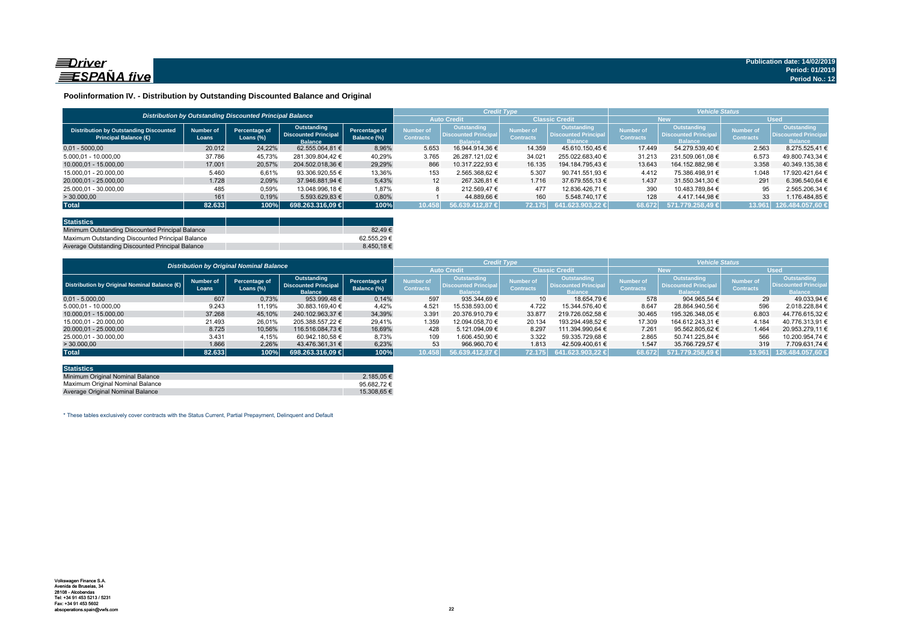

### **Poolinformation IV. - Distribution by Outstanding Discounted Balance and Original**

|                                                                              |                    | Distribution by Outstanding Discounted Principal Balance |                                                              |                              |                               | <b>Credit Type</b>                                          |                                      |                                                                     | <b>Vehicle Status</b>                |                                                             |                                      |                                                             |  |
|------------------------------------------------------------------------------|--------------------|----------------------------------------------------------|--------------------------------------------------------------|------------------------------|-------------------------------|-------------------------------------------------------------|--------------------------------------|---------------------------------------------------------------------|--------------------------------------|-------------------------------------------------------------|--------------------------------------|-------------------------------------------------------------|--|
|                                                                              |                    |                                                          |                                                              |                              | <b>Auto Credit</b>            |                                                             | <b>Classic Credit</b>                |                                                                     | <b>New</b>                           |                                                             | <b>Used</b>                          |                                                             |  |
| <b>Distribution by Outstanding Discounted</b><br><b>Principal Balance (€</b> | Number of<br>Loans | Percentage of<br>Loans $(\%)$                            | Outstanding<br><b>Discounted Principal</b><br><b>Balance</b> | Percentage of<br>Balance (%) | Number of<br><b>Contracts</b> | Outstanding<br><b>Discounted Principa</b><br><b>Ralance</b> | <b>Number of</b><br><b>Contracts</b> | <b>Outstanding</b><br><b>Discounted Principal</b><br><b>Balance</b> | <b>Number of</b><br><b>Contracts</b> | Outstanding<br><b>Discounted Principa</b><br><b>Ralance</b> | <b>Number of</b><br><b>Contracts</b> | <b>Outstanding</b><br><b>Discounted Principa</b><br>Ralance |  |
| $0.01 - 5000.00$                                                             | 20.012             | 24,22%                                                   | 62.555.064.81 €                                              | 8,96%                        | 5.653                         | 16.944.914.36 €                                             | 14.359                               | 45.610.150.45 €                                                     | 17.449                               | 54.279.539.40 €                                             | 2.563                                | 8.275.525.41 €                                              |  |
| 5.000.01 - 10.000.00                                                         | 37.786             | 45.73%                                                   | 281.309.804.42 €                                             | 40.29%                       | 3.765                         | 26.287.121.02 €                                             | 34.021                               | 255.022.683.40 €                                                    | 31.213                               | 231.509.061.08 €                                            | 6.573                                | 49.800.743.34 €                                             |  |
| 10.000.01 - 15.000.00                                                        | 17.001             | 20,57%                                                   | 204.502.018.36 €                                             | 29.29%                       | 866                           | 10.317.222.93 €                                             | 16.135                               | 194.184.795.43 €                                                    | 13.643                               | 164.152.882.98 €                                            | 3.358                                | 40.349.135.38 €                                             |  |
| 15.000.01 - 20.000.00                                                        | 5.460              | 6,61%                                                    | 93.306.920.55 €                                              | 13,36%                       | 153                           | 2.565.368.62 €                                              | 5.307                                | 90.741.551.93 €                                                     | 4.412                                | 75.386.498.91 €                                             | 1.048                                | 17.920.421.64 €                                             |  |
| 20.000.01 - 25.000.00                                                        | 1.728              | 2.09%                                                    | 37.946.881.94 €                                              | 5.43%                        | 12                            | 267.326.81 €                                                | 1.716                                | 37.679.555.13 €                                                     | 1.437                                | 31.550.341.30 €                                             | 291                                  | 6.396.540.64 €                                              |  |
| 25.000,01 - 30.000,00                                                        | 485                | 0,59%                                                    | 13.048.996.18 €                                              | 1,87%                        |                               | 212.569.47 €                                                | 477                                  | 12.836.426.71 €                                                     | 390                                  | 10.483.789.84 €                                             | 95                                   | 2.565.206,34 €                                              |  |
| > 30.000,00                                                                  | 161                | 0,19%                                                    | 5.593.629,83 €                                               | 0,80%                        |                               | 44.889.66 €                                                 | 160                                  | 5.548.740.17 €                                                      | 128                                  | 4.417.144.98 €                                              | 33                                   | .176.484.85 €                                               |  |
| <b>Total</b>                                                                 | 82.633             | 100%                                                     | 698.263.316.09 €                                             | 100%                         | 10.458                        | 56,639,412,87 €                                             | 72.175                               | 641.623.903.22 €                                                    | 68.672                               | 571.779.258.49 €                                            |                                      | 13.961 126.484.057,60 €                                     |  |

| <b>Statistics</b>                                |            |
|--------------------------------------------------|------------|
| Minimum Outstanding Discounted Principal Balance | 82.49€     |
| Maximum Outstanding Discounted Principal Balance | 62.555.29€ |
| Average Outstanding Discounted Principal Balance | 8.450.18€  |

|                                             | <b>Distribution by Original Nominal Balance</b> |                               |                                                              |                              |                                      |                                                              |                                      |                                                              | <b>Vehicle Status</b>         |                                                              |                               |                                                             |
|---------------------------------------------|-------------------------------------------------|-------------------------------|--------------------------------------------------------------|------------------------------|--------------------------------------|--------------------------------------------------------------|--------------------------------------|--------------------------------------------------------------|-------------------------------|--------------------------------------------------------------|-------------------------------|-------------------------------------------------------------|
|                                             |                                                 |                               |                                                              |                              |                                      |                                                              |                                      | <b>Classic Credit</b>                                        |                               | <b>New</b>                                                   |                               | <b>Used</b>                                                 |
| Distribution by Original Nominal Balance (6 | <b>Number of</b><br>Loans                       | Percentage of<br>Loans $(\%)$ | Outstanding<br><b>Discounted Principal</b><br><b>Balance</b> | Percentage of<br>Balance (%) | <b>Number of</b><br><b>Contracts</b> | Outstanding<br><b>Discounted Principal</b><br><b>Balance</b> | <b>Number of</b><br><b>Contracts</b> | Outstanding<br><b>Discounted Principal</b><br><b>Balance</b> | Number of<br><b>Contracts</b> | Outstanding<br><b>Discounted Principal</b><br><b>Balance</b> | Number of<br><b>Contracts</b> | Outstanding<br><b>Discounted Principa</b><br><b>Balance</b> |
| $0.01 - 5.000.00$                           | 607                                             | 0,73%                         | 953.999.48 €                                                 | 0,14%                        | 597                                  | 935.344.69 €                                                 | 10 <sup>1</sup>                      | 18.654.79 €                                                  | 578                           | 904.965.54 €                                                 | 29                            | 49.033.94 €                                                 |
| 5.000.01 - 10.000.00                        | 9.243                                           | 11,19%                        | 30.883.169,40 €                                              | 4,42%                        | 4.521                                | 15.538.593.00 €                                              | 4.722                                | 15.344.576.40 €                                              | 8.647                         | 28.864.940.56 €                                              | 596                           | 2.018.228.84 €                                              |
| 10.000.01 - 15.000.00                       | 37.268                                          | 45,10%                        | 240.102.963.37 €                                             | 34,39%                       | 3.391                                | 20.376.910.79 €                                              | 33.877                               | 219.726.052.58 €                                             | 30.465                        | 195.326.348.05 €                                             | 6.803                         | 44.776.615.32 €                                             |
| 15.000.01 - 20.000.00                       | 21.493                                          | 26,01%                        | 205.388.557.22 €                                             | 29,41%                       | 1.359                                | 12.094.058.70 €                                              | 20.134                               | 193.294.498.52 €                                             | 17.309                        | 164.612.243.31 €                                             | 4.184                         | 40.776.313,91 €                                             |
| 20.000.01 - 25.000.00                       | 8.725                                           | 10.56%                        | 116.516.084.73 €                                             | 16,69%                       | 428                                  | 5.121.094.09 €                                               | 8.297                                | 111.394.990.64 €                                             | 7.261                         | 95.562.805.62 €                                              | 1.464                         | 20.953.279.11 €                                             |
| 25.000.01 - 30.000.00                       | 3.431                                           | 4,15%                         | 60.942.180.58 €                                              | 8,73%                        | 109                                  | 1.606.450.90 €                                               | 3.322                                | 59.335.729.68 €                                              | 2.865                         | 50.741.225.84 €                                              | 566                           | 10.200.954.74 €                                             |
| >30.000,00                                  | 1.866                                           | 2.26%                         | 43.476.361.31 €                                              | 6.23%                        | 53                                   | 966.960.70 €                                                 | 1.813                                | 42.509.400.61 €                                              | 1.547                         | 35.766.729.57 €                                              | 319                           | 7.709.631.74 €                                              |
| <b>Total</b>                                | 82.633                                          | 100%                          | 698.263.316.09 €                                             | 100%                         | 10.458                               | $156.639.412.87 \in$                                         | 72.175                               | $641.623.903.22 \in$                                         | 68.672                        | 571.779.258.49 €                                             | 13.961                        | 126.484.057,60                                              |

| <b>Statistics</b>                |                      |
|----------------------------------|----------------------|
| Minimum Original Nominal Balance | 2.185.05 €           |
| Maximum Original Nominal Balance | 95.682.72 $\epsilon$ |
| Average Original Nominal Balance | 15.308.65 €          |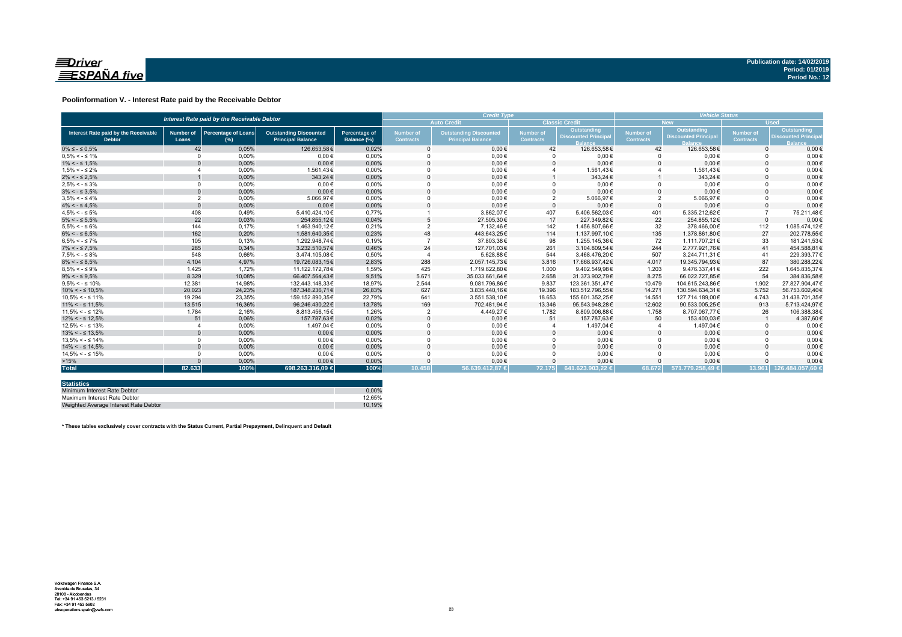

### **Poolinformation V. - Interest Rate paid by the Receivable Debtor**

|                                                       | Interest Rate paid by the Receivable Debtor |                                      |                                                           |                                     |                                                                                                   |                    | <b>Credit Type</b>            |                                           |                               |                                                  |                               | <b>Vehicle Status</b>                                    |  |  |  |
|-------------------------------------------------------|---------------------------------------------|--------------------------------------|-----------------------------------------------------------|-------------------------------------|---------------------------------------------------------------------------------------------------|--------------------|-------------------------------|-------------------------------------------|-------------------------------|--------------------------------------------------|-------------------------------|----------------------------------------------------------|--|--|--|
|                                                       |                                             |                                      |                                                           |                                     |                                                                                                   | <b>Auto Credit</b> |                               | <b>Classic Credit</b>                     |                               | <b>New</b>                                       | <b>Used</b>                   |                                                          |  |  |  |
| Interest Rate paid by the Receivable<br><b>Debtor</b> | <b>Number of</b><br>Loans                   | <b>Percentage of Loans</b><br>$(\%)$ | <b>Outstanding Discounted</b><br><b>Principal Balance</b> | <b>Percentage of</b><br>Balance (%) | <b>Number of</b><br><b>Outstanding Discounted</b><br><b>Contracts</b><br><b>Principal Balance</b> |                    | Number of<br><b>Contracts</b> | Outstanding<br><b>Discounted Principa</b> | Number of<br><b>Contracts</b> | <b>Outstanding</b><br><b>Discounted Principa</b> | Number of<br><b>Contracts</b> | Outstanding<br><b>Discounted Princip</b><br><b>Ralan</b> |  |  |  |
| $0\% \leq -\leq 0.5\%$                                | 42                                          | 0.05%                                | 126.653.58€                                               | 0.02%                               |                                                                                                   | $0.00 \in$         | 42                            | 126.653.58€                               | 42                            | 126.653.58€                                      | $\Omega$                      | $0.00 \in$                                               |  |  |  |
| $0.5\% < -5.1\%$                                      | $\Omega$                                    | 0.00%                                | $0.00 \in$                                                | 0.00%                               |                                                                                                   | $0.00 \in$         |                               | $0.00 \in$                                | $\Omega$                      | $0.00 \in$                                       |                               | $0.00 \in$                                               |  |  |  |
| $1\% < - \leq 1.5\%$                                  |                                             | 0,00%                                | $0.00 \in$                                                | 0,00%                               |                                                                                                   | $0,00 \in$         |                               | $0,00 \in$                                | $\Omega$                      | $0,00 \in$                                       |                               | $0,00 \in$                                               |  |  |  |
| $1.5\% < -5.2\%$                                      |                                             | 0.00%                                | 1.561.43€                                                 | 0.00%                               |                                                                                                   | $0,00 \in$         |                               | 1.561,43€                                 |                               | 1.561,43€                                        |                               | $0,00 \in$                                               |  |  |  |
| $2\% < - \leq 2.5\%$                                  |                                             | 0,00%                                | 343,24€                                                   | 0,00%                               |                                                                                                   | $0.00 \in$         |                               | 343,24€                                   |                               | 343,24 €                                         |                               | $0.00 \in$                                               |  |  |  |
| $2.5\% < -5.3\%$                                      | $\Omega$                                    | 0.00%                                | $0.00 \in$                                                | 0.00%                               |                                                                                                   | $0.00 \in$         |                               | $0.00 \in$                                | $\Omega$                      | $0.00 \in$                                       |                               | $0.00 \in$                                               |  |  |  |
| $3\% < - \leq 3.5\%$                                  | $\Omega$                                    | 0,00%                                | $0.00 \in$                                                | 0,00%                               |                                                                                                   | $0.00 \in$         |                               | $0.00 \in$                                | $\Omega$                      | $0,00 \in$                                       |                               | $0.00 \in$                                               |  |  |  |
| $3.5\% < -5.4\%$                                      | $\overline{2}$                              | 0.00%                                | 5.066.97€                                                 | 0.00%                               |                                                                                                   | $0.00 \in$         | $\overline{2}$                | 5.066.97€                                 | $\overline{2}$                | 5.066,97€                                        |                               | $0.00 \in$                                               |  |  |  |
| $4\% < - \leq 4.5\%$                                  | $\Omega$                                    | 0.00%                                | $0.00 \in$                                                | 0.00%                               |                                                                                                   | $0.00 \in$         | $\Omega$                      | $0.00 \in$                                | $\Omega$                      | $0.00 \in$                                       |                               | $0,00 \in$                                               |  |  |  |
| $4.5\% < -5\%$                                        | 408                                         | 0.49%                                | 5.410.424.10€                                             | 0.77%                               |                                                                                                   | 3.862.07€          | 407                           | 5.406.562.03€                             | 401                           | 5.335.212.62€                                    |                               | 75.211.48€                                               |  |  |  |
| $5\% < - \leq 5.5\%$                                  | 22                                          | 0,03%                                | 254.855,12€                                               | 0,04%                               |                                                                                                   | 27.505,30€         | 17                            | 227.349.82€                               | 22                            | 254.855.12€                                      | $\Omega$                      | $0,00 \in$                                               |  |  |  |
| $5.5\% < -5.6\%$                                      | 144                                         | 0,17%                                | 1.463.940,12€                                             | 0,21%                               |                                                                                                   | 7.132,46€          | 142                           | 1.456.807,66€                             | 32                            | 378.466,00€                                      | 112                           | 1.085.474,12€                                            |  |  |  |
| $6\% < - \leq 6.5\%$                                  | 162                                         | 0,20%                                | 1.581.640,35€                                             | 0,23%                               | 48                                                                                                | 443.643.25€        | 114                           | 1.137.997,10€                             | 135                           | 1.378.861,80€                                    | 27                            | 202.778.55€                                              |  |  |  |
| $6.5\% < -5.7\%$                                      | 105                                         | 0.13%                                | 1.292.948.74€                                             | 0.19%                               |                                                                                                   | 37.803,38€         | 98                            | 1.255.145.36€                             | 72                            | 1.111.707.21€                                    | 33                            | 181.241.53€                                              |  |  |  |
| $7\% < - \leq 7.5\%$                                  | 285                                         | 0,34%                                | 3.232.510,57€                                             | 0,46%                               | 24                                                                                                | 127.701,03€        | 261                           | 3.104.809,54€                             | 244                           | 2.777.921.76€                                    | 41                            | 454.588.81€                                              |  |  |  |
| $7.5\% < -5.8\%$                                      | 548                                         | 0.66%                                | 3.474.105.08€                                             | 0.50%                               |                                                                                                   | 5.628.88€          | 544                           | 3.468.476.20€                             | 507                           | 3.244.711.31€                                    | 41                            | 229.393.77€                                              |  |  |  |
| $8\% < - \leq 8.5\%$                                  | 4.104                                       | 4,97%                                | 19.726.083,15€                                            | 2,83%                               | 288                                                                                               | 2.057.145,73€      | 3.816                         | 17.668.937.42€                            | 4.017                         | 19.345.794.93€                                   | 87                            | 380.288.22€                                              |  |  |  |
| $8.5\% < -5.9\%$                                      | 1.425                                       | 1.72%                                | 11.122.172.78€                                            | 1.59%                               | 425                                                                                               | 1.719.622.80€      | 1.000                         | 9.402.549,98€                             | 1.203                         | 9.476.337.41€                                    | 222                           | 1.645.835.37€                                            |  |  |  |
| $9\% < - \leq 9.5\%$                                  | 8.329                                       | 10.08%                               | 66.407.564.43€                                            | 9.51%                               | 5.671                                                                                             | 35.033.661.64€     | 2.658                         | 31.373.902.79€                            | 8.275                         | 66.022.727.85€                                   | 54                            | 384.836.58€                                              |  |  |  |
| $9.5\% < -5.10\%$                                     | 12.381                                      | 14.98%                               | 132.443.148.33€                                           | 18.97%                              | 2.544                                                                                             | 9.081.796.86€      | 9.837                         | 123.361.351.47€                           | 10.479                        | 104.615.243.86€                                  | 1.902                         | 27.827.904.47€                                           |  |  |  |
| $10\% < -\leq 10.5\%$                                 | 20.023                                      | 24,23%                               | 187.348.236.71€                                           | 26,83%                              | 627                                                                                               | 3.835.440,16€      | 19.396                        | 183.512.796.55€                           | 14.271                        | 130.594.634.31€                                  | 5.752                         | 56.753.602.40€                                           |  |  |  |
| $10.5\% < -5.11\%$                                    | 19.294                                      | 23,35%                               | 159.152.890.35€                                           | 22,79%                              | 641                                                                                               | 3.551.538,10€      | 18.653                        | 155.601.352,25€                           | 14.551                        | 127.714.189,00€                                  | 4.743                         | 31.438.701,35€                                           |  |  |  |
| $11\% < - \leq 11,5\%$                                | 13.515                                      | 16,36%                               | 96.246.430.22€                                            | 13,78%                              | 169                                                                                               | 702.481,94€        | 13.346                        | 95.543.948.28€                            | 12.602                        | 90.533.005.25€                                   | 913                           | 5.713.424,97€                                            |  |  |  |
| $11.5\% < -5.12\%$                                    | 1.784                                       | 2.16%                                | 8.813.456.15€                                             | 1.26%                               | $\overline{2}$                                                                                    | 4.449,27€          | 1.782                         | 8.809.006.88€                             | 1.758                         | 8.707.067.77€                                    | 26                            | 106.388,38€                                              |  |  |  |
| $12\% < -512.5\%$                                     | 51                                          | 0,06%                                | 157.787,63€                                               | 0,02%                               |                                                                                                   | $0,00 \in$         | 51                            | 157.787,63€                               | 50                            | 153.400,03€                                      |                               | 4.387,60€                                                |  |  |  |
| $12.5\% < -5.13\%$                                    |                                             | 0.00%                                | 1.497.04 €                                                | 0.00%                               |                                                                                                   | $0,00 \in$         |                               | 1.497,04€                                 |                               | 1.497,04€                                        |                               | $0,00 \in$                                               |  |  |  |
| $13\% < -513.5\%$                                     |                                             | 0,00%                                | $0.00 \in$                                                | 0,00%                               |                                                                                                   | $0,00 \in$         |                               | $0,00 \in$                                | $\Omega$                      | $0,00 \in$                                       |                               | $0,00 \in$                                               |  |  |  |
| $13.5\% < -5.14\%$                                    |                                             | 0.00%                                | $0.00 \in$                                                | 0.00%                               |                                                                                                   | $0.00 \in$         |                               | $0.00 \in$                                | $\Omega$                      | $0.00 \in$                                       |                               | $0,00 \in$                                               |  |  |  |
| $14\% < -5.14.5\%$                                    |                                             | 0.00%                                | $0.00 \in$                                                | 0.00%                               |                                                                                                   | $0.00 \in$         |                               | $0.00 \in$                                | $\Omega$                      | $0.00 \in$                                       |                               | $0,00 \in$                                               |  |  |  |
| $14.5\% < -5.15\%$                                    | $\Omega$                                    | 0.00%                                | $0.00 \in$                                                | 0.00%                               |                                                                                                   | $0.00 \in$         |                               | $0.00 \in$                                | $\Omega$                      | $0.00 \in$                                       |                               | $0.00 \in$                                               |  |  |  |
| >15%                                                  |                                             | 0,00%                                | $0.00 \in$                                                | 0,00%                               |                                                                                                   | $0,00 \in$         |                               | $0,00 \in$                                |                               | $0.00 \in$                                       |                               | $0,00 \in$                                               |  |  |  |
| <b>Total</b>                                          | 82.633                                      | 100%                                 | 698.263.316.09 €                                          | 100%                                | 10.458                                                                                            | 56.639.412.87 €    | 72.175                        | 641.623.903.22 €                          | 68.672                        | 571.779.258.49 €                                 |                               | 13.961 126.484.057.60 €                                  |  |  |  |

| <b>Statistics</b>                     |        |
|---------------------------------------|--------|
| Minimum Interest Rate Debtor          | 0.00%  |
| Maximum Interest Rate Debtor          | 12.65% |
| Weighted Average Interest Rate Debtor | 10.19% |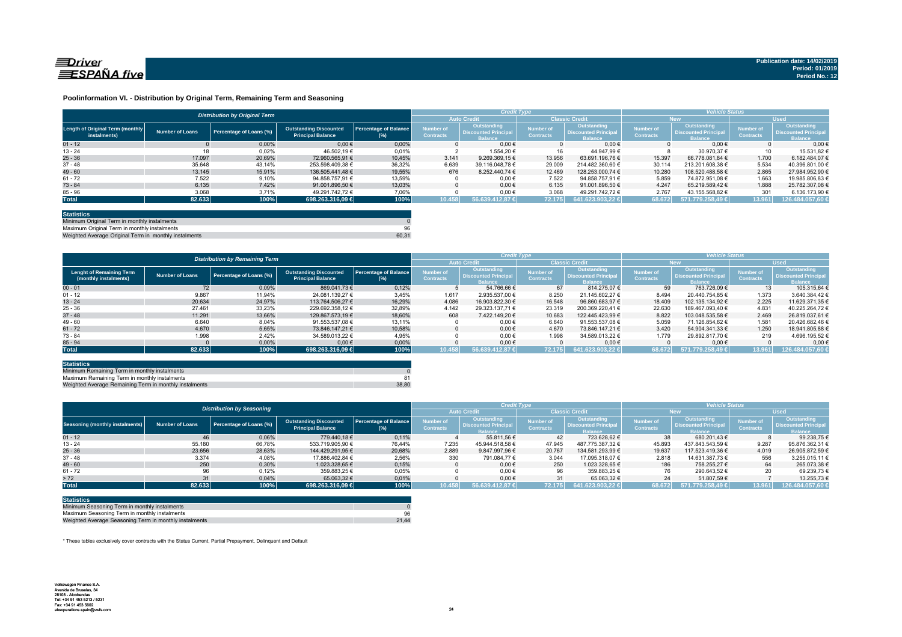

### **Poolinformation VI. - Distribution by Original Term, Remaining Term and Seasoning**

|                                                  |                 | <b>Distribution by Original Term</b> |                                                           |                                     |                                      | <b>Credit Type</b>                                           |                                      |                                                              | <b>Vehicle Status</b>                |                                                                    |                                      |                                                                     |
|--------------------------------------------------|-----------------|--------------------------------------|-----------------------------------------------------------|-------------------------------------|--------------------------------------|--------------------------------------------------------------|--------------------------------------|--------------------------------------------------------------|--------------------------------------|--------------------------------------------------------------------|--------------------------------------|---------------------------------------------------------------------|
|                                                  |                 |                                      |                                                           |                                     |                                      |                                                              | <b>Classic Credit</b>                |                                                              | <b>New</b>                           |                                                                    | <b>Used</b>                          |                                                                     |
| Length of Original Term (monthly<br>instalments) | Number of Loans | Percentage of Loans (%)              | <b>Outstanding Discounted</b><br><b>Principal Balance</b> | <b>Percentage of Balance</b><br>(%) | <b>Number of</b><br><b>Contracts</b> | Outstanding<br><b>Discounted Principal</b><br><b>Balance</b> | <b>Number of</b><br><b>Contracts</b> | Outstanding<br><b>Discounted Principal</b><br><b>Balance</b> | <b>Number of</b><br><b>Contracts</b> | <b>Outstanding</b><br><b>Discounted Principa</b><br><b>Balance</b> | <b>Number of</b><br><b>Contracts</b> | <b>Outstanding</b><br><b>Discounted Principal</b><br><b>Balance</b> |
| $01 - 12$                                        |                 | 0.00%                                | $0,00 \in$                                                | 0.00%                               |                                      | $0.00 \in$                                                   |                                      | $0.00 \in$                                                   |                                      | $0.00 \in$                                                         |                                      | 0.006                                                               |
| $13 - 24$                                        | 18              | 0,02%                                | 46.502.19 €                                               | 0,01%                               |                                      | 1.554.20 €                                                   |                                      | 44.947.99 €                                                  |                                      | 30.970.37 €                                                        | 10                                   | 15.531.82 6                                                         |
| $25 - 36$                                        | 17.097          | 20.69%                               | 72.960.565.91 €                                           | 10.45%                              | 3.141                                | 9.269.369.15 €                                               | 13.956                               | 63.691.196.76 €                                              | 15.397                               | 66.778.081.84 €                                                    | 1.700                                | 6.182.484.07 €                                                      |
| $37 - 48$                                        | 35.648          | 43,14%                               | 253.598.409,38 €                                          | 36,32%                              | 6.639                                | 39.116.048.78 €                                              | 29.009                               | 214.482.360.60 €                                             | 30.114                               | 213.201.608.38 €                                                   | 5.534                                | 40.396.801.00 (                                                     |
| $49 - 60$                                        | 13.145          | 15.91%                               | 136.505.441.48 €                                          | 19.55%                              | 676                                  | 8.252.440.74 €                                               | 12.469                               | 128.253.000.74 €                                             | 10.280                               | 108.520.488.58 €                                                   | 2.865                                | 27.984.952.90 €                                                     |
| $61 - 72$                                        | 7.522           | 9,10%                                | 94.858.757.91 €                                           | 13,59%                              |                                      | $0.00 \in$                                                   | 7.522                                | 94.858.757.91 €                                              | 5.859                                | 74.872.951.08 €                                                    | 1.663                                | 19.985.806,83 €                                                     |
| $73 - 84$                                        | 6.135           | 7.42%                                | 91.001.896.50 €                                           | 13.03%                              |                                      | $0.00 \in$                                                   | 6.135                                | 91.001.896.50 €                                              | 4.247                                | 65.219.589.42 €                                                    | 1.888                                | 25.782.307.08 €                                                     |
| $85 - 96$                                        | 3.068           | 3,71%                                | 49.291.742.72 €                                           | 7.06%                               |                                      | $0.00 \in$                                                   | 3.068                                | 49.291.742.72 €                                              | 2.767                                | 43.155.568,82 €                                                    | 301                                  | 6.136.173,90 €                                                      |
| <b>Total</b>                                     | 82.633          | $100\%$                              | 698.263.316,09 €                                          | 100%                                | 10.458                               | 56.639.412.87 €                                              | 72.175                               | 641.623.903.22 €                                             | 68.672                               | 571.779.258.49 €                                                   | 13.961                               | 126.484.057,60 €                                                    |
|                                                  |                 |                                      |                                                           |                                     |                                      |                                                              |                                      |                                                              |                                      |                                                                    |                                      |                                                                     |

| <b>Statistics</b>                                     |       |
|-------------------------------------------------------|-------|
| Minimum Original Term in monthly instalments          |       |
| Maximum Original Term in monthly instalments          | 96    |
| Weighted Average Original Term in monthly instalments | 60.31 |

Weighted Average Original Term in monthly install

|                                                          |                        | <b>Distribution by Remaining Term</b> |                                                           |                                     | <b>Credit Type</b>            |                                                              |                                      |                                                              | <b>Vehicle Status</b>                |                                                                    |                                      |                                                             |
|----------------------------------------------------------|------------------------|---------------------------------------|-----------------------------------------------------------|-------------------------------------|-------------------------------|--------------------------------------------------------------|--------------------------------------|--------------------------------------------------------------|--------------------------------------|--------------------------------------------------------------------|--------------------------------------|-------------------------------------------------------------|
|                                                          |                        |                                       |                                                           |                                     |                               | <b>Auto Credit</b>                                           | <b>Classic Credit</b>                |                                                              | <b>New</b>                           |                                                                    | <b>Used</b>                          |                                                             |
| <b>Lenght of Remaining Term</b><br>(monthly instalments) | <b>Number of Loans</b> | Percentage of Loans (%)               | <b>Outstanding Discounted</b><br><b>Principal Balance</b> | <b>Percentage of Balance</b><br>(%) | Number of<br><b>Contracts</b> | Outstanding<br><b>Discounted Principal</b><br><b>Balance</b> | <b>lumber</b> of<br><b>Contracts</b> | Outstanding<br><b>Discounted Principal</b><br><b>Balance</b> | <b>Number of</b><br><b>Contracts</b> | <b>Outstanding</b><br><b>Discounted Principa</b><br><b>Balance</b> | <b>Number of</b><br><b>Contracts</b> | <b>Outstanding</b><br><b>Discounted Principal</b><br>alance |
| $00 - 01$                                                | 72                     | 0,09%                                 | 869.041.73 €                                              | 0,12%                               |                               | 54.766.66 €                                                  | 67                                   | 814.275.07 €                                                 | 59                                   | 763.726.09 €                                                       | 13                                   | 105.315.64 6                                                |
| $01 - 12$                                                | 9.867                  | 11,94%                                | 24.081.139.27 €                                           | 3,45%                               | 1.617                         | 2.935.537.00 €                                               | 8.250                                | 21.145.602.27 €                                              | 8.494                                | 20.440.754.85 €                                                    | 1.373                                | 3.640.384.42 €                                              |
| $13 - 24$                                                | 20.634                 | 24.97%                                | 113.764.506.27 €                                          | 16.29%                              | 4.086                         | 16.903.822.30 €                                              | 16.548                               | 96.860.683.97 €                                              | 18,409                               | 102.135.134.92 €                                                   | 2.225                                | 11.629.371,35 €                                             |
| $25 - 36$                                                | 27.461                 | 33,23%                                | 229.692.358.12 €                                          | 32,89%                              | 4.142                         | 29.323.137.71 €                                              | 23.319                               | 200.369.220.41 €                                             | 22.630                               | 189.467.093.40 €                                                   | 4.831                                | 40.225.264.72 6                                             |
| $37 - 48$                                                | 11.291                 | 13,66%                                | 129.867.573.19 €                                          | 18,60%                              | 608                           | 7.422.149.20 €                                               | 10.683                               | 122.445.423.99 €                                             | 8.822                                | 103.048.535.58 €                                                   | 2.469                                | 26.819.037.61 6                                             |
| $49 - 60$                                                | 6.640                  | 8,04%                                 | 91.553.537.08 €                                           | 13,11%                              |                               | $0.00 \in$                                                   | 6.640                                | 91.553.537.08 €                                              | 5.059                                | 71.126.854.62 €                                                    | 1.581                                | 20.426.682.46 6                                             |
| $61 - 72$                                                | 4.670                  | 5.65%                                 | 73.846.147.21 €                                           | 10,58%                              |                               | $0.00 \in$                                                   | 4.670                                | 73.846.147.21 €                                              | 3.420                                | 54.904.341.33 €                                                    | 1.250                                | 18.941.805.88                                               |
| $73 - 84$                                                | 1.998                  | 2.42%                                 | 34.589.013.22 €                                           | 4.95%                               |                               | $0.00 \in$                                                   | 1.998                                | 34.589.013.22 €                                              | 1.779                                | 29.892.817.70 €                                                    | 219                                  | 4.696.195.52 €                                              |
| $85 - 94$                                                |                        | 0,00%                                 | $0.00 \in$                                                | 0,00%                               |                               | $0.00 \in$                                                   |                                      | $0.00 \in$                                                   |                                      | $0.00 \in$                                                         |                                      | 0,00                                                        |
| <b>Total</b>                                             | 82.633                 | 100%                                  | 698.263.316,09 €                                          | 100%                                | 10.458                        | 56.639.412.87 €                                              | 72.175                               | 641.623.903.22 €                                             | 68.672                               | 1571.779.258.49 €                                                  | 13.961                               | 126.484.057,60                                              |

| <b>Statistics</b>                                      |       |
|--------------------------------------------------------|-------|
| Minimum Remaining Term in monthly instalments          |       |
| Maximum Remaining Term in monthly instalments          |       |
| Weighted Average Remaining Term in monthly instalments | 38.80 |

|                                        |                        | <b>Distribution by Seasoning</b> |                                                           |                              |                                      | <b>Credit Type</b>                                    |                                      |                                                              | <b>Vehicle Status</b>                |                                                                    |                                      |                                                              |  |  |
|----------------------------------------|------------------------|----------------------------------|-----------------------------------------------------------|------------------------------|--------------------------------------|-------------------------------------------------------|--------------------------------------|--------------------------------------------------------------|--------------------------------------|--------------------------------------------------------------------|--------------------------------------|--------------------------------------------------------------|--|--|
|                                        |                        |                                  |                                                           |                              |                                      | <b>Auto Credit</b>                                    |                                      | <b>Classic Credit</b>                                        |                                      | New.                                                               | <b>Used</b>                          |                                                              |  |  |
| <b>Seasoning (monthly instalments)</b> | <b>Number of Loans</b> | Percentage of Loans (%)          | <b>Outstanding Discounted</b><br><b>Principal Balance</b> | Percentage of Balance<br>(%) | <b>Number of</b><br><b>Contracts</b> | Outstanding<br>Discounted Principal<br><b>Ralance</b> | <b>Number</b> of<br><b>Contracts</b> | Outstanding<br><b>Discounted Principal</b><br><b>Ralance</b> | <b>Number of</b><br><b>Contracts</b> | <b>Outstanding</b><br><b>Discounted Principa</b><br><b>Ralance</b> | <b>Number of</b><br><b>Contracts</b> | Outstanding<br><b>Discounted Principal</b><br><b>Ralance</b> |  |  |
| $01 - 12$                              | 46                     | 0,06%                            | 779.440.18 €                                              | 0,11%                        |                                      | 55.811.56 €                                           | 42                                   | 723.628.62 €                                                 | 38                                   | 680.201.43 €                                                       |                                      | 99.238.75 €                                                  |  |  |
| $13 - 24$                              | 55.180                 | 66,78%                           | 533.719.905.90 €                                          | 76.44%                       | 7.235                                | 45.944.518.58 €                                       | 47.945                               | 487.775.387.32 €                                             | 45.893                               | 437.843.543.59 €                                                   | 9.287                                | 95.876.362,316                                               |  |  |
| $25 - 36$                              | 23.656                 | 28,63%                           | 144.429.291.95 €                                          | 20,68%                       | 2.889                                | 9.847.997.96 €                                        | 20.767                               | 134.581.293.99 €                                             | 19.637                               | 117.523.419.36 €                                                   | 4.019                                | 26.905.872.59 €                                              |  |  |
| $37 - 48$                              | 3.374                  | 4,08%                            | 17.886.402.84 €                                           | 2,56%                        | 330                                  | 791.084.77 €                                          | 3.044                                | 17.095.318.07 €                                              | 2.818                                | 14.631.387.73 €                                                    | 556                                  | 3.255.015.11 €                                               |  |  |
| $49 - 60$                              | 250                    | 0.30%                            | 1.023.328.65 €                                            | 0,15%                        |                                      | $0.00 \in$                                            | 250                                  | 1.023.328.65 €                                               | 186                                  | 758.255.27 €                                                       | 64                                   | 265.073.38 €                                                 |  |  |
| $61 - 72$                              | 96                     | 0,12%                            | 359.883,25 €                                              | 0,05%                        |                                      | $0.00 \in$                                            | 96                                   | 359.883.25 €                                                 |                                      | 290.643.52 €                                                       | 20                                   | 69.239,73 €                                                  |  |  |
| > 72                                   | 31                     | 0.04%                            | 65.063.32 €                                               | 0,01%                        |                                      | $0.00 \in$                                            | 31                                   | 65.063.32 €                                                  | 24                                   | 51.807.59 €                                                        |                                      | 13.255.73 6                                                  |  |  |
| <b>Total</b>                           | 82.633                 | 100%                             | 698.263.316.09 €                                          | 100%                         | 10.458                               | 56.639.412.87 €                                       | 72.175                               | 1641.623.903.22 €                                            | 68.672                               | $571.779.258.49 \in$                                               | 13.961                               | 126.484.057,60 €                                             |  |  |

| <b>Statistics</b>                                      |       |
|--------------------------------------------------------|-------|
| Minimum Seasoning Term in monthly instalments          |       |
| Maximum Seasoning Term in monthly instalments          | 96    |
| Weighted Average Seasoning Term in monthly instalments | 21.44 |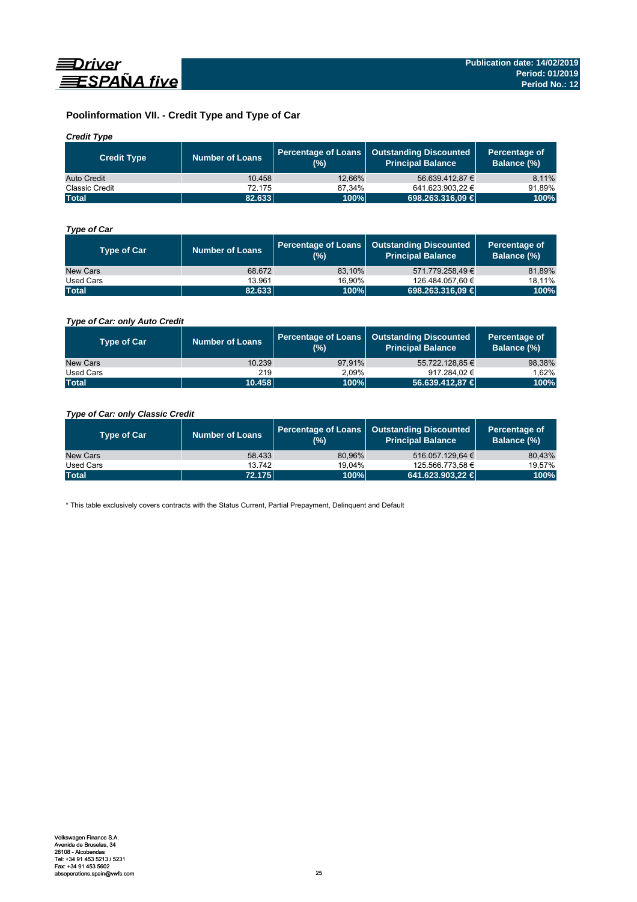

# **Poolinformation VII. - Credit Type and Type of Car**

## *Credit Type*

| <b>Credit Type</b> | Number of Loans | (%)    | Percentage of Loans   Outstanding Discounted<br>Principal Balance <sup>'</sup> | Percentage of<br>Balance (%) |
|--------------------|-----------------|--------|--------------------------------------------------------------------------------|------------------------------|
| Auto Credit        | 10.458          | 12.66% | 56.639.412.87 €                                                                | 8,11%                        |
| Classic Credit     | 72.175          | 87.34% | 641.623.903.22 €                                                               | 91.89%                       |
| <b>Total</b>       | 82.633          | 100%   | 698.263.316,09 €                                                               | 100%                         |

# *Type of Car*

| <b>Type of Car</b> | <b>Number of Loans</b> | (%)    | Percentage of Loans   Outstanding Discounted<br><b>Principal Balance</b> | Percentage of<br>Balance (%) |
|--------------------|------------------------|--------|--------------------------------------------------------------------------|------------------------------|
| New Cars           | 68.672                 | 83.10% | 571.779.258.49 €                                                         | 81,89%                       |
| Used Cars          | 13.961                 | 16.90% | 126.484.057,60 €                                                         | 18,11%                       |
| <b>Total</b>       | 82.633                 | 100%   | 698.263.316,09 €                                                         | 100%                         |

## *Type of Car: only Auto Credit*

| <b>Type of Car</b> | <b>Number of Loans</b> | (%)    | Percentage of Loans   Outstanding Discounted<br><b>Principal Balance</b> | Percentage of<br><b>Balance (%)</b> |
|--------------------|------------------------|--------|--------------------------------------------------------------------------|-------------------------------------|
| New Cars           | 10.239                 | 97.91% | 55.722.128.85 €                                                          | 98,38%                              |
| Used Cars          | 219                    | 2.09%  | 917.284.02 €                                                             | 1.62%                               |
| <b>Total</b>       | 10.458                 | 100%   | 56.639.412,87 €                                                          | 100%                                |

## *Type of Car: only Classic Credit*

| <b>Type of Car</b> | <b>Number of Loans</b> | (%)    | Percentage of Loans   Outstanding Discounted<br><b>Principal Balance</b> | Percentage of<br>Balance (%) |
|--------------------|------------------------|--------|--------------------------------------------------------------------------|------------------------------|
| New Cars           | 58.433                 | 80.96% | 516.057.129.64 €                                                         | 80,43%                       |
| Used Cars          | 13.742                 | 19.04% | 125.566.773.58 €                                                         | 19,57%                       |
| <b>Total</b>       | 72.175                 | 100%   | 641.623.903.22 €                                                         | 100%                         |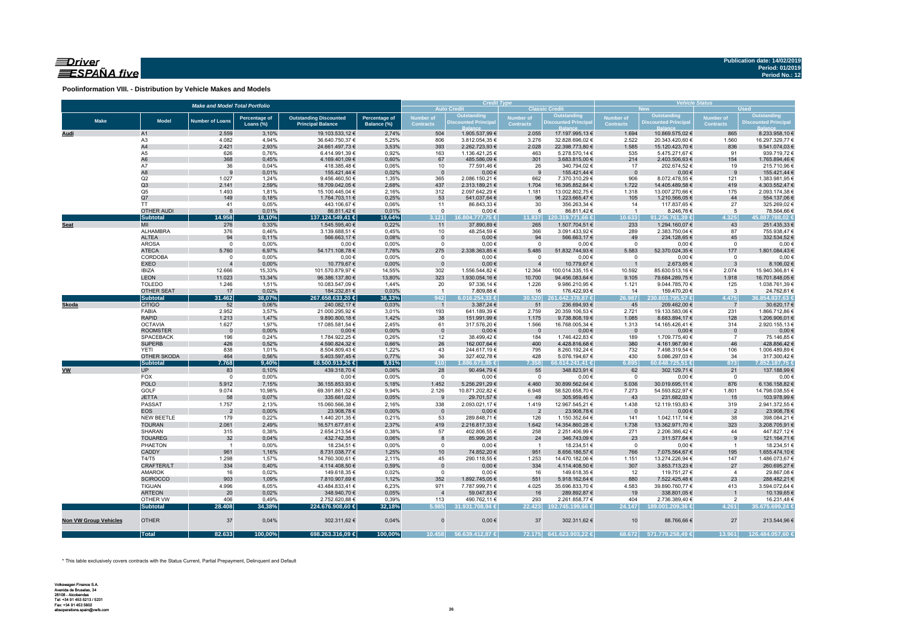## $\equiv$ Driver ESPAÑA five

**Poolinformation VIII. - Distribution by Vehicle Makes and Models**

|                              |                                     | <b>Make and Model Total Portfolio</b> |                      |                                   |                |                      | <b>Credit Type</b>                         |                                      |                                           |                                 | <b>Vehicle Status</b><br><b>Used</b><br><b>New</b> |                                      |                               |  |  |  |
|------------------------------|-------------------------------------|---------------------------------------|----------------------|-----------------------------------|----------------|----------------------|--------------------------------------------|--------------------------------------|-------------------------------------------|---------------------------------|----------------------------------------------------|--------------------------------------|-------------------------------|--|--|--|
|                              |                                     |                                       |                      |                                   |                |                      | <b>Auto Credit</b>                         |                                      | <b>Classic Credit</b>                     |                                 | Outstanding                                        |                                      | Outstanding                   |  |  |  |
| <b>Make</b>                  | <b>Model</b>                        | <b>Number of Loans</b>                | <b>Percentage of</b> | <b>Outstanding Discounted</b>     | Percentage of  | <b>Number of</b>     | <b>Outstanding<br/>Discounted Principa</b> | <b>Number of</b><br><b>Contracts</b> | <b>Outstanding</b><br>Discounted Principa | Number of<br><b>Contracts</b>   | <b>Discounted Principa</b>                         | <b>Number of</b><br><b>Contracts</b> | <b>Discounted Principal</b>   |  |  |  |
|                              |                                     |                                       | Loans (%)            | <b>Principal Balance</b>          | Balance (%)    | <b>Contracts</b>     |                                            |                                      |                                           |                                 |                                                    |                                      |                               |  |  |  |
| Audi                         | A1                                  | 2.559                                 | 3,10%                | 19.103.533,12 €                   | 2,74%          | 504                  | 1.905.537,99 €                             | 2.055                                | 17.197.995,13 €                           | 1.694                           | 10.869.575,02 €                                    | 865                                  | 8.233.958,10 €                |  |  |  |
|                              | A <sub>3</sub>                      | 4.082                                 | 4,94%                | 36.640.750,37 €                   | 5,25%          | 806                  | 3.812.054,35 €                             | 3.276                                | 32.828.696,02 €                           | 2.522                           | 20.343.420,60 €                                    | 1.560                                | 16.297.329,77 €               |  |  |  |
|                              | A4<br>A <sub>5</sub>                | 2.421                                 | 2,93%                | 24.661.497,73 €                   | 3,53%          | 393                  | 2.262.723,93 €                             | 2.028                                | 22.398.773,80 €                           | 1.585                           | 15.120.423,70 €                                    | 836                                  | 9.541.074,03 €                |  |  |  |
|                              | A <sub>6</sub>                      | 626<br>368                            | 0,76%<br>0,45%       | 6.414.991,39 €<br>4.169.401,09 €  | 0,92%<br>0,60% | 163<br>67            | 1.136.421,25 €<br>485.586,09€              | 463<br>301                           | 5.278.570,14 €<br>3.683.815,00 €          | 535<br>214                      | 5.475.271,67 €<br>2.403.506,63 €                   | 91<br>154                            | 939.719,72€<br>1.765.894,46 € |  |  |  |
|                              | A7                                  | 36                                    | 0,04%                | 418.385,48€                       | 0,06%          | 10                   | 77.591,46€                                 | 26                                   | 340.794,02 €                              | 17                              | 202.674,52 €                                       | 19                                   | 215.710,96€                   |  |  |  |
|                              | A8                                  | 9                                     | 0,01%                | 155.421,44 €                      | 0,02%          | $\mathbf{0}$         | $0,00 \in$                                 | 9                                    | 155.421,44 €                              | $\overline{0}$                  | $0,00 \in$                                         | 9                                    | 155.421,44 €                  |  |  |  |
|                              | Q2                                  | 1.027                                 | 1,24%                | 9.456.460,50 €                    | 1,35%          | 365                  | 2.086.150,21 €                             | 662                                  | 7.370.310,29 €                            | 906                             | 8.072.478,55 €                                     | 121                                  | 1.383.981,95 €                |  |  |  |
|                              | Q3                                  | 2.141                                 | 2,59%                | 18.709.042,05 €                   | 2,68%          | 437                  | 2.313.189,21 €                             | 1.704                                | 16.395.852,84 €                           | 1.722                           | 14.405.489,58 €                                    | 419                                  | 4.303.552,47 €                |  |  |  |
|                              | Q <sub>5</sub>                      | 1.493                                 | 1,81%                | 15.100.445,04 €                   | 2,16%          | 312                  | 2.097.642,29 €                             | 1.181                                | 13.002.802,75 €                           | 1.318                           | 13.007.270,66 €                                    | 175                                  | 2.093.174,38 €                |  |  |  |
|                              | Q7                                  | 149                                   | 0,18%                | 1.764.703,11 €                    | 0,25%          | 53                   | 541.037,64 €                               | 96                                   | 1.223.665,47€                             | 105                             | 1.210.566,05 €                                     | 44                                   | 554.137,06 €                  |  |  |  |
|                              | <b>TT</b>                           | 41                                    | 0,05%                | 443.106,67 €                      | 0,06%          | 11                   | 86.843,33 €                                | 30                                   | 356.263,34 €                              | 14                              | 117.837,65 €                                       | 27                                   | 325.269,02 €                  |  |  |  |
|                              | <b>OTHER AUDI</b>                   | $6\phantom{1}6$                       | 0,01%                | 86.811,42 €                       | 0,01%          | $\mathbf{0}$         | $0,00 \in$                                 | 6                                    | 86.811,42 €                               | $\overline{1}$                  | 8.246,76 €                                         | 5                                    | 78.564,66 €                   |  |  |  |
|                              | <b>Subtotal</b>                     | 14.958                                | 18,10%               | 137.124.549,41 €                  | 19,64%         | 3.121                | 16.804.777,75 €                            | 11.837                               | 120.319.771.66 €                          | 10.633                          | 91.236.761,39 €                                    | 4.325                                | 45.887.788,02 €               |  |  |  |
| <b>Seat</b>                  | MII                                 | 276                                   | 0,33%                | 1.545.595,40 €                    | 0,22%          | 11                   | 37.890,89 €                                | 265                                  | 1.507.704,51 €                            | 233                             | 1.294.160,07 €                                     | 43                                   | 251.435,33 €                  |  |  |  |
|                              | ALHAMBRA<br><b>ALTEA</b>            | 376<br>94                             | 0,46%<br>0,11%       | 3.139.688,51 €<br>566.663,17€     | 0,45%<br>0,08% | 10<br>$\overline{0}$ | 48.254,59€<br>$0,00 \in$                   | 366<br>94                            | 3.091.433,92 €<br>566.663,17€             | 289<br>49                       | 2.383.750,04 €<br>234.128,65 €                     | 87<br>45                             | 755.938,47€<br>332.534,52€    |  |  |  |
|                              | <b>AROSA</b>                        | $\mathbf 0$                           | 0,00%                | $0,00 \in$                        | 0,00%          | $\mathbf 0$          | $0,00 \in$                                 | $\overline{0}$                       | $0,00 \in$                                | $\overline{0}$                  | $0,00 \in$                                         | $\mathbf 0$                          | $0,00$ €                      |  |  |  |
|                              | <b>ATECA</b>                        | 5.760                                 | 6,97%                | 54.171.108,78 €                   | 7,76%          | 275                  | 2.338.363,85 €                             | 5.485                                | 51.832.744,93 €                           | 5.583                           | 52.370.024,35 €                                    | 177                                  | 1.801.084,43 €                |  |  |  |
|                              | CORDOBA                             | $\mathbf 0$                           | 0,00%                | $0,00 \in$                        | 0,00%          | $\mathsf 0$          | $0,00 \in$                                 | $\overline{0}$                       | $0,00 \in$                                | $\overline{0}$                  | $0,00 \in$                                         | $\mathbf 0$                          | $0,00 \in$                    |  |  |  |
|                              | <b>EXEO</b>                         |                                       | 0,00%                | 10.779,67 €                       | 0,00%          | $\Omega$             | $0,00 \in$                                 | $\overline{4}$                       | 10.779,67 €                               | $\overline{1}$                  | 2.673,65 €                                         | $\mathbf{3}$                         | 8.106,02€                     |  |  |  |
|                              | <b>IBIZA</b>                        | 12.666                                | 15,33%               | 101.570.879,97 €                  | 14,55%         | 302                  | 1.556.544,82 €                             | 12.364                               | 100.014.335,15 €                          | 10.592                          | 85.630.513,16 €                                    | 2.074                                | 15.940.366,81 €               |  |  |  |
|                              | <b>LEON</b>                         | 11.023                                | 13,34%               | 96.386.137,80 €                   | 13,80%         | 323                  | 1.930.054,16 €                             | 10.700                               | 94.456.083,64 €                           | 9.105                           | 79.684.289,75 €                                    | 1.918                                | 16.701.848,05 €               |  |  |  |
|                              | <b>TOLEDO</b>                       | 1.246                                 | 1,51%                | 10.083.547,09 €                   | 1,44%          | 20                   | 97.336,14 €                                | 1.226                                | 9.986.210,95 €                            | 1.121                           | 9.044.785,70 €                                     | 125                                  | 1.038.761,39 €                |  |  |  |
|                              | OTHER SEAT                          | 17                                    | 0,02%                | 184.232,81 €                      | 0,03%          | $\overline{1}$       | 7.809,88 €                                 | 16                                   | 176.422,93 €                              | 14                              | 159.470,20 €                                       | $\overline{\mathbf{3}}$              | 24.762,61 €                   |  |  |  |
|                              | <b>Subtotal</b>                     | 31.462                                | 38,07%               | 267.658.633,20 €                  | 38,33%         | 942                  | 6.016.254,33 €                             | 30.520                               | 261.642.378,87 €                          | 26.987                          | 230.803.795,57 €                                   | 4.475                                | 36.854.837,63 €               |  |  |  |
| Skoda                        | <b>CITIGO</b>                       | 52                                    | 0,06%                | 240.082,17€                       | 0,03%          | $\overline{1}$       | 3.387,24 €                                 | 51                                   | 236.694,93 €                              | 45                              | 209.462,00 €                                       | $\overline{7}$                       | 30.620,17€                    |  |  |  |
|                              | FABIA                               | 2.952                                 | 3,57%                | 21.000.295,92€                    | 3,01%          | 193                  | 641.189,39 €                               | 2.759                                | 20.359.106,53 €                           | 2.721                           | 19.133.583,06 €                                    | 231                                  | 1.866.712,86 €                |  |  |  |
|                              | <b>RAPID</b>                        | 1.213                                 | 1,47%                | 9.890.800,18 €                    | 1,42%          | 38                   | 151.991,99 €                               | 1.175                                | 9.738.808,19 €                            | 1.085                           | 8.683.894,17 €                                     | 128                                  | 1.206.906,01 €                |  |  |  |
|                              | <b>OCTAVIA</b>                      | 1.627                                 | 1,97%                | 17.085.581,54 €<br>$0,00 \in$     | 2,45%          | 61                   | 317.576,20 €                               | 1.566                                | 16.768.005,34 €                           | 1.313                           | 14.165.426,41 €                                    | 314                                  | 2.920.155,13 €                |  |  |  |
|                              | <b>ROOMSTER</b><br><b>SPACEBACK</b> | $\overline{\phantom{0}}$<br>196       | 0,00%<br>0,24%       | 1.784.922,25 €                    | 0,00%<br>0,26% | $\mathbf 0$<br>12    | $0,00 \in$<br>38.499,42 €                  | $\overline{\phantom{0}}$<br>184      | $0,00 \in$<br>1.746.422,83 €              | $\overline{\phantom{0}}$<br>189 | $0,00 \in$<br>1.709.775,40 €                       | $\overline{0}$<br>$\overline{7}$     | $0,00 \in$<br>75.146,85€      |  |  |  |
|                              | <b>SUPERB</b>                       | 426                                   | 0,52%                | 4.590.824,32 €                    | 0,66%          | 26                   | 162.007,64 €                               | 400                                  | 4.428.816,68 €                            | 380                             | 4.161.967,90 €                                     | 46                                   | 428.856,42€                   |  |  |  |
|                              | <b>YETI</b>                         | 838                                   | 1,01%                | 8.504.809,43 €                    | 1,22%          | 43                   | 244.617,19€                                | 795                                  | 8.260.192,24 €                            | 732                             | 7.498.319,54 €                                     | 106                                  | 1.006.489,89 €                |  |  |  |
|                              | OTHER SKODA                         | 464                                   | 0,56%                | 5.403.597,45 €                    | 0,77%          | 36                   | 327.402,78 €                               | 428                                  | 5.076.194,67 €                            | 430                             | 5.086.297,03 €                                     | 34                                   | 317.300,42 €                  |  |  |  |
|                              | <b>Subtotal</b>                     | 7.768                                 | 9,40%                | 68.500.913,26 €                   | 9,81%          | 410                  | .886.671,85 €                              | 7.358                                | 6.614.241,41€                             | 6.895                           | 60.648.725,51 €                                    | 873                                  | 7.852.187,75 €                |  |  |  |
| <b>VW</b>                    | <b>UP</b>                           | 83                                    | 0,10%                | 439.318,70 €                      | 0,06%          | 28                   | 90.494,79 €                                | 55                                   | 348.823,91 €                              | 62                              | 302.129,71 €                                       | 21                                   | 137.188,99 €                  |  |  |  |
|                              | FOX                                 | $\overline{0}$                        | 0,00%                | $0,00 \in$                        | 0,00%          | $\mathbf 0$          | $0,00 \in$                                 | $\overline{0}$                       | $0,00 \in$                                | $\overline{0}$                  | $0,00 \in$                                         | $\overline{0}$                       | $0,00$ €                      |  |  |  |
|                              | <b>POLO</b>                         | 5.912                                 | 7,15%                | 36.155.853,93 €                   | 5,18%          | 1.452                | 5.256.291,29 €                             | 4.460                                | 30.899.562,64 €                           | 5.036                           | 30.019.695,11 €                                    | 876                                  | 6.136.158,82 €                |  |  |  |
|                              | GOLF                                | 9.074                                 | 10,98%               | 69.391.861,52 €                   | 9,94%          | 2.126                | 10.871.202,82 €                            | 6.948                                | 58.520.658,70 €                           | 7.273                           | 54.593.822,97 €                                    | 1.801                                | 14.798.038,55 €               |  |  |  |
|                              | <b>JETTA</b>                        | 58                                    | 0,07%                | 335.661,02 €                      | 0,05%          | 9                    | 29.701,57 €                                | 49                                   | 305.959,45€                               | 43                              | 231.682,03 €                                       | 15                                   | 103.978,99 €                  |  |  |  |
|                              | PASSAT                              | 1.757                                 | 2,13%                | 15.060.566,38 €                   | 2,16%          | 338                  | 2.093.021,17 €                             | 1.419                                | 12.967.545,21 €                           | 1.438                           | 12.119.193,83 €                                    | 319                                  | 2.941.372,55 €                |  |  |  |
|                              | <b>EOS</b>                          | $\overline{2}$                        | 0,00%                | 23.908,78 €                       | 0,00%          | $\mathbf 0$          | $0,00 \in$                                 | $\overline{2}$                       | 23.908,78 €                               | $\overline{\mathbf{0}}$         | $0,00 \in$                                         | $\overline{2}$                       | 23.908,78 €                   |  |  |  |
|                              | NEW BEETLE                          | 179                                   | 0,22%                | 1.440.201,35 €                    | 0,21%          | 53                   | 289.848,71 €                               | 126                                  | 1.150.352,64 €                            | 141                             | 1.042.117,14 €                                     | 38                                   | 398.084,21€                   |  |  |  |
|                              | <b>TOURAN</b><br>SHARAN             | 2.061<br>315                          | 2,49%<br>0,38%       | 16.571.677,61 €<br>2.654.213,54 € | 2,37%          | 419<br>57            | 2.216.817,33 €                             | 1.642<br>258                         | 14.354.860,28 €                           | 1.738<br>271                    | 13.362.971,70 €<br>2.206.386,42 €                  | 323<br>44                            | 3.208.705,91 €                |  |  |  |
|                              | <b>TOUAREG</b>                      | 32                                    | 0,04%                | 432.742,35 €                      | 0,38%<br>0,06% | 8                    | 402.806,55 €<br>85.999,26€                 | 24                                   | 2.251.406,99 €<br>346.743,09€             | 23                              | 311.577,64 €                                       | 9                                    | 447.827,12 €<br>121.164,71 €  |  |  |  |
|                              | PHAETON                             | $\overline{1}$                        | 0,00%                | 18.234,51 €                       | 0,00%          | $^{\circ}$           | $0,00 \in$                                 | $\overline{1}$                       | 18.234,51 €                               | $\overline{\mathbf{0}}$         | $0,00 \in$                                         | $\overline{1}$                       | 18.234,51 €                   |  |  |  |
|                              | CADDY                               | 961                                   | 1,16%                | 8.731.038,77 €                    | 1,25%          | 10                   | 74.852,20 €                                | 951                                  | 8.656.186,57 €                            | 766                             | 7.075.564,67 €                                     | 195                                  | 1.655.474,10 €                |  |  |  |
|                              | T4/T5                               | 1.298                                 | 1,57%                | 14.760.300,61 €                   | 2,11%          | 45                   | 290.118,55 €                               | 1.253                                | 14.470.182,06 €                           | 1.151                           | 13.274.226,94 €                                    | 147                                  | 1.486.073,67 €                |  |  |  |
|                              | CRAFTER/LT                          | 334                                   | 0,40%                | 4.114.408,50 €                    | 0,59%          | $\overline{0}$       | 0,00€                                      | 334                                  | 4.114.408,50 €                            | 307                             | 3.853.713,23 €                                     | 27                                   | 260.695,27€                   |  |  |  |
|                              | AMAROK                              | 16                                    | 0,02%                | 149.618,35 €                      | 0,02%          | $\mathsf 0$          | $0,00 \in$                                 | 16                                   | 149.618,35 €                              | 12                              | 119.751,27 €                                       | 4                                    | 29.867,08 €                   |  |  |  |
|                              | <b>SCIROCCO</b>                     | 903                                   | 1,09%                | 7.810.907,69 €                    | 1,12%          | 352                  | 1.892.745,05 €                             | 551                                  | 5.918.162,64 €                            | 880                             | 7.522.425,48 €                                     | 23                                   | 288.482,21€                   |  |  |  |
|                              | <b>TIGUAN</b>                       | 4.996                                 | 6,05%                | 43.484.833,41 €                   | 6,23%          | 971                  | 7.787.999,71 €                             | 4.025                                | 35.696.833,70 €                           | 4.583                           | 39.890.760,77 €                                    | 413                                  | 3.594.072,64 €                |  |  |  |
|                              | <b>ARTEON</b>                       | 20                                    | 0,02%                | 348.940,70 €                      | 0,05%          | $\overline{4}$       | 59.047,83 €                                | 16                                   | 289.892,87 €                              | 19                              | 338.801,05 €                                       | $\overline{1}$                       | 10.139,65 €                   |  |  |  |
|                              | OTHER VW                            | 406                                   | 0,49%                | 2.752.620,88 €                    | 0,39%          | 113                  | 490.762,11 €                               | 293                                  | 2.261.858,77 €                            | 404                             | 2.736.389,40 €                                     | $\overline{2}$                       | 16.231,48 €                   |  |  |  |
|                              | <b>Subtotal</b>                     | 28.408                                | 34,38%               | 224.676.908,60 €                  | 32,18%         | 5.985                | 31.931.708,94 €                            | 22.423                               | 192.745.199,66 €                          | 24.147                          | 189.001.209.36 €                                   | 4.261                                | 35.675.699.24 €               |  |  |  |
| <b>Non VW Group Vehicles</b> | <b>OTHER</b>                        | 37                                    | 0,04%                | 302.311,62 €                      | 0,04%          | $\Omega$             | $0,00 \in$                                 | 37                                   | 302.311,62 €                              | 10                              | 88.766,66 €                                        | 27                                   | 213.544,96 €                  |  |  |  |
|                              | <b>Total</b>                        | 82.633                                | 100,00%              | 698.263.316,09 €                  | 100,00%        | 10.458               | 56.639.412,87 €                            |                                      | 72.175 641.623.903,22 €                   | 68.672                          | 571.779.258,49 €                                   | 13.961                               | 126.484.057,60 €              |  |  |  |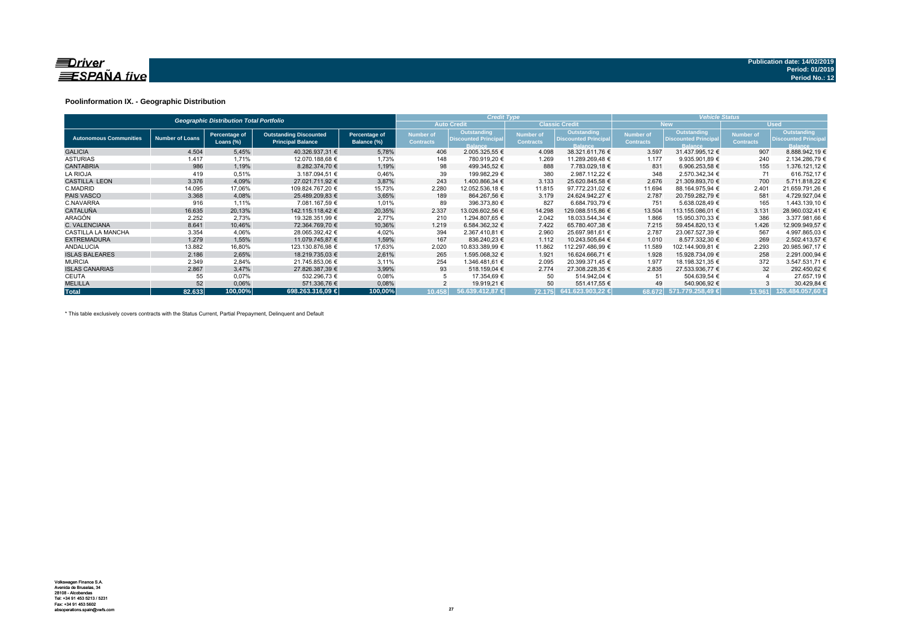

### **Poolinformation IX. - Geographic Distribution**

|                               |                        | <b>Geographic Distribution Total Portfolio</b> |                                                           |                              |                               | <b>Credit Type</b>                                           |                                      |                                                              | <b>Vehicle Status</b>                |                                                              |                               |                                                       |  |  |
|-------------------------------|------------------------|------------------------------------------------|-----------------------------------------------------------|------------------------------|-------------------------------|--------------------------------------------------------------|--------------------------------------|--------------------------------------------------------------|--------------------------------------|--------------------------------------------------------------|-------------------------------|-------------------------------------------------------|--|--|
|                               |                        |                                                |                                                           |                              |                               | <b>Auto Credit</b>                                           |                                      | <b>Classic Credit</b>                                        |                                      | <b>New</b>                                                   |                               | <b>Used</b>                                           |  |  |
| <b>Autonomous Communities</b> | <b>Number of Loans</b> | Percentage of<br>Loans $(\%)$                  | <b>Outstanding Discounted</b><br><b>Principal Balance</b> | Percentage of<br>Balance (%) | Number of<br><b>Contracts</b> | Outstanding<br><b>Discounted Principal</b><br><b>Balance</b> | <b>Number of</b><br><b>Contracts</b> | Outstanding<br><b>Discounted Principal</b><br><b>Balance</b> | <b>Number of</b><br><b>Contracts</b> | Outstanding<br><b>Discounted Principal</b><br><b>Balance</b> | Number of<br><b>Contracts</b> | Outstanding<br><b>Discounted Principal</b><br>Balance |  |  |
| <b>GALICIA</b>                | 4.504                  | 5,45%                                          | 40.326.937,31 €                                           | 5,78%                        | 406                           | 2.005.325,55 €                                               | 4.098                                | 38.321.611.76 €                                              | 3.597                                | 31.437.995.12 €                                              | 907                           | 8.888.942,19 €                                        |  |  |
| <b>ASTURIAS</b>               | 1.417                  | 1,71%                                          | 12.070.188,68 €                                           | 1,73%                        | 148                           | 780.919,20 €                                                 | 1.269                                | 11.289.269,48 €                                              | 1.177                                | 9.935.901,89 €                                               | 240                           | 2.134.286,79 €                                        |  |  |
| <b>CANTABRIA</b>              | 986                    | 1,19%                                          | 8.282.374.70 €                                            | 1,19%                        | 98                            | 499.345.52 €                                                 | 888                                  | 7.783.029.18 €                                               | 831                                  | 6.906.253.58 €                                               | 155                           | 1.376.121.12 €                                        |  |  |
| <b>LA RIOJA</b>               | 419                    | 0,51%                                          | 3.187.094,51 €                                            | 0,46%                        | 39                            | 199.982,29 €                                                 | 380                                  | 2.987.112,22 €                                               | 348                                  | 2.570.342.34 €                                               | 71                            | 616.752,17 €                                          |  |  |
| <b>CASTILLA LEON</b>          | 3.376                  | 4,09%                                          | 27.021.711.92 €                                           | 3,87%                        | 243                           | 1.400.866.34 €                                               | 3.133                                | 25.620.845.58 €                                              | 2.676                                | 21.309.893.70 €                                              | 700                           | 5.711.818.22 €                                        |  |  |
| C.MADRID                      | 14.095                 | 17,06%                                         | 109.824.767.20 €                                          | 15,73%                       | 2.280                         | 12.052.536.18 €                                              | 11.815                               | 97.772.231.02 €                                              | 11.694                               | 88.164.975.94 €                                              | 2.401                         | 21.659.791,26 €                                       |  |  |
| <b>PAIS VASCO</b>             | 3.368                  | 4,08%                                          | 25.489.209.83 €                                           | 3,65%                        | 189                           | 864.267.56 €                                                 | 3.179                                | 24.624.942.27 €                                              | 2.787                                | 20.759.282.79 €                                              | 581                           | 4.729.927.04 €                                        |  |  |
| C.NAVARRA                     | 916                    | 1,11%                                          | 7.081.167,59 €                                            | 1,01%                        | 89                            | 396.373,80 €                                                 | 827                                  | 6.684.793,79 €                                               | 751                                  | 5.638.028,49 €                                               | 165                           | 1.443.139,10 €                                        |  |  |
| <b>CATALUÑA</b>               | 16.635                 | 20,13%                                         | 142.115.118.42 €                                          | 20,35%                       | 2.337                         | 13.026.602,56 €                                              | 14.298                               | 129.088.515.86 €                                             | 13.504                               | 113.155.086,01 €                                             | 3.131                         | 28.960.032,41 €                                       |  |  |
| ARAGÓN                        | 2.252                  | 2.73%                                          | 19.328.351.99 €                                           | 2,77%                        | 210                           | 1.294.807.65 €                                               | 2.042                                | 18.033.544.34 €                                              | 1.866                                | 15.950.370,33 €                                              | 386                           | 3.377.981.66 €                                        |  |  |
| C. VALENCIANA                 | 8.641                  | 10,46%                                         | 72.364.769.70 €                                           | 10,36%                       | 1.219                         | 6.584.362.32 €                                               | 7.422                                | 65.780.407.38 €                                              | 7.215                                | 59.454.820.13 €                                              | 1.426                         | 12.909.949.57 €                                       |  |  |
| <b>CASTILLA LA MANCHA</b>     | 3.354                  | 4,06%                                          | 28.065.392.42 €                                           | 4,02%                        | 394                           | 2.367.410,81 €                                               | 2.960                                | 25.697.981,61 €                                              | 2.787                                | 23.067.527,39 €                                              | 567                           | 4.997.865,03 €                                        |  |  |
| <b>EXTREMADURA</b>            | 1.279                  | 1,55%                                          | 11.079.745,87 €                                           | 1,59%                        | 167                           | 836.240.23 €                                                 | 1.112                                | 10.243.505,64 €                                              | 1.010                                | 8.577.332.30 €                                               | 269                           | 2.502.413.57 €                                        |  |  |
| <b>ANDALUCIA</b>              | 13.882                 | 16,80%                                         | 123.130.876,98 €                                          | 17,63%                       | 2.020                         | 10.833.389,99 €                                              | 11.862                               | 112.297.486,99 €                                             | 11.589                               | 102.144.909,81 €                                             | 2.293                         | 20.985.967,17 €                                       |  |  |
| <b>ISLAS BALEARES</b>         | 2.186                  | 2,65%                                          | 18.219.735,03 €                                           | 2,61%                        | 265                           | 1.595.068,32 €                                               | 1.921                                | 16.624.666,71 €                                              | 1.928                                | 15.928.734,09 €                                              | 258                           | 2.291.000,94 €                                        |  |  |
| <b>MURCIA</b>                 | 2.349                  | 2,84%                                          | 21.745.853.06 €                                           | 3,11%                        | 254                           | 1.346.481.61 €                                               | 2.095                                | 20.399.371.45 €                                              | 1.977                                | 18.198.321.35 €                                              | 372                           | 3.547.531,71 €                                        |  |  |
| <b>ISLAS CANARIAS</b>         | 2.867                  | 3.47%                                          | 27.826.387.39 €                                           | 3,99%                        | 93                            | 518.159.04 €                                                 | 2.774                                | 27.308.228.35 €                                              | 2.835                                | 27.533.936.77 €                                              | 32                            | 292.450,62 €                                          |  |  |
| <b>CEUTA</b>                  | 55                     | 0,07%                                          | 532.296,73 €                                              | 0,08%                        |                               | 17.354,69 €                                                  | 50                                   | 514.942,04 €                                                 | 51                                   | 504.639,54 €                                                 |                               | 27.657,19 €                                           |  |  |
| <b>MELILLA</b>                | 52                     | 0,06%                                          | 571.336,76 €                                              | 0,08%                        |                               | 19.919,21 €                                                  | 50                                   | 551.417,55 €                                                 | 49                                   | 540.906,92 €                                                 |                               | 30.429,84 €                                           |  |  |
| <b>Total</b>                  | 82.633                 | 100,00%                                        | 698.263.316.09 €                                          | 100,00%                      | 10.458                        | 56.639.412.87 €                                              |                                      | 72.175 641.623.903,22 €                                      | 68.672                               | 571.779.258,49 €                                             | 13.961                        | 126.484.057.60 €                                      |  |  |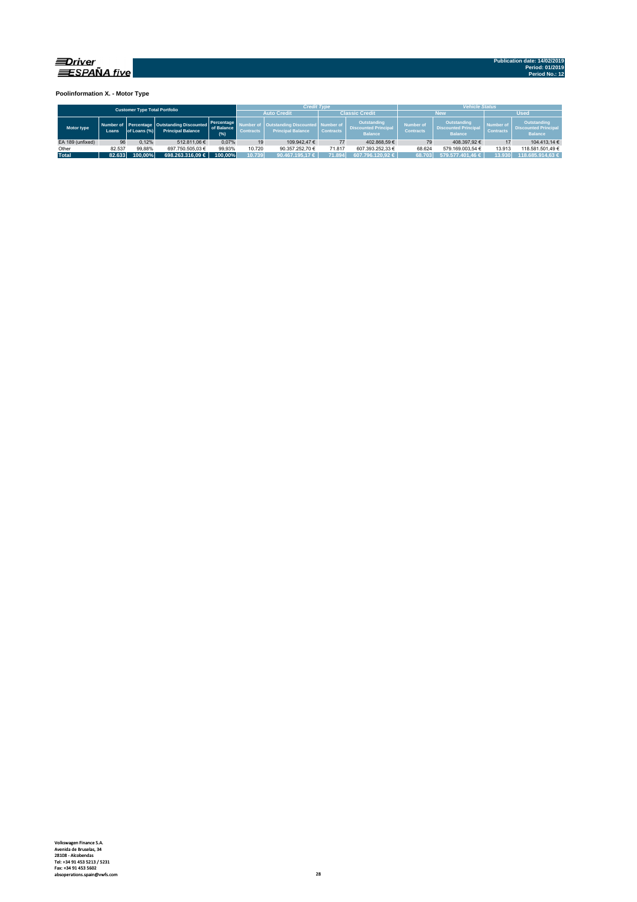

**Poolinformation X. - Motor Type**

| <b>Customer Type Total Portfolio</b> |        |              |                                                                         |                                 |                  | <b>Credit Type</b>                                                    |                            |                                                              | <b>Vehicle Status</b>                |                                                                     |                               |                                                                     |  |  |
|--------------------------------------|--------|--------------|-------------------------------------------------------------------------|---------------------------------|------------------|-----------------------------------------------------------------------|----------------------------|--------------------------------------------------------------|--------------------------------------|---------------------------------------------------------------------|-------------------------------|---------------------------------------------------------------------|--|--|
|                                      |        |              |                                                                         |                                 |                  | <b>Auto Credit</b>                                                    |                            | <b>Classic Credit</b>                                        |                                      | <b>Nev</b>                                                          | <b>Used</b>                   |                                                                     |  |  |
| Motor type                           | Loans  | of Loans (%) | Number of Percentage Outstanding Discounted<br><b>Principal Balance</b> | Percentage<br>of Balance<br>(%) | <b>Contracts</b> | <b>Outstanding Discounted   Number of</b><br><b>Principal Balance</b> | <b>Contracts</b>           | Outstanding<br><b>Discounted Principal</b><br><b>Balance</b> | <b>Number of</b><br><b>Contracts</b> | <b>Outstanding</b><br><b>Discounted Principal</b><br><b>Balance</b> | Number of<br><b>Contracts</b> | <b>Outstanding</b><br><b>Discounted Principal</b><br><b>Balance</b> |  |  |
| EA 189 (unfixed)                     | 96     | 0.12%        | 512.811.06 €                                                            | 0.07%                           | 19               | 109.942.47 €                                                          | 77                         | 402.868.59 €                                                 | 79                                   | 408.397.92€                                                         |                               | 104.413.14 €                                                        |  |  |
| Other                                | 82.537 |              | 99.88%<br>697.750.505.03 €                                              |                                 | 10.720           | 90.357.252.70 €                                                       | 71.817<br>607.393.252.33 € |                                                              | 68.624                               | 579.169.003.54 €                                                    | 13.913                        | 118.581.501.49 €                                                    |  |  |
| <b>Total</b>                         | 82.633 | $100.00\%$   | $698.263.316.09 \in$                                                    | 100.00%                         | 10.739           | 90.467.195.17 €                                                       | 71.894                     | 607.796.120.92 €                                             | 68.703                               | 579.577.401.46 €                                                    | 13.930                        | 118.685.914.63 €                                                    |  |  |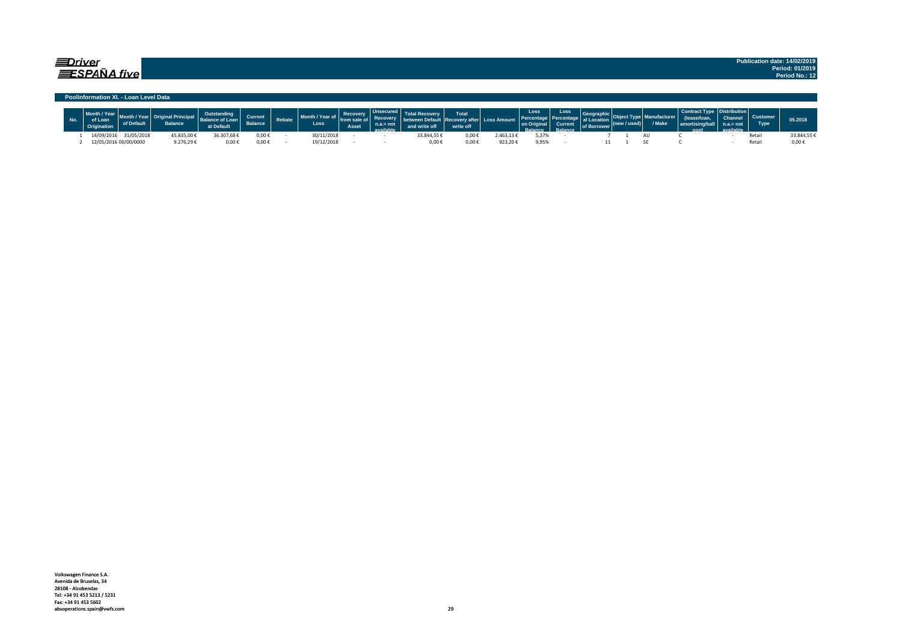### $\equiv$ Driver  $\equiv$ SPAÑA five

**Publication date: 14/02/2019 Period: 01/2019 Period No.: 12**

#### **Poolinformation XI. - Loan Level Data**

| $\sim$ |                       | <b>Balance</b> | at Default | Current<br><b>Balance</b> | Rebate | Month / Year of<br>Loss | <b>Recovery</b><br>Asset | <b>Desertes</b><br>ملطمانا |             | <b>Total</b><br>write off | <b>Loss Amount</b> | Loss  | Loss<br>Current,<br>planes | al Loca<br>of Borrower | $l$ used) | <b>Make</b> | . Ani | $=$ not | <b>Type</b> | 05.2018    |
|--------|-----------------------|----------------|------------|---------------------------|--------|-------------------------|--------------------------|----------------------------|-------------|---------------------------|--------------------|-------|----------------------------|------------------------|-----------|-------------|-------|---------|-------------|------------|
|        | 14/09/2016 31/05/2018 | 15.835,00      | 36.307,68€ | 0,00€                     |        | 30/11/2018              |                          |                            | 33.844,55 ₺ | 0,00€                     | ∠.463,13 $€$       | 5,37% |                            |                        |           |             |       |         | Retai       | 33.844,55€ |
|        | 12/05/2016 00/00/0000 | 9.276,29       | 0,00€      | $0.00 \in$                |        | 19/12/2018              |                          |                            | 0,00        | 0,00€                     | 923,20€            | 9,95% |                            |                        |           |             |       |         | Retai       | $0.00 \in$ |